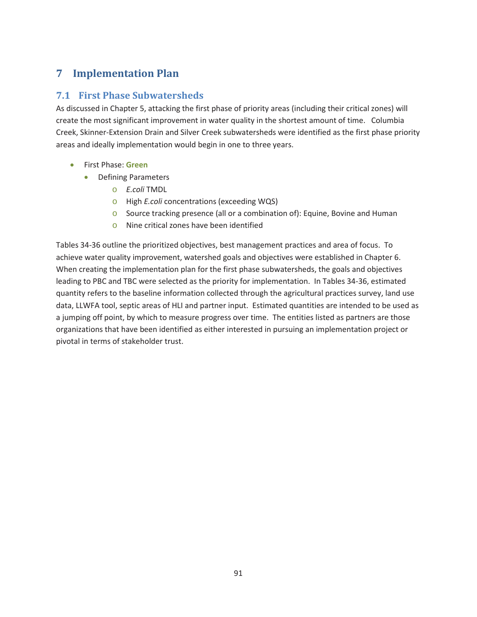# **7 Implementation Plan**

#### **7.1 First Phase Subwatersheds**

As discussed in Chapter 5, attacking the first phase of priority areas (including their critical zones) will create the most significant improvement in water quality in the shortest amount of time. Columbia Creek, Skinner-Extension Drain and Silver Creek subwatersheds were identified as the first phase priority areas and ideally implementation would begin in one to three years.

- x First Phase: **Green** 
	- Defining Parameters
		- o *E.coli* TMDL
		- o High *E.coli* concentrations (exceeding WQS)
		- o Source tracking presence (all or a combination of): Equine, Bovine and Human
		- o Nine critical zones have been identified

Tables 34-36 outline the prioritized objectives, best management practices and area of focus. To achieve water quality improvement, watershed goals and objectives were established in Chapter 6. When creating the implementation plan for the first phase subwatersheds, the goals and objectives leading to PBC and TBC were selected as the priority for implementation. In Tables 34-36, estimated quantity refers to the baseline information collected through the agricultural practices survey, land use data, LLWFA tool, septic areas of HLI and partner input. Estimated quantities are intended to be used as a jumping off point, by which to measure progress over time. The entities listed as partners are those organizations that have been identified as either interested in pursuing an implementation project or pivotal in terms of stakeholder trust.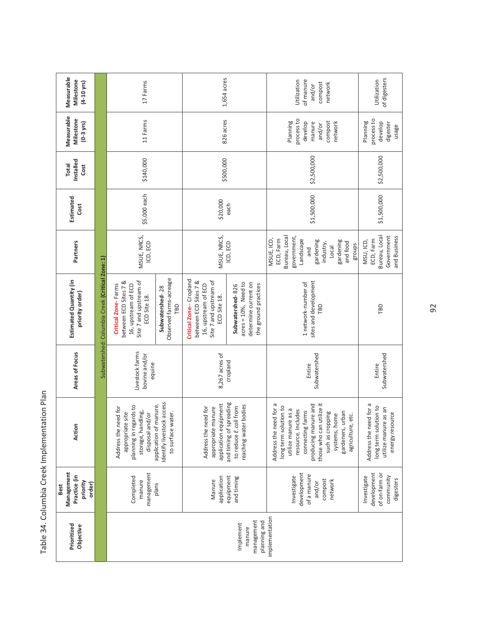| Measurable<br>Milestone<br>$(4-10$ yrs)                  |                                                 | 17 Farms                                                                                                         |                                                                          | 1,654 acres                                                                                                      |                                                                                             | of manure<br>Utilization<br>compost<br>network<br>and/or                                                                                                                                                                                              | of digesters<br>Utilization                                                                |
|----------------------------------------------------------|-------------------------------------------------|------------------------------------------------------------------------------------------------------------------|--------------------------------------------------------------------------|------------------------------------------------------------------------------------------------------------------|---------------------------------------------------------------------------------------------|-------------------------------------------------------------------------------------------------------------------------------------------------------------------------------------------------------------------------------------------------------|--------------------------------------------------------------------------------------------|
| Measurable<br>Milestone<br>$(0-3$ yrs)                   |                                                 | 11 Farms                                                                                                         |                                                                          | 826 acres                                                                                                        |                                                                                             | process to<br>Planning<br>compost<br>develop<br>network<br>manure<br>and/or                                                                                                                                                                           | process to<br>Planning<br>develop<br>digester<br>usage                                     |
| Installed<br><b>Total</b><br>Cost                        |                                                 | \$140,000                                                                                                        |                                                                          | \$500,000                                                                                                        |                                                                                             | \$2,500,000                                                                                                                                                                                                                                           | \$2,500,000                                                                                |
| Estimated<br>Cost                                        |                                                 | \$5,000 each                                                                                                     |                                                                          | \$20,000                                                                                                         | each                                                                                        | \$1,500,000                                                                                                                                                                                                                                           | \$1,500,000                                                                                |
| Partners                                                 |                                                 | MSUE, NRCS,<br>ICD, ECD                                                                                          |                                                                          | MSUE, NRCS,                                                                                                      | ICD, ECD                                                                                    | Bureau, Local<br>government,<br>MSUE, ICD,<br>ECD, Farm<br>Landscape<br>gardening<br>gardening<br>and food<br>industry,<br>groups<br>Local<br>and                                                                                                     | Bureau, Local<br>and Business<br>Government<br>ECD, Farm<br>MSU, ICD,                      |
| Estimated Quantity (in<br>priority order)                | Subwatershed: Columbia Creek (Critical Zone: 1) | Site 7 and upstream of<br>between ECD Sites 7 &<br>Critical Zone-Farms<br>16, upstream of ECD<br>ECD Site 18.    | Observed farms-acreage<br>Subwatershed-28<br>ΓВD                         | Critical Zone-Cropland<br>between ECD Sites 7 &<br>Site 7 and upstream of<br>16, upstream of ECD<br>ECD Site 18. | $acres = 10%$ , Need to<br>determine current on<br>the ground practices<br>Subwatershed-826 | sites and development<br>1 network-number of<br>ГBD                                                                                                                                                                                                   | TBD                                                                                        |
| Areas of Focus                                           |                                                 | Livestock farms<br>bovine and/or<br>equine                                                                       |                                                                          | 8,267 acres of<br>cropland                                                                                       |                                                                                             | Subwatershed<br>Entire                                                                                                                                                                                                                                | Subwatershed<br>Entire                                                                     |
| Action                                                   |                                                 | planning in regards to<br>Address the need for<br>storage, handling,<br>a site<br>disposal and/or<br>appropriate | Identify livestock access<br>application of manure.<br>to surface water. | application equipment<br>Address the need for<br>appropriate manure                                              | and timing of spreading<br>reaching water bodies<br>to reduce E.coli from                   | those who can utilize it<br>Address the need for a<br>producing manure and<br>long term solution to<br>utilize manure as a<br>resource. Includes<br>connecting farms<br>gardeners, urban<br>such as cropping<br>systems, home<br>etc.<br>agriculture, | Address the need for a<br>long term solution to<br>utilize manure as an<br>energy resource |
| Management<br>Practice (in<br>priority<br>order)<br>Best |                                                 | management<br>Completed<br>manure                                                                                | plans                                                                    | application<br>Manure                                                                                            | equipment<br>and timing                                                                     | development<br>of a manure<br>Investigate<br>compost<br>network<br>and/or                                                                                                                                                                             | development<br>of on-farm or<br>Investigate<br>community<br>digesters                      |
| Prioritized<br>Objective                                 |                                                 |                                                                                                                  |                                                                          |                                                                                                                  | management<br>planning and<br>Implement<br>manure                                           | implementation                                                                                                                                                                                                                                        |                                                                                            |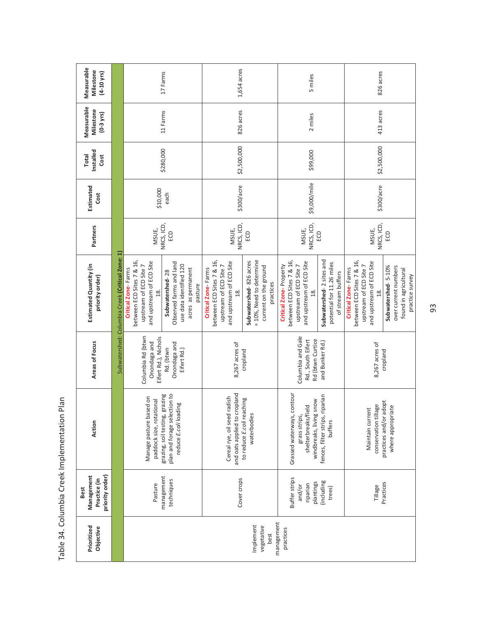| Measurable<br>Milestone<br>$(4 - 10 \text{ yrs})$            |                                                 |                                                                                                                          | 17 Farms                                                                                               | 1,654 acres                                                                                                   |                                                                                          | 5 miles                                                                                                                    |                                                                            | 826 acres                                                                                                     |                                                                                        |
|--------------------------------------------------------------|-------------------------------------------------|--------------------------------------------------------------------------------------------------------------------------|--------------------------------------------------------------------------------------------------------|---------------------------------------------------------------------------------------------------------------|------------------------------------------------------------------------------------------|----------------------------------------------------------------------------------------------------------------------------|----------------------------------------------------------------------------|---------------------------------------------------------------------------------------------------------------|----------------------------------------------------------------------------------------|
| Measurable<br>Milestone<br>$(0-3$ yrs)                       |                                                 |                                                                                                                          | 11 Farms                                                                                               | 826 acres                                                                                                     |                                                                                          | 2 miles                                                                                                                    |                                                                            | 413 acres                                                                                                     |                                                                                        |
| Installed<br><b>Total</b><br>Cost                            |                                                 |                                                                                                                          | \$280,000                                                                                              | \$2,500,000                                                                                                   |                                                                                          | \$99,000                                                                                                                   |                                                                            | \$2,500,000                                                                                                   |                                                                                        |
| Estimated<br>Cost                                            |                                                 | \$10,000                                                                                                                 | each                                                                                                   | \$300/acre                                                                                                    |                                                                                          | \$9,000/mile                                                                                                               |                                                                            | \$300/acre                                                                                                    |                                                                                        |
| Partners                                                     |                                                 | MSUE,                                                                                                                    | NRCS, ICD,<br>ECD                                                                                      | NRCS, ICD,<br>MSUE,                                                                                           | ECD                                                                                      | NRCS, ICD,<br>MSUE,                                                                                                        | ECD                                                                        | NRCS, ICD,<br>MSUE,                                                                                           | e                                                                                      |
| Estimated Quantity (in<br>priority order)                    | Subwatershed: Columbia Creek (Critical Zone: 1) | between ECD Sites 7 & 16,<br>and upstream of ECD Site<br>upstream of ECD Site 7<br>Critical Zone-Farms<br>$\frac{8}{18}$ | Observed farms and land<br>use data identified 120<br>acres as permanent<br>Subwatershed-28<br>pasture | between ECD Sites 7 & 16,<br>and upstream of ECD Site<br>upstream of ECD Site 7<br>Critical Zone-Farms<br>18. | = 10%, Need to determine<br>Subwatershed-826 acres<br>current on the ground<br>practices | between ECD Sites 7 & 16,<br>and upstream of ECD Site<br>Critical Zone-Property<br>upstream of ECD Site 7<br>$\frac{8}{1}$ | Subwatershed-2 sites and<br>potential for 11.26 miles<br>of stream buffers | between ECD Sites 7 & 16,<br>and upstream of ECD Site<br>upstream of ECD Site 7<br>Critical Zone-Farms<br>18. | Subwatershed-5-10%<br>over current numbers<br>found in agricultural<br>practice survey |
| Areas of Focus                                               |                                                 | Columbia Rd (btwn<br>Eifert Rd.), Nichols<br>Onondaga and                                                                | Onondaga and<br>Rd. (btwn<br>Eifert Rd.)                                                               | 8,267 acres of                                                                                                | cropland                                                                                 | Columbia and Gale<br>Rd (btwn Curtice<br>Rd., South Eifert                                                                 | and Bunker Rd.)                                                            | 8,267 acres of                                                                                                | cropland                                                                               |
| Action                                                       |                                                 | Manage pasture based on<br>paddock size, rotational                                                                      | plan and forage selection to<br>grazing, soil testing, grazing<br>reduce E.coli loading                | and oats applied to cropland<br>Iradish<br>Cereal rye, oil seed                                               | to reduce E.coli reaching<br>waterbodies                                                 | contour<br>snow<br>shelterbreaks/field<br>Grassed waterways,<br>grass strips,<br>windbreaks, living                        | fences, filter strips, riparian<br>buffers                                 | conservation tillage<br>Maintain current                                                                      | adopt<br>where appropriate<br>practices and/or                                         |
| Management<br>priority order)<br>Practice (in<br><b>Best</b> |                                                 | Pasture                                                                                                                  | management<br>techniques                                                                               | Cover crops                                                                                                   |                                                                                          | Buffer strips<br>plantings<br>riparian<br>and/or                                                                           | (including<br>trees)                                                       | Tillage                                                                                                       | Practices                                                                              |
| Prioritized<br>Objective                                     |                                                 |                                                                                                                          |                                                                                                        |                                                                                                               | Implement<br>vegetative<br>best                                                          | management<br>practices                                                                                                    |                                                                            |                                                                                                               |                                                                                        |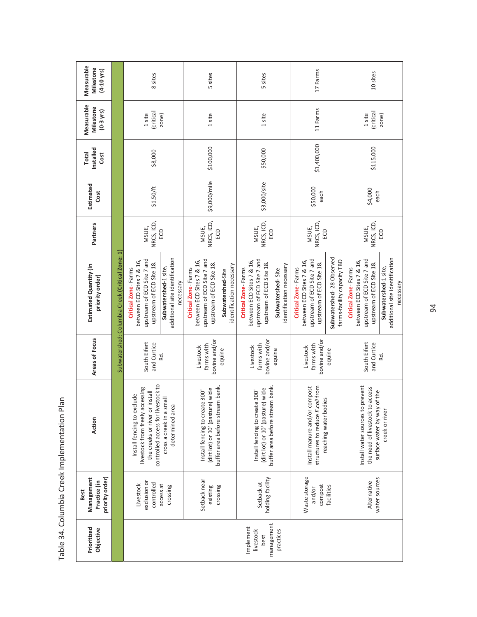| Prioritized<br>Objective                     | Management<br>priority order)<br>Practice (in<br>Best | Action                                                                                                                                | Areas of Focus                           | Estimated Quantity (in<br>priority order)                                                                  | Partners                   | Estimated<br>Cost | Installed<br>Total<br>Cost | Measurable<br>Milestone<br>$(0-3$ yrs) | Measurable<br>Milestone<br>$(4 - 10$ yrs) |
|----------------------------------------------|-------------------------------------------------------|---------------------------------------------------------------------------------------------------------------------------------------|------------------------------------------|------------------------------------------------------------------------------------------------------------|----------------------------|-------------------|----------------------------|----------------------------------------|-------------------------------------------|
|                                              |                                                       |                                                                                                                                       |                                          | Subwatershed: Columbia Creek (Critical Zone: 1)                                                            |                            |                   |                            |                                        |                                           |
|                                              | exclusion or<br>controlled<br>Livestock               | controlled access for livestock to<br>livestock from freely accessing<br>the creeks or river or install<br>Install fencing to exclude | South Eifert<br>and Curtice              | upstream of ECD Site 7 and<br>between ECD Sites 7 & 16,<br>upstream of ECD Site 18.<br>Critical Zone-Farms | NRCS, ICD,<br>MSUE,        | \$1.50/ft         | \$8,000                    | (critical<br>1 site                    | 8 sites                                   |
|                                              | access at<br>crossing                                 | cross a creek in a small<br>determined area                                                                                           | Rd.                                      | additional site identification<br>Subwatershed-1 site,<br>necessary                                        | ECD                        |                   |                            | zone)                                  |                                           |
|                                              | Setback near<br>existing                              | buffer area before stream bank<br>(dirt lot) or 10' (pasture) wide<br>Install fencing to create 300'                                  | bovine and/or<br>farms with<br>Livestock | upstream of ECD Site 7 and<br>between ECD Sites 7 & 16,<br>upstream of ECD Site 18.<br>Critical Zone-Farms | NRCS, ICD,<br>MSUE,<br>ECD | \$9,000/mile      | \$100,000                  | 1 site                                 | 5 sites                                   |
|                                              | crossing                                              |                                                                                                                                       | equine                                   | identification necessary<br>Subwatershed-Site                                                              |                            |                   |                            |                                        |                                           |
| management<br>Implement<br>livestock<br>best | holding facility<br>Setback at                        | buffer area before stream bank<br>(dirt lot) or 10' (pasture) wide<br>Install fencing to create 300'                                  | bovine and/or<br>farms with<br>Livestock | upstream of ECD Site 7 and<br>between ECD Sites 7 & 16,<br>upstream of ECD Site 18.<br>Critical Zone-Farms | NRCS, ICD,<br>MSUE,<br>ECD | \$3,000/site      | \$50,000                   | 1 site                                 | 5 sites                                   |
| practices                                    |                                                       |                                                                                                                                       | equine                                   | identification necessary<br>Subwatershed-Site                                                              |                            |                   |                            |                                        |                                           |
|                                              | Waste storage<br>compost<br>and/or                    | Install manure and/or compost<br>structures to reduce E.coli from<br>reaching water bodies                                            | bovine and/or<br>farms with<br>Livestock | upstream of ECD Site 7 and<br>between ECD Sites 7 & 16,<br>upstream of ECD Site 18.<br>Critical Zone-Farms | NRCS, ICD,<br>MSUE,<br>ECD | \$50,000<br>each  | \$1,400,000                | 11 Farms                               | 17 Farms                                  |
|                                              | facilities                                            |                                                                                                                                       | equine                                   | Subwatershed-28 Observed<br>farms-facility capacity TBD                                                    |                            |                   |                            |                                        |                                           |
|                                              | water sources<br>Alternative                          | Install water sources to prevent<br>the need of livestock to access                                                                   | South Eifert<br>and Curtice              | upstream of ECD Site 7 and<br>between ECD Sites 7 & 16,<br>upstream of ECD Site 18.<br>Critical Zone-Farms | NRCS, ICD,<br>MSUE,        | \$4,000<br>each   | \$115,000                  | (critical<br>1 site                    | 10 sites                                  |
|                                              |                                                       | surface water by way of the<br>creek or river                                                                                         | Rd.                                      | additional site identification<br>Subwatershed-1 site,<br>necessary                                        | ECD                        |                   |                            | zone)                                  |                                           |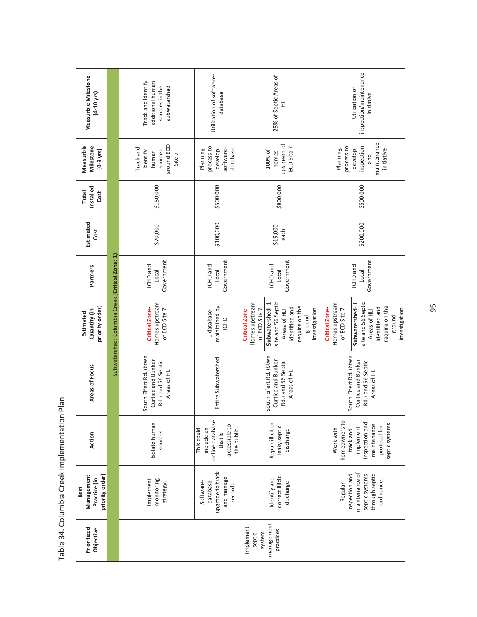| Management<br>Best                                 |                                                                                                                          |                                                                                    | Estimated                                                                                                                                                                                        |                                        |                   | <b>Total</b>      | Measurble                                                                           |                                                                          |
|----------------------------------------------------|--------------------------------------------------------------------------------------------------------------------------|------------------------------------------------------------------------------------|--------------------------------------------------------------------------------------------------------------------------------------------------------------------------------------------------|----------------------------------------|-------------------|-------------------|-------------------------------------------------------------------------------------|--------------------------------------------------------------------------|
|                                                    | Action                                                                                                                   | Areas of Focus                                                                     | priority order)<br>Quantity (in                                                                                                                                                                  | Partners                               | Estimated<br>Cost | Installed<br>Cost | Milestone<br>$(0-3$ yrs)                                                            | Measurble Milestone<br>$(4-10$ yrs)                                      |
|                                                    |                                                                                                                          |                                                                                    | Subwatershed: Columbia Creek (Critical Zone: 1)                                                                                                                                                  |                                        |                   |                   |                                                                                     |                                                                          |
|                                                    | Isolate human<br>sources                                                                                                 | South Eifert Rd. (btwn<br>Curtice and Bunker<br>Rd.) and 56 Septic<br>Areas of HLI | Homes upstream<br><b>Critical Zone-</b><br>of ECD Site 7                                                                                                                                         | Government<br>ICHD and<br>Loca         | \$70,000          | \$150,000         | around ECD<br>Track and<br>sources<br>identify<br>human<br>Site 7                   | Track and identify<br>additional human<br>sources in the<br>subwatershed |
| upgrade to track                                   | online database<br>accessible to<br>include an<br>This could<br>the public.<br>that is                                   | Entire Subwatershed                                                                | maintained by<br>1 database<br><b>ICHD</b>                                                                                                                                                       | Government<br>ICHD and<br>Local        | \$100,000         | \$500,000         | process to<br>software-<br>Planning<br>database<br>develop                          | Utilization of software-<br>database                                     |
|                                                    | Repair illicit or<br>leaky septic<br>discharge                                                                           | South Eifert Rd. (btwn<br>Curtice and Bunker<br>Rd.) and 56 Septic<br>Areas of HLI | site and 56 Septic<br>Homes upstream<br>Subwatershed-1<br>require on the<br>identified and<br>Critical Zone-<br>of ECD Site 7<br>Areas of HLI<br>ground                                          | Government<br>ICHD and<br>Local        | \$15,000<br>each  | \$800,000         | upstream of<br>ECD Site 7<br>100% of<br>homes                                       | 25% of Septic Areas of<br>$\exists$                                      |
| maintenance of<br>inspection and<br>through septic | homeowners to<br>inspection and<br>septic systems.<br>maintenance<br>protocol for<br>Work with<br>implement<br>track and | South Eifert Rd. (btwn<br>Curtice and Bunker<br>Rd.) and 56 Septic<br>Areas of HLI | Homes upstream<br>site and 56 Septic<br>Subwatershed-1<br>require on the<br>identified and<br><b>Critical Zone-</b><br>of ECD Site 7<br>investigation<br>investigation<br>Areas of HLI<br>ground | Government<br>ICHD and<br><b>Local</b> | \$200,000         | \$500,000         | maintenance<br>process to<br>inspection<br>initiative<br>Planning<br>develop<br>and | inspection/maintenance<br>Utilization of<br>initiative                   |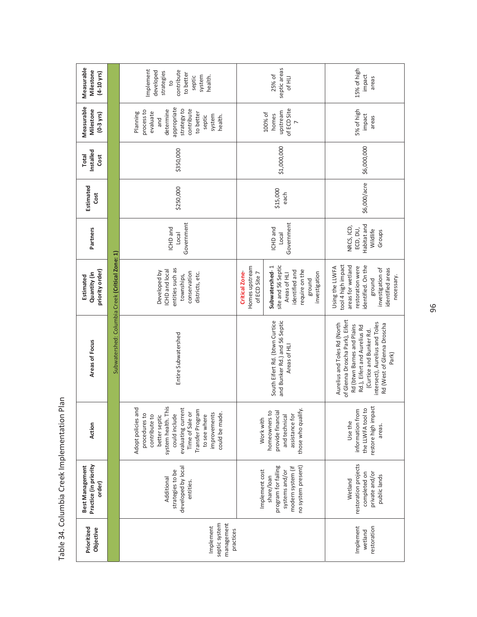| Measurable<br>Milestone<br>$(4-10 \text{ yrs})$    |                                                 | Implement<br>contribute<br>developed<br>strategies<br>to better<br>system<br>septic<br>health.<br>$\beta$                                                                                                                    |                                                          | septic areas<br>25% of<br>Of HLI                                                                                    | 15% of high<br>impact<br>areas                                                                                                                                                                                                    |
|----------------------------------------------------|-------------------------------------------------|------------------------------------------------------------------------------------------------------------------------------------------------------------------------------------------------------------------------------|----------------------------------------------------------|---------------------------------------------------------------------------------------------------------------------|-----------------------------------------------------------------------------------------------------------------------------------------------------------------------------------------------------------------------------------|
| Measurable<br>Milestone<br>$(0-3$ yrs)             |                                                 | appropriate<br>strategy to<br>contribute<br>determine<br>process to<br>to better<br>Planning<br>evaluate<br>system<br>health.<br>septic<br>and                                                                               |                                                          | of ECD Site<br>upstream<br>100% of<br>homes                                                                         | 5% of high<br>impact<br>areas                                                                                                                                                                                                     |
| Installed<br><b>Total</b><br>Cost                  |                                                 | \$350,000                                                                                                                                                                                                                    |                                                          | \$1,000,000                                                                                                         | \$6,000,000                                                                                                                                                                                                                       |
| Estimated<br>Cost                                  |                                                 | \$250,000                                                                                                                                                                                                                    |                                                          | \$15,000<br>each                                                                                                    | \$6,000/acre                                                                                                                                                                                                                      |
| Partners                                           |                                                 | Government<br>ICHD and<br>Local                                                                                                                                                                                              |                                                          | Government<br><b>ICHD</b> and<br>Local                                                                              | Habitat and<br>NRCS, ICD,<br>ECD, DU,<br>Wildlife<br>Groups                                                                                                                                                                       |
| priority order)<br>Quantity (in<br>Estimated       |                                                 | entities such as<br><b>CHD</b> and local<br>Developed by<br>conservation<br>districts, etc.<br>townships,                                                                                                                    | Homes upstream<br><b>Critical Zone-</b><br>of ECD Site 7 | site and 56 Septic<br>Subwatershed-1<br>require on the<br>identified and<br>investigation<br>Areas of HLI<br>ground | tool 4 high impact<br>identified. On the<br>areas for wetland<br>Using the LLWFA<br>restoration were<br>investigation of<br>identified areas<br>necessary.<br>ground                                                              |
| Areas of Focus                                     | Subwatershed: Columbia Creek (Critical Zone: 1) | Entire Subwatershed                                                                                                                                                                                                          |                                                          | South Eifert Rd. (btwn Curtice<br>and Bunker Rd.) and 56 Septic<br>Areas of HLI                                     | of Glenna Droscha Park), Eifert<br>intersect), Aurelius and Toles<br>Aurelius and Toles Rd (North<br>Rd (West of Glenna Droscha<br>Rd (btwn Barnes and Plains<br>Rd.), Eifert and Aurelius Rd<br>(Curtice and Bunker Rd.<br>Park) |
| Action                                             |                                                 | system health. This<br>Adopt policies and<br>evaluating current<br>Transfer Program<br>Time of Sale or<br>improvements<br>could be made.<br>procedures to<br>could include<br>to see where<br>contribute to<br>better septic | Work with                                                | those who qualify.<br>homeowners to<br>provide financial<br>and technical<br>assistance for                         | restore high impact<br>the LLWFA tool to<br>information from<br>Use the<br>areas.                                                                                                                                                 |
| Practice (in priority<br>Best Management<br>order) |                                                 | developed by local<br>strategies to be<br>Additional<br>entities.                                                                                                                                                            | Implement cost                                           | program for failing<br>no system present)<br>modern system (if<br>systems and/or<br>share/loan                      | restoration projects<br>private and/or<br>completed on<br>public lands<br>Wetland                                                                                                                                                 |
| Prioritized<br>Objective                           |                                                 | management<br>septic system<br>Implement<br>practices                                                                                                                                                                        |                                                          |                                                                                                                     | Implement<br>restoration<br>wetland                                                                                                                                                                                               |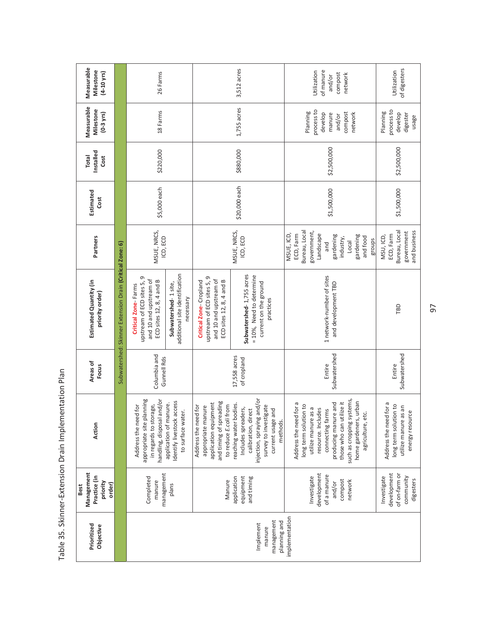| Measurable<br>Milestone<br>$(4-10 \text{ yrs})$                 |                                                          | 26 Farms                                                                                                 |                                                                          |                                                                                                                         | 3,512 acres                                                                                                                                                  | Utilization<br>of manure<br>compost<br>network<br>and/or                                                                                                                                                                                        | of digesters<br>Utilization                                                                     |
|-----------------------------------------------------------------|----------------------------------------------------------|----------------------------------------------------------------------------------------------------------|--------------------------------------------------------------------------|-------------------------------------------------------------------------------------------------------------------------|--------------------------------------------------------------------------------------------------------------------------------------------------------------|-------------------------------------------------------------------------------------------------------------------------------------------------------------------------------------------------------------------------------------------------|-------------------------------------------------------------------------------------------------|
| Measurable<br>Milestone<br>$(0-3$ yrs)                          |                                                          | 18 Farms                                                                                                 |                                                                          |                                                                                                                         | $1,755$ acres                                                                                                                                                | process to<br>Planning<br>compost<br>develop<br>network<br>manure<br>and/or                                                                                                                                                                     | process to<br>Planning<br>develop<br>digester<br>usage                                          |
| Installed<br><b>Total</b><br>Cost                               |                                                          | \$220,000                                                                                                |                                                                          |                                                                                                                         | \$880,000                                                                                                                                                    | \$2,500,000                                                                                                                                                                                                                                     | \$2,500,000                                                                                     |
| Estimated<br>Cost                                               |                                                          | \$5,000 each                                                                                             |                                                                          |                                                                                                                         | \$20,000 each                                                                                                                                                | \$1,500,000                                                                                                                                                                                                                                     | \$1,500,000                                                                                     |
| Partners                                                        |                                                          | MSUE, NRCS,<br>ICD, ECD                                                                                  |                                                                          |                                                                                                                         | MSUE, NRCS,<br>ICD, ECD                                                                                                                                      | Bureau, Local<br>government,<br>MSUE, ICD,<br>ECD, Farm<br>Landscape<br>gardening<br>gardening<br>and food<br>industry,<br>Local<br>and                                                                                                         | and business<br>Bureau, Local<br>government<br>ECD, Farm<br>MSU, ICD,<br>groups                 |
| Estimated Quantity (in<br>priority order)                       | Subwatershed: Skinner Extension Drain (Critical Zone: 6) | upstream of ECD sites 5, 9<br>and 10 and upstream of<br>ECD sites 12, 8, 4 and B<br>Critical Zone-Farms  | additional site identification<br>Subwatershed-1site,<br>necessary       | upstream of ECD sites 5, 9<br>and 10 and upstream of<br>ECD sites 12, 8, 4 and B<br>Critical Zone-Cropland              | Subwatershed-1,755 acres<br>= 10%, Need to determine<br>current on the ground<br>practices                                                                   | 1 network-number of sites<br>and development TBD                                                                                                                                                                                                | TBD                                                                                             |
| Areas of<br>Focus                                               |                                                          | Columbia and<br>Gunnell Rds                                                                              |                                                                          |                                                                                                                         | 17,558 acres<br>of cropland                                                                                                                                  | Subwatershed<br>Entire                                                                                                                                                                                                                          | Subwatershed<br>Entire                                                                          |
| Action                                                          |                                                          | appropriate site planning<br>handling, disposal and/or<br>in regards to storage,<br>Address the need for | Identify livestock access<br>application of manure.<br>to surface water. | and timing of spreading<br>application equipment<br>to reduce E.coli from<br>Address the need for<br>appropriate manure | injection, spraying and/or<br>reaching water bodies.<br>survey to investigate<br>Includes spreaders,<br>calibration, direct<br>current usage and<br>methods. | such as cropping systems,<br>home gardeners, urban<br>those who can utilize it<br>Address the need for a<br>producing manure and<br>long term solution to<br>utilize manure as a<br>resource. Includes<br>connecting farms<br>agriculture, etc. | Address the need for a<br>long term solution to<br>utilize manure as an<br>بە<br>energy resourd |
| Management<br>Practice (in<br>priority<br>order)<br><b>Best</b> |                                                          | management<br>Completed<br>manure                                                                        | plans                                                                    | Manure                                                                                                                  | application<br>equipment<br>and timing                                                                                                                       | development<br>of a manure<br>Investigate<br>compost<br>network<br>and/or                                                                                                                                                                       | development<br>of on-farm or<br>community<br>Investigate<br>digesters                           |
| Prioritized<br>Objective                                        |                                                          |                                                                                                          |                                                                          |                                                                                                                         | management<br>planning and<br>Implement<br>manure                                                                                                            | implementation                                                                                                                                                                                                                                  |                                                                                                 |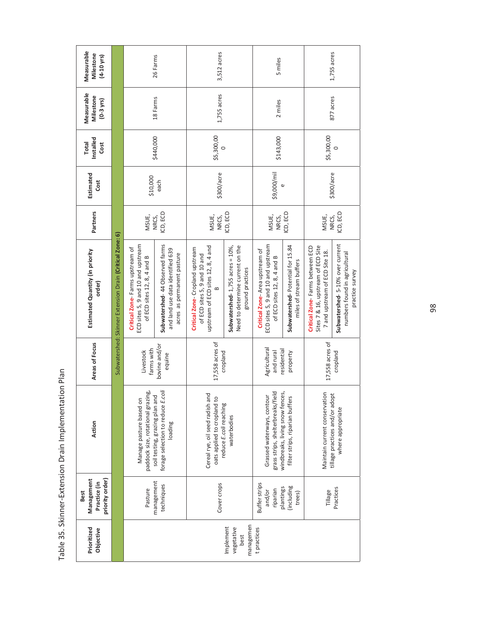| Measurable<br>Milestone<br>$(4 - 10$ yrs)                    |                                                          |                                                                                                      | 26 Farms                                                                                         | 3,512 acres                                                                                                       |                                                                                                | 5 miles                                                                                             |                                                             |                                                                                                         | 1,755 acres                                                                         |
|--------------------------------------------------------------|----------------------------------------------------------|------------------------------------------------------------------------------------------------------|--------------------------------------------------------------------------------------------------|-------------------------------------------------------------------------------------------------------------------|------------------------------------------------------------------------------------------------|-----------------------------------------------------------------------------------------------------|-------------------------------------------------------------|---------------------------------------------------------------------------------------------------------|-------------------------------------------------------------------------------------|
| Measurable<br>Milestone<br>$(0-3$ yrs)                       |                                                          |                                                                                                      | 18 Farms                                                                                         | 1,755 acres                                                                                                       |                                                                                                | 2 miles                                                                                             |                                                             |                                                                                                         | 877 acres                                                                           |
| Installed<br><b>Total</b><br>Cost                            |                                                          |                                                                                                      | \$440,000                                                                                        | \$5,300,00<br>$\circ$                                                                                             |                                                                                                | \$143,000                                                                                           |                                                             | \$5,300,00                                                                                              | $\circ$                                                                             |
| Estimated<br>Cost                                            |                                                          | \$10,000                                                                                             | each                                                                                             | \$300/acre                                                                                                        |                                                                                                | \$9,000/mil                                                                                         |                                                             |                                                                                                         | \$300/acre                                                                          |
| Partners                                                     |                                                          | MSUE,                                                                                                | ICD, ECD<br>NRCS,                                                                                | MSUE,<br>NRCS,                                                                                                    | ICD, ECD                                                                                       | MSUE,<br>NRCS,                                                                                      | ICD, ECD                                                    | MSUE,<br>NRCS,                                                                                          | ICD, ECD                                                                            |
| Estimated Quantity (in priority<br>order)                    | Subwatershed: Skinner Extension Drain (Critical Zone: 6) | ECD sites 5, 9 and 10 and upstream<br>Critical Zone-Farms upstream of<br>of ECD sites 12, 8, 4 and B | Subwatershed-44 Observed farms<br>and land use data identified 639<br>acres as permanent pasture | upstream of ECD sites 12, 8, 4 and<br>Critical Zone-Cropland upstream<br>of ECD sites 5, 9 and 10 and<br>$\infty$ | Need to determine current on the<br>Subwatershed- $1,755$ acres = $10\%$ ,<br>ground practices | ECD sites 5, 9 and 10 and upstream<br>Critical Zone-Area upstream of<br>of ECD sites 12, 8, 4 and B | Subwatershed-Potential for 15.84<br>miles of stream buffers | Sites 7 & 16, upstream of ECD Site<br>Critical Zone-Farms between ECD<br>7 and upstream of ECD Site 18. | Subwatershed-5-10% over current<br>numbers found in agricultural<br>practice survey |
| Areas of Focus                                               |                                                          | farms with<br>Livestock                                                                              | bovine and/or<br>equine                                                                          | 17,558 acres of                                                                                                   | cropland                                                                                       | Agricultural<br>residential<br>and rural                                                            | property                                                    | 17,558 acres of                                                                                         | cropland                                                                            |
| Action                                                       |                                                          | paddock size, rotational grazing,<br>Manage pasture based on                                         | forage selection to reduce E.coli<br>soil testing, grazing plan and<br>loading                   | Cereal rye, oil seed radish and<br>oats applied to cropland to                                                    | reduce E.coli reaching<br>waterbodies                                                          | grass strips, shelterbreaks/field<br>windbreaks, living snow fences,<br>Grassed waterways, contour  | filter strips, riparian buffers                             | Maintain current conservation                                                                           | tillage practices and/or adopt<br>where appropriate                                 |
| Management<br>priority order)<br>Practice (in<br><b>Best</b> |                                                          | Pasture                                                                                              | management<br>techniques                                                                         | Cover crops                                                                                                       |                                                                                                | Buffer strips<br>plantings<br>riparian<br>and/or                                                    | (including<br>trees)                                        | Tillage                                                                                                 | Practices                                                                           |
| Prioritized<br>Objective                                     |                                                          |                                                                                                      |                                                                                                  |                                                                                                                   | managemen<br>Implement<br>vegetative<br>best                                                   | tpractices                                                                                          |                                                             |                                                                                                         |                                                                                     |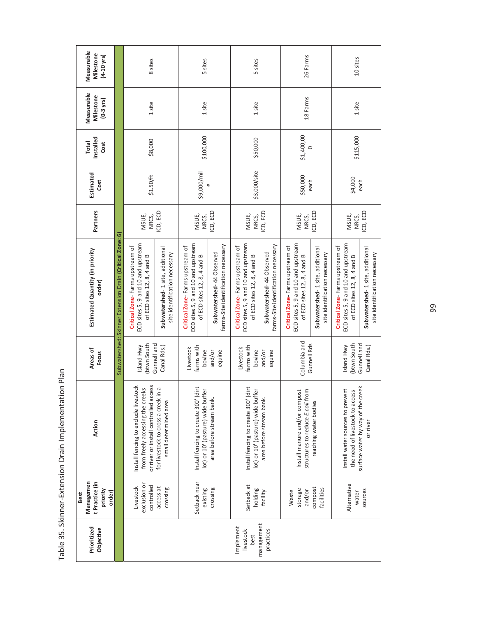| Measurable<br>Milestone<br>$(4 - 10 \text{ yrs})$                |                                                          | 8 sites                                                                                                           |                                                                  | 5 sites                                                                                              |                                                                 | 5 sites                                                                                              |                                                                 | 26 Farms                                                                                             |                                                                  | 10 sites                                                                                             |                                                                  |
|------------------------------------------------------------------|----------------------------------------------------------|-------------------------------------------------------------------------------------------------------------------|------------------------------------------------------------------|------------------------------------------------------------------------------------------------------|-----------------------------------------------------------------|------------------------------------------------------------------------------------------------------|-----------------------------------------------------------------|------------------------------------------------------------------------------------------------------|------------------------------------------------------------------|------------------------------------------------------------------------------------------------------|------------------------------------------------------------------|
| Measurable<br>Milestone<br>$(0-3$ yrs)                           |                                                          | 1 site                                                                                                            |                                                                  | 1 site                                                                                               |                                                                 | 1 site                                                                                               |                                                                 | 18 Farms                                                                                             |                                                                  | 1 site                                                                                               |                                                                  |
| Installed<br><b>Total</b><br>Cost                                |                                                          | \$8,000                                                                                                           |                                                                  | \$100,000                                                                                            |                                                                 | \$50,000                                                                                             |                                                                 | \$1,400,00<br>$\circ$                                                                                |                                                                  | \$115,000                                                                                            |                                                                  |
| Estimated<br>Cost                                                |                                                          | \$1.50/ft                                                                                                         |                                                                  | \$9,000/mil                                                                                          | U                                                               | \$3,000/site                                                                                         |                                                                 | \$50,000                                                                                             | each                                                             | \$4,000                                                                                              | each                                                             |
| Partners                                                         |                                                          | MSUE,<br>NRCS,                                                                                                    | ICD, ECD                                                         | MSUE,<br>NRCS,                                                                                       | ICD, ECD                                                        | MSUE,<br>NRCS,                                                                                       | ICD, ECD                                                        | MSUE,<br>NRCS,                                                                                       | CD, ECD                                                          | MSUE,<br>NRCS,                                                                                       | ICD, ECD                                                         |
| Estimated Quantity (in priority<br>order)                        | Subwatershed: Skinner Extension Drain (Critical Zone: 6) | ECD sites 5, 9 and 10 and upstream<br>Critical Zone-Farms upstream of<br>of ECD sites 12, 8, 4 and B              | Subwatershed-1 site, additional<br>site identification necessary | ECD sites 5, 9 and 10 and upstream<br>Critical Zone-Farms upstream of<br>of ECD sites 12, 8, 4 and B | farms-Site identification necessary<br>Subwatershed-44 Observed | ECD sites 5, 9 and 10 and upstream<br>Critical Zone-Farms upstream of<br>of ECD sites 12, 8, 4 and B | farms-Site identification necessary<br>Subwatershed-44 Observed | ECD sites 5, 9 and 10 and upstream<br>Critical Zone-Farms upstream of<br>of ECD sites 12, 8, 4 and B | Subwatershed-1 site, additional<br>site identification necessary | ECD sites 5, 9 and 10 and upstream<br>Critical Zone-Farms upstream of<br>of ECD sites 12, 8, 4 and B | Subwatershed-1 site, additional<br>site identification necessary |
| Areas of<br>Focus                                                |                                                          | (btwn South<br>Island Hwy                                                                                         | Gunnell and<br>Canal Rds.)                                       | farms with<br>Livestock<br>bovine                                                                    | and/or<br>equine                                                | farms with<br>Livestock<br>bovine                                                                    | and/or<br>equine                                                | Columbia and<br>Gunnell Rds                                                                          |                                                                  | <b>Ibtwn South</b><br>Island Hwy                                                                     | Gunnell and<br>Canal Rds.)                                       |
| Action                                                           |                                                          | or river or install controlled access<br>Install fencing to exclude livestock<br>from freely accessing the creeks | for livestock to cross a creek in a<br>small determined area     | Install fencing to create 300' (dirt<br>lot) or 10' (pasture) wide buffer                            | area before stream bank.                                        | Install fencing to create 300' (dirt<br>lot) or 10' (pasture) wide buffer                            | area before stream bank.                                        | Install manure and/or compost<br>structures to reduce E.coli from                                    | reaching water bodies                                            | the need of livestock to access<br>Install water sources to prevent                                  | surface water by way of the creek<br>or river                    |
| Managemen<br>t Practice (in<br>priority<br>order)<br><b>Best</b> |                                                          | exclusion or<br>controlled<br>Livestock                                                                           | access at<br>crossing                                            | Setback near<br>existing                                                                             | crossing                                                        | Setback at<br>holding                                                                                | facility                                                        | storage<br>and/or<br>Waste                                                                           | compost<br>facilities                                            | Alternative<br>water                                                                                 | sources                                                          |
| Prioritized<br>Objective                                         |                                                          |                                                                                                                   |                                                                  |                                                                                                      |                                                                 | Implement<br>livestock<br>best                                                                       | management<br>practices                                         |                                                                                                      |                                                                  |                                                                                                      |                                                                  |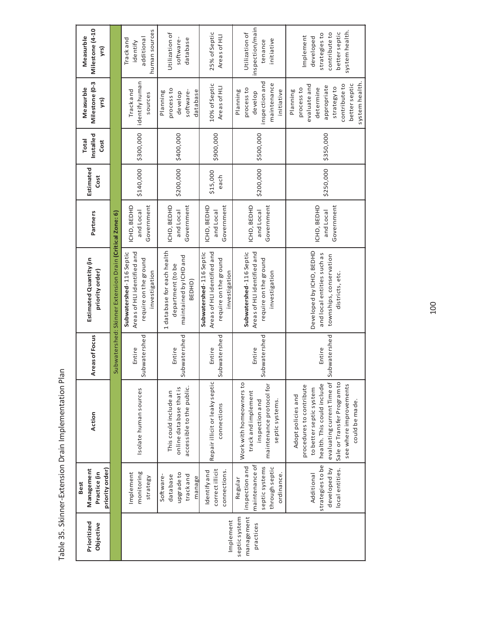| Milestone (4-10<br>Measurble | yrs)                            |                                                          | human sources<br>additional<br>Track and<br>identify                                             | Utilization of<br>software-<br>database                                             | 25% of Septic<br>Areas of HLI                                                                    | inspection/main<br>Utilization of<br>initiative<br>tenance                                                      | system health.<br>better septic<br>strategies to<br>contribute to<br>Implement<br>developed                                                                                                                      |
|------------------------------|---------------------------------|----------------------------------------------------------|--------------------------------------------------------------------------------------------------|-------------------------------------------------------------------------------------|--------------------------------------------------------------------------------------------------|-----------------------------------------------------------------------------------------------------------------|------------------------------------------------------------------------------------------------------------------------------------------------------------------------------------------------------------------|
| Milestone (0-3<br>Measurble  | yrs)                            |                                                          | identify human<br>Track and<br>sources                                                           | process to<br>database<br>software-<br>Planning<br>develop                          | 10% of Septic<br>Areas of HLI                                                                    | inspection and<br>maintenance<br>process to<br>initiative<br>Planning<br>develop                                | system health.<br>evaluate and<br>contribute to<br>better septic<br>appropriate<br>strategyto<br>process to<br>determine<br>Planning                                                                             |
| Installed<br><b>Total</b>    | Cost                            |                                                          | \$300,000                                                                                        | \$400,000                                                                           | \$900,000                                                                                        | \$500,000                                                                                                       | \$350,000                                                                                                                                                                                                        |
| Estimated                    | Cost                            |                                                          | \$140,000                                                                                        | \$200,000                                                                           | \$15,000<br>each                                                                                 | \$200,000                                                                                                       | \$250,000                                                                                                                                                                                                        |
| Partners                     |                                 |                                                          | Government<br>ICHD, BEDHD<br>and Local                                                           | Government<br>ICHD, BEDHD<br>and Local                                              | Government<br>ICHD, BEDHD<br>and Local                                                           | Government<br>ICHD, BEDHD<br>and Local                                                                          | ICHD, BEDHD<br>Government<br>and Local                                                                                                                                                                           |
| Estimated Quantity (in       | priority order)                 | Subwatershed: Skinner Extension Drain (Critical Zone: 6) | Areas of HLI identified and<br>Subwatershed-116 Septic<br>require on the ground<br>investigation | 1 database for each health<br>maintained by ICHD and<br>department (to be<br>BEDHD) | Areas of HLI identified and<br>Subwatershed-116 Septic<br>require on the ground<br>investigation | Subwatershed-116 Septic<br>Areas of HLI identified and<br>require on the ground<br>investigation                | Developed by ICHD, BEDHD<br>and local entities such as<br>townships, conservation<br>districts, etc.                                                                                                             |
| Areas of Focus               |                                 |                                                          | Subwatershed<br>Entire                                                                           | ubwatershed<br>Entire<br>Ū                                                          | Subwatershed<br>Entire                                                                           | Subwatershed<br>Entire                                                                                          | Subwatershed<br>Entire                                                                                                                                                                                           |
| Action                       |                                 |                                                          | Isolate human sources                                                                            | accessible to the public.<br>online database that is<br>This could include an       | Repair illicit or leaky septic<br>connections                                                    | Work with homeowners to<br>maintenance protocol for<br>track and implement<br>septic systems.<br>inspection and | evaluating current Time of<br>Sale or Transfer Program to<br>health. This could include<br>see where improvements<br>procedures to contribute<br>to better septic system<br>Adopt policies and<br>could be made. |
| Management<br><b>Best</b>    | priority order)<br>Practice (in |                                                          | monitoring<br>Implement<br>strategy                                                              | upgrade to<br>Software-<br>trackand<br>database<br>manage                           | correct illicit<br>connections.<br>Identify and                                                  | maintenance of<br>inspection and<br>septic systems<br>through septic<br>ordinance<br>Regular                    | strategies to be<br>local entities.<br>developed by<br>Additional                                                                                                                                                |
| Prioritized                  | Objective                       |                                                          |                                                                                                  |                                                                                     | Implement                                                                                        | management<br>septic system<br>practices                                                                        |                                                                                                                                                                                                                  |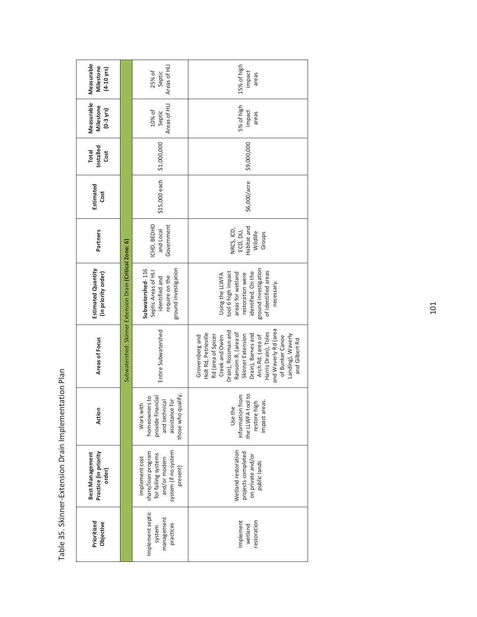| Measurable<br>Milestone<br>$(4 - 10 \text{ yrs})$         |                                                          | Areas of HLI<br>25% of<br>Septic                                                                                 | 15% of high<br>impact<br>areas                                                                                                                                                                                                                                                                         |
|-----------------------------------------------------------|----------------------------------------------------------|------------------------------------------------------------------------------------------------------------------|--------------------------------------------------------------------------------------------------------------------------------------------------------------------------------------------------------------------------------------------------------------------------------------------------------|
| Measurable<br>Milestone<br>$(0-3$ yrs)                    |                                                          | Areas of HLI<br>$10\%$ of<br>Septic                                                                              | 5% of high<br>impact<br>areas                                                                                                                                                                                                                                                                          |
| Installed<br>Total<br>Cost                                |                                                          | \$1,000,000                                                                                                      | \$9,000,000                                                                                                                                                                                                                                                                                            |
| Estimated<br>Cost                                         |                                                          | \$15,000 each                                                                                                    | \$6,000/acre                                                                                                                                                                                                                                                                                           |
| Partners                                                  |                                                          | ICHD, BEDHD<br>Government<br>and Local                                                                           | Habitat and<br>NRCS, ICD,<br>ECD, DU,<br>Wildlife<br>Groups                                                                                                                                                                                                                                            |
| Estimated Quantity<br>(in priority order)                 | Subwatershed: Skinner Extension Drain (Critical Zone: 6) | ground investigation<br>Subwatershed-116<br>Septic Areas of HLI<br>require on the<br>identified and              | ground investigation<br>identified. On the<br>of identified areas<br>tool 6 high impact<br>areas for wetland<br>Using the LLWFA<br>restoration were<br>necessary.                                                                                                                                      |
| Areas of Focus                                            |                                                          | Entire Subwatershed                                                                                              | and Waverly Rd (area<br>Drain), Rossman and<br>Ransom R. (area of<br>Harris Drain), Toles<br>Holt Rd, Petrieville<br>Drain), Barnes and<br>Rd (area of Spicer<br>Landing), Waverly<br>Grovernberg and<br>Skinner Extension<br>Arch Rd. (area of<br>of Bunker Canoe<br>Creek and Owen<br>and Gilbert Rd |
| Action                                                    |                                                          | those who qualify.<br>provide financial<br>homeowners to<br>assistance for<br>and technical<br>Work with         | the LLWFA tool to<br>information from<br>impact areas.<br>restore high<br>Use the                                                                                                                                                                                                                      |
| Practice (in priority<br><b>Best Management</b><br>order) |                                                          | system (if no system<br>share/loan program<br>for failing systems<br>Implement cost<br>and/or modern<br>present) | Wetland restoration<br>projects completed<br>on private and/or<br>public lands                                                                                                                                                                                                                         |
| Prioritized<br>Objective                                  |                                                          | Implement septic<br>management<br>practices<br>system                                                            | Implement<br>restoration<br>wetland                                                                                                                                                                                                                                                                    |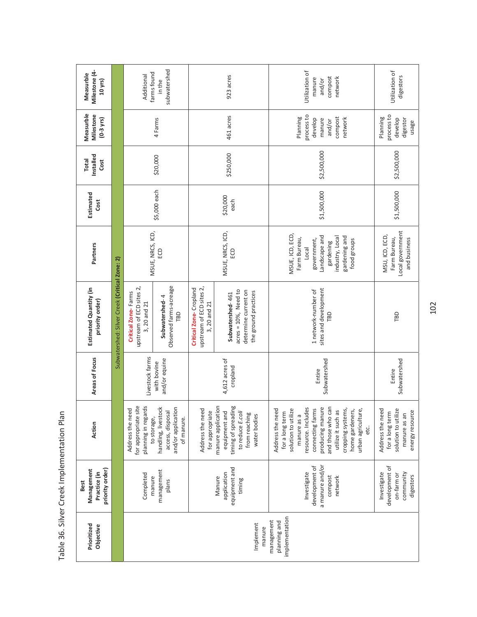| יי ∩ות                               |
|--------------------------------------|
| )<br>;                               |
| mnlamantation L                      |
| Crool/<br>יק∫<br>ק                   |
| Cilver <sub>1</sub><br>)<br>;<br>;   |
| )<br>C<br>م 2<br>م<br>ە ەد<br>)<br>5 |

| Milestone (4-<br>Measurble<br>10 yrs)                 |                                               | Additional                                                      | subwatershed<br>farms found<br>in the                                                      |                                                                    | 923 acres                                                                                                       | Utilization of<br>compost<br>network<br>manure<br>and/or                                                                                                                                                                                                 | Utilization of<br>digestors                                                                   |
|-------------------------------------------------------|-----------------------------------------------|-----------------------------------------------------------------|--------------------------------------------------------------------------------------------|--------------------------------------------------------------------|-----------------------------------------------------------------------------------------------------------------|----------------------------------------------------------------------------------------------------------------------------------------------------------------------------------------------------------------------------------------------------------|-----------------------------------------------------------------------------------------------|
| Measurble<br>Milestone<br>$(0-3$ yrs)                 |                                               |                                                                 | 4 Farms                                                                                    |                                                                    | 461 acres                                                                                                       | process to<br>Planning<br>compost<br>develop<br>manure<br>network<br>and/or                                                                                                                                                                              | process to<br>Planning<br>develop<br>digestor<br>usage                                        |
| Installed<br><b>Total</b><br>Cost                     |                                               |                                                                 | \$20,000                                                                                   |                                                                    | \$250,000                                                                                                       | \$2,500,000                                                                                                                                                                                                                                              | \$2,500,000                                                                                   |
| Estimated<br>Cost                                     |                                               |                                                                 | \$5,000 each                                                                               |                                                                    | \$20,000<br>each                                                                                                | \$1,500,000                                                                                                                                                                                                                                              | \$1,500,000                                                                                   |
| Partners                                              |                                               |                                                                 | MSUE, NRCS, ICD,<br>ECD                                                                    |                                                                    | MSUE, NRCS, ICD,<br>6D                                                                                          | MSUE, ICD, ECD,<br>Landscape and<br>industry, Local<br>gardening and<br>Farm Bureau,<br>government,<br>food groups<br>gardening<br>log <sub>o</sub>                                                                                                      | Local government<br>MSU, ICD, ECD,<br>Farm Bureau,<br>and business                            |
| Estimated Quantity (in<br>priority order)             | Subwatershed: Silver Creek (Critical Zone: 2) | upstream of ECD sites 2,<br>Critical Zone-Farms<br>3, 20 and 21 | Observed farms-acreage<br>Subwatershed-4<br>TBD                                            | upstream of ECD sites 2,<br>Critical Zone-Cropland<br>3, 20 and 21 | $acres = 10%$ , Need to<br>determine current on<br>the ground practices<br>Subwatershed-461                     | sites and development<br>1 network-number of<br>ГBD                                                                                                                                                                                                      | TBD                                                                                           |
| Areas of Focus                                        |                                               | Livestock farms                                                 | and/or equine<br>with bovine                                                               |                                                                    | $4,612$ acres of<br>cropland                                                                                    | Subwatershed<br>Entire                                                                                                                                                                                                                                   | Subwatershed<br>Entire                                                                        |
| Action                                                |                                               | for appropriate site<br>planning in regards<br>Address the need | and/or application<br>handling, livestock<br>access, disposal<br>to storage,<br>of manure. | Address the need<br>for appropriate                                | manure application<br>timing of spreading<br>equipment and<br>to reduce E.coli<br>from reaching<br>water bodies | and those who can<br>producing manure<br>resource. Includes<br>connecting farms<br>cropping systems,<br>utilize it such as<br>home gardeners,<br>urban agriculture,<br>Address the need<br>solution to utilize<br>for a long term<br>manure as a<br>etc. | Address the need<br>solution to utilize<br>energy resource<br>for a long term<br>manure as an |
| priority order)<br>Management<br>Practice (in<br>Best |                                               | Completed                                                       | management<br>manure<br>plans                                                              |                                                                    | equipment and<br>application<br>Manure<br>timing                                                                | a manure and/or<br>development of<br>Investigate<br>compost<br>network                                                                                                                                                                                   | development of<br>Investigate<br>on-farm or<br>community<br>digestors                         |
| Prioritized<br>Objective                              |                                               |                                                                 |                                                                                            |                                                                    | Implement<br>manure                                                                                             | implementation<br>management<br>planning and                                                                                                                                                                                                             |                                                                                               |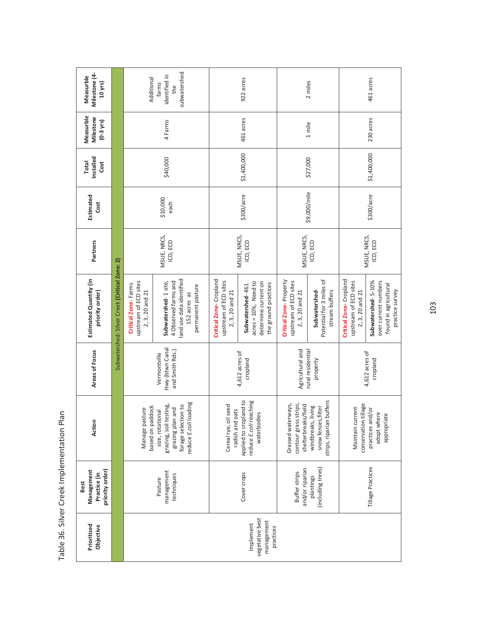| Milestone (4-<br>Measurble<br>10 yrs)                 |                                               | Additional                                                      | subwatershed<br>identified in<br>farms<br>the                                                                  |                                                                    | 922 acres                                                                                    |                                                                    | 2 miles                                                                     |                                                                    | 461 acres                       |
|-------------------------------------------------------|-----------------------------------------------|-----------------------------------------------------------------|----------------------------------------------------------------------------------------------------------------|--------------------------------------------------------------------|----------------------------------------------------------------------------------------------|--------------------------------------------------------------------|-----------------------------------------------------------------------------|--------------------------------------------------------------------|---------------------------------|
| Measurble<br>Milestone<br>$(0-3$ yrs)                 |                                               |                                                                 | 4 Farms                                                                                                        |                                                                    | 461 acres                                                                                    |                                                                    | 1 mile                                                                      |                                                                    | 230 acres                       |
| Installed<br><b>Total</b><br>Cost                     |                                               |                                                                 | \$40,000                                                                                                       |                                                                    | \$1,400,000                                                                                  |                                                                    | \$27,000                                                                    |                                                                    | \$1,400,000                     |
| Estimated<br>Cost                                     |                                               |                                                                 | \$10,000<br>each                                                                                               |                                                                    | \$300/acre                                                                                   |                                                                    | \$9,000/mile                                                                |                                                                    | \$300/acre                      |
| Partners                                              |                                               |                                                                 | MSUE, NRCS,<br>ICD, ECD                                                                                        |                                                                    | MSUE, NRCS,<br>ICD, ECD                                                                      | MSUE, NRCS,                                                        | ICD, ECD                                                                    |                                                                    | MSUE, NRCS,<br>ICD, ECD         |
| Estimated Quantity (in<br>priority order)             | Subwatershed: Silver Creek (Critical Zone: 2) | upstream of ECD sites<br>Critical Zone-Farms<br>2, 3, 20 and 21 | land use data identified<br>4 Observed farms and<br>Subwatershed-1site,<br>permanent pasture<br>152 acres as   | Critical Zone-Cropland<br>upstream of ECD sites<br>2, 3, 20 and 21 | $acres = 10\%$ , Need to<br>determine current on<br>the ground practices<br>Subwatershed-461 | Critical Zone-Property<br>upstream of ECD sites<br>2, 3, 20 and 21 | Potential for 3 miles of<br>Subwatershed-<br>stream buffers                 | Critical Zone-Cropland<br>upstream of ECD sites<br>2, 3, 20 and 21 | Subwatershed-5-10%              |
| Areas of Focus                                        |                                               |                                                                 | Hwy (btwn Canal<br>and Smith Rds.)<br>Vermontville                                                             |                                                                    | 4,612 acres of<br>cropland                                                                   | Agricultural and                                                   | rural residential<br>property                                               |                                                                    | 4,612 acres of<br>cropland      |
| Action                                                |                                               | based on paddock<br>Manage pasture                              | reduce E.coli loading<br>grazing, soil testing,<br>forage selection to<br>grazing plan and<br>size, rotational | I seed<br>radish and oats<br>Cereal rye, oil                       | applied to cropland to<br>reduce E.coli reaching<br>waterbodies                              | contour grass strips,<br>Grassed waterways,<br>shelterbreaks/field | buffers<br>living<br>snow fences, filter<br>windbreaks,<br>strips, riparian | conservation tillage<br>Maintain current                           | practices and/or<br>adopt where |
| Management<br>priority order)<br>Practice (in<br>Best |                                               |                                                                 | management<br>techniques<br>Pasture                                                                            |                                                                    | Cover crops                                                                                  | and/or riparian<br><b>Buffer strips</b>                            | (including trees)<br>plantings                                              |                                                                    | Tillage Practices               |
| Prioritized<br>Objective                              |                                               |                                                                 |                                                                                                                |                                                                    | vegetative best<br>management<br>Implement<br>practices                                      |                                                                    |                                                                             |                                                                    |                                 |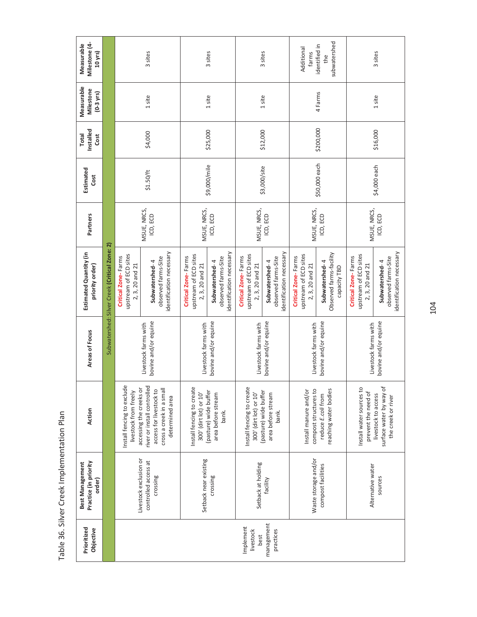| Partners<br>Subwatershed: Silver Creek (Critical Zone: 2)<br>Estimated Quantity (in<br>priority order)<br>Areas of Focus<br>Action<br>Practice (in priority<br><b>Best Management</b><br>order)                                                                |  |  |                         | Estimated<br>Cost | Installed<br>Total<br>Cost | Measurable<br>Milestone<br>$(0-3$ yrs) | Milestone (4-<br>Measurable<br>10 yrs) |
|----------------------------------------------------------------------------------------------------------------------------------------------------------------------------------------------------------------------------------------------------------------|--|--|-------------------------|-------------------|----------------------------|----------------------------------------|----------------------------------------|
| upstream of ECD sites<br>Critical Zone-Farms<br>2, 3, 20 and 21<br>Install fencing to exclude<br>accessing the creeks or<br>livestock from freely<br>Livestock exclusion or                                                                                    |  |  |                         |                   |                            |                                        |                                        |
| identification necessary<br>observed farms-Site<br>Subwatershed-4<br>bovine and/or equine<br>Livestock farms with<br>river or install controlled<br>cross a creek in a small<br>access for livestock to<br>determined area<br>controlled access at<br>crossing |  |  | MSUE, NRCS,<br>ICD, ECD | \$1.50/ft         | \$4,000                    | 1 site                                 | 3 sites                                |
| upstream of ECD sites<br>Critical Zone-Farms<br>2, 3, 20 and 21<br>Livestock farms with<br>Install fencing to create<br>300' (dirt lot) or 10'<br>Setback near existing                                                                                        |  |  | MSUE, NRCS,             |                   |                            |                                        |                                        |
| identification necessary<br>observed farms-Site<br>Subwatershed-4<br>bovine and/or equine<br>(pasture) wide buffer<br>area before stream<br>bank.<br>crossing                                                                                                  |  |  | ICD, ECD                | \$9,000/mile      | \$25,000                   | 1 site                                 | 3 sites                                |
| upstream of ECD sites<br>Critical Zone-Farms<br>2, 3, 20 and 21<br>Livestock farms with<br>Install fencing to create<br>(pasture) wide buffer<br>300' (dirt lot) or 10'<br>Setback at holding                                                                  |  |  | MSUE, NRCS,             | \$3,000/site      | \$12,000                   |                                        |                                        |
| dentification necessary<br>observed farms-Site<br>Subwatershed-4<br>bovine and/or equine<br>area before stream<br>bank.<br>facility                                                                                                                            |  |  | ICD, ECD                |                   |                            | 1 site                                 | 3 sites                                |
| upstream of ECD sites<br>Critical Zone-Farms<br>2, 3, 20 and 21<br>Livestock farms with<br>compost structures to<br>Install manure and/or<br>Waste storage and/or                                                                                              |  |  | MSUE, NRCS,             |                   |                            |                                        | Additional<br>farms                    |
| Observed farms-facility<br>Subwatershed-4<br>capacity TBD<br>bovine and/or equine<br>reaching water bodies<br>reduce E.coli from<br>compost facilities                                                                                                         |  |  | ICD, ECD                | \$50,000 each     | \$200,000                  | 4 Farms                                | subwatershed<br>identified in<br>the   |
| upstream of ECD sites<br>Critical Zone-Farms<br>2, 3, 20 and 21<br>Livestock farms with<br>Install water sources to<br>prevent the need of<br>Alternative water                                                                                                |  |  | MSUE, NRCS,             |                   |                            |                                        |                                        |
| identification necessary<br>observed farms-Site<br>Subwatershed-4<br>bovine and/or equine<br>surface water by way of<br>livestock to access<br>the creek or river<br>sources                                                                                   |  |  | ICD, ECD                | \$4,000 each      | \$16,000                   | 1 site                                 | 3 sites                                |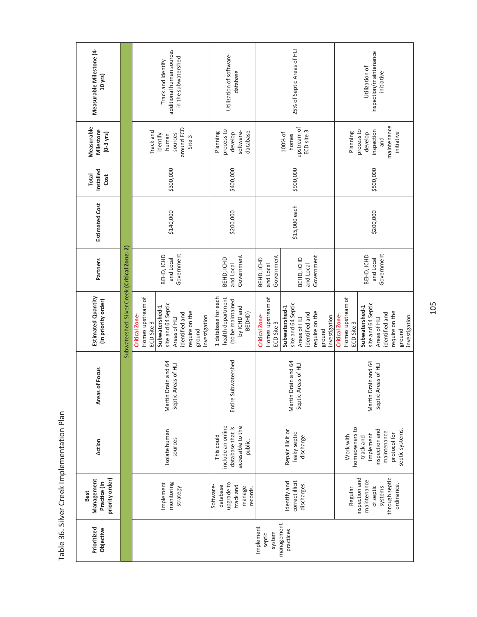| Measurable Milestone (4-<br>10 yrs)                   |                                               |                                                         | additional human sources<br>in the subwatershed<br>Track and identify                              |               | Utilization of software-<br>database                                                   |                                                         | 25% of Septic Areas of HLI                                                                                          |                                                         | inspection/maintenance<br>Utilization of<br>initiative                                                              |
|-------------------------------------------------------|-----------------------------------------------|---------------------------------------------------------|----------------------------------------------------------------------------------------------------|---------------|----------------------------------------------------------------------------------------|---------------------------------------------------------|---------------------------------------------------------------------------------------------------------------------|---------------------------------------------------------|---------------------------------------------------------------------------------------------------------------------|
| Measurable<br>Milestone<br>$(0-3$ yrs $)$             |                                               | Track and                                               | around ECD<br>sources<br>identify<br>human<br>Site 3                                               |               | process to<br>database<br>software-<br>Planning<br>develop                             |                                                         | upstream of<br>ECD site 3<br>100% of<br>homes                                                                       | Planning                                                | maintenance<br>process to<br>inspection<br>initiative<br>develop<br>and                                             |
| Installed<br><b>Total</b><br>Cost                     |                                               |                                                         | \$300,000                                                                                          |               | \$400,000                                                                              |                                                         | \$900,000                                                                                                           |                                                         | \$500,000                                                                                                           |
| <b>Estimated Cost</b>                                 |                                               |                                                         | \$140,000                                                                                          |               | \$200,000                                                                              |                                                         | \$15,000 each                                                                                                       |                                                         | \$200,000                                                                                                           |
| Partners                                              |                                               |                                                         | Government<br>BEHD, ICHD<br>and Local                                                              |               | Government<br>BEHD, ICHD<br>and Local                                                  | Government<br>BEHD, ICHD<br>and Local                   | Government<br>BEHD, ICHD<br>and Local                                                                               |                                                         | BEHD, ICHD<br>Government<br>and Local                                                                               |
| <b>Estimated Quantity</b><br>(in priority order)      | Subwatershed: Silver Creek (Critical Zone: 2) | Homes upstream of<br><b>Critical Zone</b><br>ECD Site 3 | site and 64 Septic<br>Subwatershed-1<br>require on the<br>identified and<br>Areas of HLI<br>ground | investigation | 1 database for each<br>health department<br>(to be maintained<br>by ICHD and<br>BEDHD) | Homes upstream of<br><b>Critical Zone</b><br>ECD Site 3 | site and 64 Septic<br>Subwatershed-1<br>require on the<br>identified and<br>investigation<br>Areas of HLI<br>ground | Homes upstream of<br><b>Critical Zone</b><br>ECD Site 3 | site and 64 Septic<br>Subwatershed-1<br>require on the<br>identified and<br>investigation<br>Areas of HLI<br>ground |
| Areas of Focus                                        |                                               |                                                         | Drain and 64<br>Areas of HLI<br>Martin<br>Septic                                                   |               | Entire Subwatershed                                                                    |                                                         | Drain and 64<br>Areas of HLI<br>Martin<br>Septic                                                                    |                                                         | Drain and 64<br>Areas of HLI<br>Martin<br>Septic                                                                    |
| Action                                                |                                               |                                                         | Isolate human<br>sources                                                                           |               | include an online<br>accessible to the<br>database that is<br>This could<br>public.    |                                                         | Repair illicit or<br>leaky septic<br>discharge                                                                      | homeowners to<br>Work with                              | septic systems.<br>inspection and<br>maintenance<br>protocol for<br>implement<br>track and                          |
| priority order)<br>Management<br>Practice (in<br>Best |                                               |                                                         | monitoring<br>Implement<br>strategy                                                                |               | upgrade to<br>Software-<br>database<br>track and<br>manage<br>records.                 |                                                         | correct illicit<br>Identify and<br>discharges.                                                                      | Regular                                                 | through septic<br>inspection and<br>maintenance<br>ordinance.<br>of septic<br>systems                               |
| Prioritized<br>Objective                              |                                               |                                                         |                                                                                                    |               |                                                                                        | Implement<br>system<br>septic                           | management<br>practices                                                                                             |                                                         |                                                                                                                     |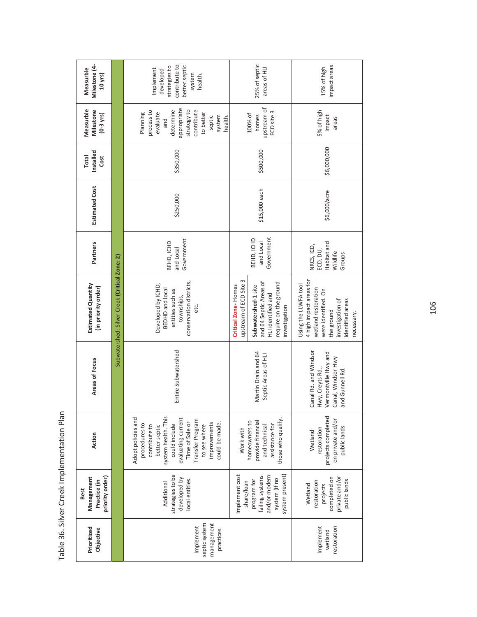| Milestone (4-<br>Measurble<br>10 yrs)                 |                                               | contribute to<br>strategies to<br>better septic<br>Implement<br>developed<br>system<br>health.                                                                                                                               |                                               | 25% of septic<br>areas of HLI                                                                                 | impact areas<br>15% of high                                                                                                                                       |
|-------------------------------------------------------|-----------------------------------------------|------------------------------------------------------------------------------------------------------------------------------------------------------------------------------------------------------------------------------|-----------------------------------------------|---------------------------------------------------------------------------------------------------------------|-------------------------------------------------------------------------------------------------------------------------------------------------------------------|
| Measurble<br>Milestone<br>$(0-3$ yrs)                 |                                               | appropriate<br>strategy to<br>determine<br>contribute<br>process to<br>Planning<br>evaluate<br>to better<br>system<br>septic<br>health.<br>and                                                                               |                                               | upstream of<br>ECD site 3<br>100% of<br>homes                                                                 | 5% of high<br>impact<br>areas                                                                                                                                     |
| Installed<br><b>Total</b><br>Cost                     |                                               | \$350,000                                                                                                                                                                                                                    |                                               | \$500,000                                                                                                     | \$6,000,000                                                                                                                                                       |
| Estimated Cost                                        |                                               | \$250,000                                                                                                                                                                                                                    |                                               | \$15,000 each                                                                                                 | \$6,000/acre                                                                                                                                                      |
| Partners                                              |                                               | Government<br>BEHD, ICHD<br>and Local                                                                                                                                                                                        |                                               | Government<br>BEHD, ICHD<br>and Local                                                                         | Habitat and<br>NRCS, ICD,<br>ECD, DU,<br>Wildlife<br>Groups                                                                                                       |
| Estimated Quantity<br>(in priority order)             | Subwatershed: Silver Creek (Critical Zone: 2) | conservation districts,<br>Developed by ICHD,<br>BEDHD and local<br>entities such as<br>townships,<br>etc.                                                                                                                   | upstream of ECD Site 3<br>Critical Zone-Homes | and 64 Septic Areas of<br>require on the ground<br>Subwatershed-1 site<br>HLI identified and<br>investigation | 4 high impact areas for<br>Using the LLWFA tool<br>wetland restoration<br>were identified. On<br>identified areas<br>investigation of<br>the ground<br>necessary. |
| Areas of Focus                                        |                                               | Entire Subwatershed                                                                                                                                                                                                          |                                               | Martin Drain and 64<br>Septic Areas of HLI                                                                    | Canal Rd. and Windsor<br>Vermontville Hwy and<br>Canal, Windsor Hwy<br>Hwy, Creyts Rd.,<br>and Gunnell Rd.                                                        |
| Action                                                |                                               | system health. This<br>Adopt policies and<br>evaluating current<br>Transfer Program<br>Time of Sale or<br>improvements<br>could be made.<br>procedures to<br>could include<br>to see where<br>contribute to<br>better septic | Work with                                     | those who qualify.<br>homeowners to<br>provide financial<br>assistance for<br>and technical                   | projects completed<br>on private and/or<br>public lands<br>restoration<br>Wetland                                                                                 |
| Management<br>priority order)<br>Practice (in<br>Best |                                               | strategies to be<br>developed by<br>local entities.<br>Additional                                                                                                                                                            | Implement cost<br>share/loan                  | and/or modern<br>system present)<br>failing systems<br>system (if no<br>program for                           | private and/or<br>completed on<br>public lands<br>restoration<br>Wetland<br>projects                                                                              |
| Prioritized<br>Objective                              |                                               | septic system<br>management<br>Implement<br>practices                                                                                                                                                                        |                                               |                                                                                                               | Implement<br>restoration<br>wetland                                                                                                                               |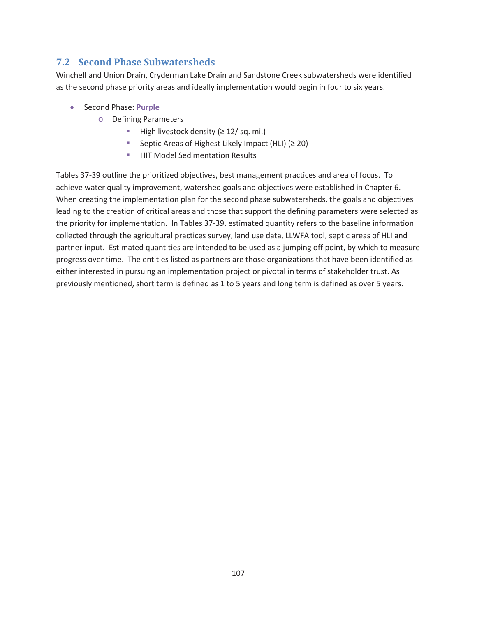## **7.2 Second Phase Subwatersheds**

Winchell and Union Drain, Cryderman Lake Drain and Sandstone Creek subwatersheds were identified as the second phase priority areas and ideally implementation would begin in four to six years.

- **•** Second Phase: **Purple** 
	- o Defining Parameters
		- High livestock density ( $\geq$  12/ sq. mi.)
		- Septic Areas of Highest Likely Impact (HLI)  $(≥ 20)$
		- **HIT Model Sedimentation Results**

Tables 37-39 outline the prioritized objectives, best management practices and area of focus. To achieve water quality improvement, watershed goals and objectives were established in Chapter 6. When creating the implementation plan for the second phase subwatersheds, the goals and objectives leading to the creation of critical areas and those that support the defining parameters were selected as the priority for implementation. In Tables 37-39, estimated quantity refers to the baseline information collected through the agricultural practices survey, land use data, LLWFA tool, septic areas of HLI and partner input. Estimated quantities are intended to be used as a jumping off point, by which to measure progress over time. The entities listed as partners are those organizations that have been identified as either interested in pursuing an implementation project or pivotal in terms of stakeholder trust. As previously mentioned, short term is defined as 1 to 5 years and long term is defined as over 5 years.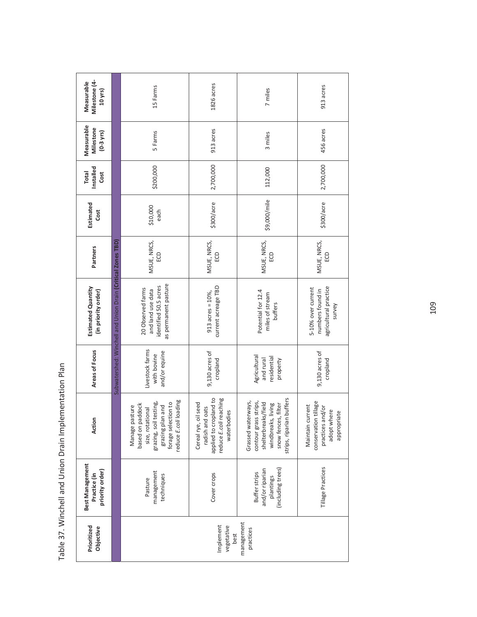| Milestone (4-<br>Measurable<br>$10$ yrs)           |                                                             | 15 Farms                                                                                                                                             | 1826 acres                                                                                                    | 7 miles                                                                                                                                     | 913 acres                                                                                  |
|----------------------------------------------------|-------------------------------------------------------------|------------------------------------------------------------------------------------------------------------------------------------------------------|---------------------------------------------------------------------------------------------------------------|---------------------------------------------------------------------------------------------------------------------------------------------|--------------------------------------------------------------------------------------------|
| Measurable<br>Milestone<br>$(0-3 \text{ yrs})$     |                                                             | 5 Farms                                                                                                                                              | 913 acres                                                                                                     | 3 miles                                                                                                                                     | 456 acres                                                                                  |
| Installed<br>Total<br>Cost                         |                                                             | \$200,000                                                                                                                                            | 2,700,000                                                                                                     | 112,000                                                                                                                                     | 2,700,000                                                                                  |
| Estimated<br>Cost                                  |                                                             | \$10,000<br>each                                                                                                                                     | \$300/acre                                                                                                    | \$9,000/mile                                                                                                                                | \$300/acre                                                                                 |
| Partners                                           |                                                             | MSUE, NRCS,<br>e                                                                                                                                     | MSUE, NRCS,<br>S                                                                                              | MSUE, NRCS,<br>eo                                                                                                                           | MSUE, NRCS,<br>eo                                                                          |
| <b>Estimated Quantity</b><br>(in priority order)   | Subwatershed: Winchell and Union Drain (Critical Zones TBD) | as permanent pasture<br>identified 50.5 acres<br>20 Observed farms<br>and land use data                                                              | current acreage TBD<br>$913$ acres = $10\%$ ,                                                                 | Potential for 12.4<br>miles of stream<br>buffers                                                                                            | 5-10% over current<br>agricultural practice<br>numbers found in<br>survey                  |
| Areas of Focus                                     |                                                             | Livestock farms<br>and/or equine<br>with bovine                                                                                                      | 9,130 acres of<br>cropland                                                                                    | Agricultural<br>residential<br>and rural<br>property                                                                                        | 9,130 acres of<br>cropland                                                                 |
| Action                                             |                                                             | reduce E.coli loading<br>grazing, soil testing,<br>forage selection to<br>based on paddock<br>grazing plan and<br>Manage pasture<br>size, rotational | reaching<br>applied to cropland to<br>Cereal rye, oil seed<br>radish and oats<br>waterbodies<br>reduce E.coli | strips, riparian buffers<br>Grassed waterways,<br>contour grass strips,<br>shelterbreaks/field<br>snow fences, filter<br>windbreaks, living | conservation tillage<br>Maintain current<br>practices and/or<br>adopt where<br>appropriate |
| Best Management<br>priority order)<br>Practice (in |                                                             | management<br>techniques<br>Pasture                                                                                                                  | Cover crops                                                                                                   | (including trees)<br>and/or riparian<br>Buffer strips<br>plantings                                                                          | Tillage Practices                                                                          |
| Prioritized<br>Objective                           |                                                             |                                                                                                                                                      | Implement<br>vegetative<br>best                                                                               | management<br>practices                                                                                                                     |                                                                                            |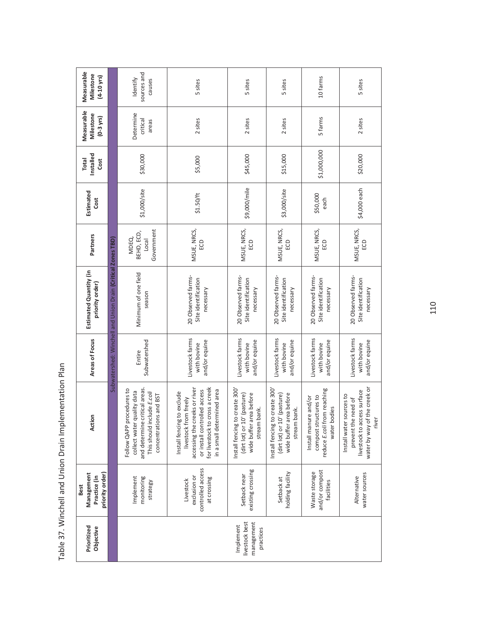| Measurable<br>Milestone<br>$(4 - 10$ yrs)                    |                                                             | sources and<br>Identify<br>causes                                                                                                                | 5 sites                                                                                                                                                                              | 5 sites                                                                                                 | 5 sites                                                                                                  | 10 farms                                                                                      | 5 sites                                                                                                                    |
|--------------------------------------------------------------|-------------------------------------------------------------|--------------------------------------------------------------------------------------------------------------------------------------------------|--------------------------------------------------------------------------------------------------------------------------------------------------------------------------------------|---------------------------------------------------------------------------------------------------------|----------------------------------------------------------------------------------------------------------|-----------------------------------------------------------------------------------------------|----------------------------------------------------------------------------------------------------------------------------|
| Measurable<br>Milestone<br>$(0-3$ yrs)                       |                                                             | Determine<br>critical<br>areas                                                                                                                   | 2 sites                                                                                                                                                                              | 2 sites                                                                                                 | 2 sites                                                                                                  | 5 farms                                                                                       | 2 sites                                                                                                                    |
| Installed<br><b>Total</b><br>Cost                            |                                                             | \$30,000                                                                                                                                         | \$5,000                                                                                                                                                                              | \$45,000                                                                                                | \$15,000                                                                                                 | \$1,000,000                                                                                   | \$20,000                                                                                                                   |
| Estimated<br>Cost                                            |                                                             | \$1,000/site                                                                                                                                     | \$1.50/ft                                                                                                                                                                            | \$9,000/mile                                                                                            | \$3,000/site                                                                                             | \$50,000<br>each                                                                              | \$4,000 each                                                                                                               |
| Partners                                                     |                                                             | Government<br>BEHD, ECD,<br>MDEQ,<br>Loca                                                                                                        | MSUE, NRCS,<br>ECD                                                                                                                                                                   | MSUE, NRCS,<br>S                                                                                        | MSUE, NRCS,<br>ECD                                                                                       | MSUE, NRCS,<br>S                                                                              | MSUE, NRCS,<br>ECD                                                                                                         |
| Estimated Quantity (in<br>priority order)                    | Subwatershed: Winchell and Union Drain (Critical Zones TBD) | Minimum of one field<br>season                                                                                                                   | 20 Observed farms-<br>Site identification<br>necessary                                                                                                                               | 20 Observed farms-<br>Site identification<br>necessary                                                  | 20 Observed farms-<br>Site identification<br>necessary                                                   | 20 Observed farms-<br>Site identification<br>necessary                                        | 20 Observed farms-<br>Site identification<br>necessary                                                                     |
| Areas of Focus                                               |                                                             | Subwatershed<br>Entire                                                                                                                           | Livestock farms<br>and/or equine<br>with bovine                                                                                                                                      | Livestock farms<br>and/or equine<br>with bovine                                                         | Livestock farms<br>and/or equine<br>with bovine                                                          | Livestock farms<br>and/or equine<br>with bovine                                               | Livestock farms<br>and/or equine<br>with bovine                                                                            |
| Action                                                       |                                                             | and determine critical areas.<br>Follow QAPP procedures to<br>collect water quality data<br>This should include E.coli<br>concentrations and BST | for livestock to cross a creek<br>accessing the creeks or river<br>or install controlled access<br>in a small determined area<br>Install fencing to exclude<br>livestock from freely | Install fencing to create 300<br>wide buffer area before<br>(dirt lot) or 10' (pasture)<br>stream bank. | Install fencing to create 300'<br>(dirt lot) or 10' (pasture)<br>wide buffer area before<br>stream bank. | reduce E.coli from reaching<br>compost structures to<br>Install manure and/or<br>water bodies | the creek or<br>livestock to access surface<br>Install water sources to<br>prevent the need of<br>water by way of<br>river |
| priority order)<br>Management<br>Practice (in<br><b>Best</b> |                                                             | Implement<br>monitoring<br>strategy                                                                                                              | controlled access<br>exclusion or<br>at crossing<br>Livestock                                                                                                                        | existing crossing<br>Setback near                                                                       | holding facility<br>Setback at                                                                           | and/or compost<br>Waste storage<br>facilities                                                 | water sources<br>Alternative                                                                                               |
| Prioritized<br>Objective                                     |                                                             |                                                                                                                                                  |                                                                                                                                                                                      | livestock best<br>management<br>Implement<br>practices                                                  |                                                                                                          |                                                                                               |                                                                                                                            |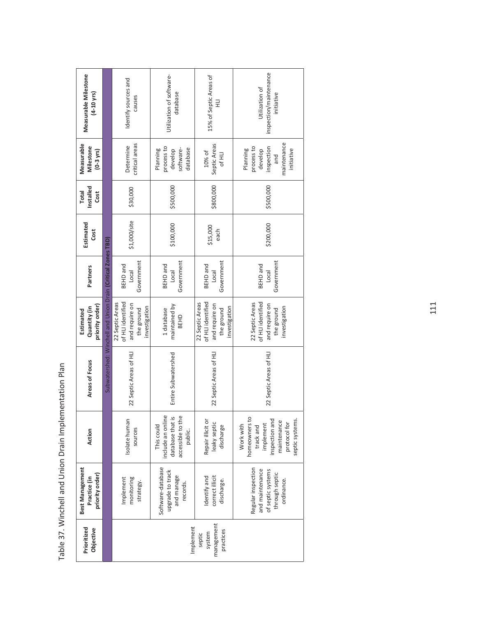| Measurable Milestone<br>$(4 - 10$ yrs)             |                                                             | Identify sources and<br>causes                                                        | Utilization of software-<br>database                                                | 15% of Septic Areas of<br>긒                                                           | inspection/maintenance<br>Utilization of<br>initiative                                                                   |                        |
|----------------------------------------------------|-------------------------------------------------------------|---------------------------------------------------------------------------------------|-------------------------------------------------------------------------------------|---------------------------------------------------------------------------------------|--------------------------------------------------------------------------------------------------------------------------|------------------------|
| Measurable<br>Milestone<br>$(0-3 \text{ yrs})$     |                                                             | critical areas<br>Determine                                                           | process to<br>software-<br>database<br>Planning<br>develop                          | Septic Areas<br>10% of<br>of HLI                                                      | maintenance<br>process to<br>inspection<br>Planning<br>initiative<br>develop<br>and                                      |                        |
| Installed<br><b>Total</b><br>Cost                  |                                                             | \$30,000                                                                              | \$500,000                                                                           | \$800,000                                                                             | \$500,000                                                                                                                |                        |
| Estimated<br>Cost                                  |                                                             | \$1,000/site                                                                          | \$100,000                                                                           | \$15,000<br>each                                                                      | \$200,000                                                                                                                |                        |
| Partners                                           |                                                             | Government<br><b>BEHD</b> and<br><b>Local</b>                                         | Government<br><b>BEHD</b> and<br>log <sub>o</sub>                                   | Government<br><b>BEHD</b> and<br><b>Local</b>                                         | Government<br><b>BEHD</b> and<br><b>Local</b>                                                                            |                        |
| priority order)<br>Quantity (in<br>Estimated       | Subwatershed: Winchell and Union Drain (Critical Zones TBD) | of HLI identified<br>22 Septic Areas<br>and require on<br>investigation<br>the ground | maintained by<br>1 database<br>BEHD                                                 | of HLI identified<br>22 Septic Areas<br>and require on<br>investigation<br>the ground | 22 Septic Areas<br>of HLI identified<br>and require on<br>investigation<br>the ground                                    |                        |
| Areas of Focus                                     |                                                             |                                                                                       | 22 Septic Areas of HLI                                                              | Entire Subwatershed                                                                   | 22 Septic Areas of HLI                                                                                                   | 22 Septic Areas of HLI |
| Action                                             |                                                             | Isolate human<br>sources                                                              | include an online<br>accessible to the<br>database that is<br>This could<br>public. | Repair illicit or<br>leaky septic<br>discharge                                        | homeowners to<br>inspection and<br>septic systems.<br>maintenance<br>protocol for<br>implement<br>Work with<br>track and |                        |
| Best Management<br>priority order)<br>Practice (in |                                                             | monitoring<br>Implement<br>strategy.                                                  | Software-database<br>upgrade to track<br>and manage<br>records.                     | correct illicit<br>Identify and<br>discharge.                                         | Regular inspection<br>and maintenance<br>of septic systems<br>through septic<br>ordinance.                               |                        |
| Prioritized<br>Objective                           |                                                             |                                                                                       | Implement                                                                           | management<br>practices<br>system<br>septic                                           |                                                                                                                          |                        |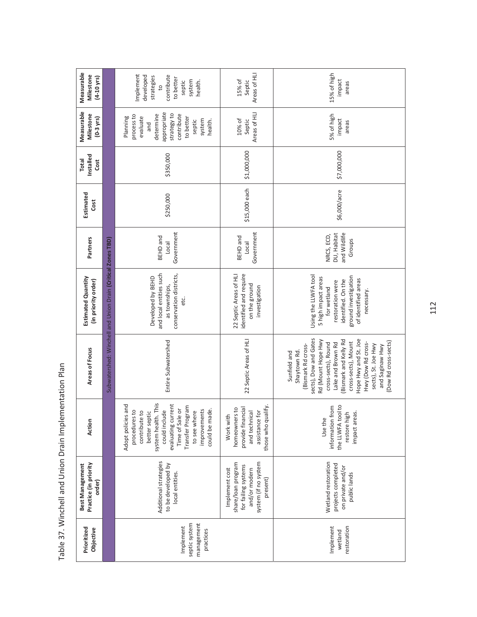| Measurable<br>Milestone<br>$(4 - 10$ yrs)          |                                                             | Implement<br>contribute<br>developed<br>strategies<br>to better<br>system<br>health.<br>septic<br>$\overline{c}$                                                                                                             | Areas of HLI<br>15% of<br>Septic                                                                                 | 15% of high<br>impact<br>areas                                                                                                                                                                                                                                                                               |
|----------------------------------------------------|-------------------------------------------------------------|------------------------------------------------------------------------------------------------------------------------------------------------------------------------------------------------------------------------------|------------------------------------------------------------------------------------------------------------------|--------------------------------------------------------------------------------------------------------------------------------------------------------------------------------------------------------------------------------------------------------------------------------------------------------------|
| Measurable<br>Milestone<br>$(0-3$ yrs)             |                                                             | appropriate<br>strategy to<br>contribute<br>determine<br>process to<br>evaluate<br>to better<br>Planning<br>system<br>health.<br>septic<br>and                                                                               | Areas of HLI<br>10% of<br>Septic                                                                                 | 5% of high<br>impact<br>areas                                                                                                                                                                                                                                                                                |
| Installed<br><b>Total</b><br>Cost                  |                                                             | \$350,000                                                                                                                                                                                                                    | \$1,000,000                                                                                                      | \$7,000,000                                                                                                                                                                                                                                                                                                  |
| Estimated<br>Cost                                  |                                                             | \$250,000                                                                                                                                                                                                                    | \$15,000 each                                                                                                    | \$6,000/acre                                                                                                                                                                                                                                                                                                 |
| Partners                                           |                                                             | Government<br><b>BEHD</b> and<br>Local                                                                                                                                                                                       | Government<br><b>BEHD</b> and<br>Loca                                                                            | DU, Habitat<br>and Wildlife<br>NRCS, ECD,<br>Groups                                                                                                                                                                                                                                                          |
| <b>Estimated Quantity</b><br>(in priority order)   | Subwatershed: Winchell and Union Drain (Critical Zones TBD) | and local entities such<br>conservation districts,<br>Developed by BEHD<br>as townships,<br>etc.                                                                                                                             | identified and require<br>22 Septic Areas of HLI<br>on the ground<br>investigation                               | Using the LLWFA tool<br>ground investigation<br>5 high impact areas<br>of identified areas<br>identified. On the<br>restoration were<br>for wetland<br>necessary.                                                                                                                                            |
| Areas of Focus                                     |                                                             | Entire Subwatershed                                                                                                                                                                                                          | 22 Septic Areas of HLI                                                                                           | sects), Dow and Gates<br>Hope Hwy and St. Joe<br>Rd (Mount Hope Hwy<br>Bismark and Kelly Rd<br>(Dow Rd cross-sects)<br>cross-sects), Mount<br>Hwy (Dow Rd cross-<br>cross-sects), Round<br>Lake and Brown Rd<br>sects), St. Joe Hwy<br>(Bismark Rd cross-<br>and Saginaw Hwy<br>Shaytown Rd.<br>Sunfield and |
| Action                                             |                                                             | system health. This<br>Adopt policies and<br>evaluating current<br>Transfer Program<br>Time of Sale or<br>could include<br>improvements<br>could be made.<br>procedures to<br>better septic<br>to see where<br>contribute to | those who qualify.<br>homeowners to<br>provide financial<br>. for<br>and technical<br>Work with<br>assistance    | the LLWFA tool to<br>information from<br>impact areas.<br>restore high<br>Use the                                                                                                                                                                                                                            |
| Practice (in priority<br>Best Management<br>order) |                                                             | Additional strategies<br>to be developed by<br>local entities.                                                                                                                                                               | system (if no system<br>share/loan program<br>for failing systems<br>Implement cost<br>and/or modern<br>present) | Wetland restoration<br>projects completed<br>on private and/or<br>public lands                                                                                                                                                                                                                               |
| Prioritized<br>Objective                           |                                                             | septic system<br>management<br>Implement<br>practices                                                                                                                                                                        |                                                                                                                  | Implement<br>restoration<br>wetland                                                                                                                                                                                                                                                                          |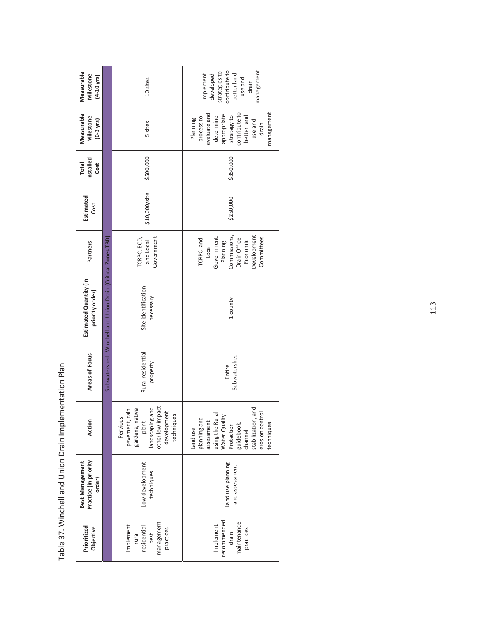| Measurable<br>Milestone<br>$(4 - 10 \text{ yrs})$  |                                                            | 10 sites                                                                                                                   | contribute to<br>management<br>strategies to<br>Implement<br>better land<br>developed<br>use and<br>drain                                                                   |  |
|----------------------------------------------------|------------------------------------------------------------|----------------------------------------------------------------------------------------------------------------------------|-----------------------------------------------------------------------------------------------------------------------------------------------------------------------------|--|
| Measurable<br>Milestone<br>$(0-3$ yrs)             |                                                            | 5 sites                                                                                                                    | management<br>evaluate and<br>contribute to<br>appropriate<br>strategy to<br>better land<br>determine<br>process to<br>Planning<br>use and<br>drain                         |  |
| Installed<br>Total<br>Cost                         |                                                            | \$500,000                                                                                                                  | \$350,000                                                                                                                                                                   |  |
| Estimated<br>Cost                                  |                                                            | \$10,000/site                                                                                                              | \$250,000                                                                                                                                                                   |  |
| Partners                                           |                                                            | Government<br>TCRPC, ECD,<br>and Local                                                                                     | Development<br>Commissions,<br>Government:<br>Drain Office,<br>Committees<br>TCRPC and<br>Economic<br>Planning<br>Local                                                     |  |
| Estimated Quantity (in<br>priority order)          | Subwatershed: Winchell and Union Drain (Critical Zones TBD | Site identification<br>necessary                                                                                           | 1 county                                                                                                                                                                    |  |
| Areas of Focus                                     |                                                            | Rural residential<br>property                                                                                              | Subwatershed<br>Entire                                                                                                                                                      |  |
| Action                                             |                                                            | other low impact<br>plant<br>landscaping and<br>pavement, rain<br>gardens, native<br>development<br>techniques<br>Pervious | and<br>erosion control<br>using the Rural<br>Water Quality<br>planning and<br>stabilization,<br>assessment<br>guidebook,<br>techniques<br>Protection<br>Land use<br>channel |  |
| Practice (in priority<br>Best Management<br>order) |                                                            | Low development<br>techniques                                                                                              | Land use planning<br>and assessment                                                                                                                                         |  |
| Prioritized<br>Objective                           |                                                            | management<br>Implement<br>residential<br>practices<br>best<br>rural                                                       | recommended<br>maintenance<br>Implement<br>practices<br>drain                                                                                                               |  |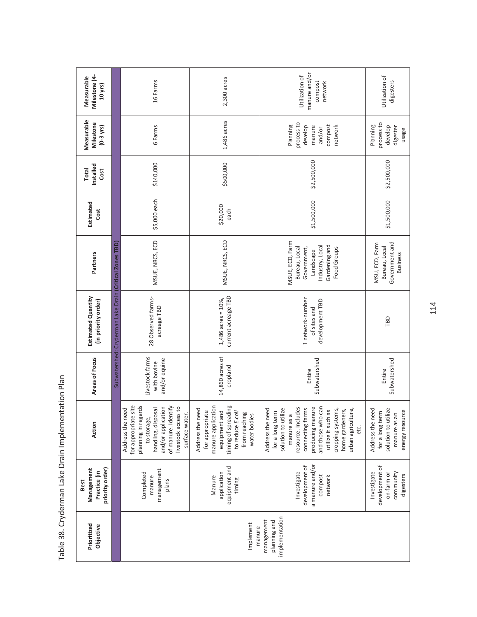| Milestone (4-<br>Measurable<br>$10$ yrs)                     |                                                        | 16 Farms                                                                                                                                                                                   | $2,300$ acres                                                                                                                                          | manure and/or<br>Utilization of<br>compost<br>network                                                                                                                                                                                                    | Utilization of<br>digesters                                                                   |
|--------------------------------------------------------------|--------------------------------------------------------|--------------------------------------------------------------------------------------------------------------------------------------------------------------------------------------------|--------------------------------------------------------------------------------------------------------------------------------------------------------|----------------------------------------------------------------------------------------------------------------------------------------------------------------------------------------------------------------------------------------------------------|-----------------------------------------------------------------------------------------------|
| Measurable<br>Milestone<br>$(0-3$ yrs)                       |                                                        | 6 Farms                                                                                                                                                                                    | 1,486 acres                                                                                                                                            | process to<br>Planning<br>compost<br>develop<br>network<br>manure<br>and/or                                                                                                                                                                              | process to<br>Planning<br>develop<br>digester<br>usage                                        |
| Installed<br><b>Total</b><br>Cost                            |                                                        | \$140,000                                                                                                                                                                                  | \$500,000                                                                                                                                              | \$2,500,000                                                                                                                                                                                                                                              | \$2,500,000                                                                                   |
| Estimated<br>Cost                                            |                                                        | \$5,000 each                                                                                                                                                                               | \$20,000<br>each                                                                                                                                       | \$1,500,000                                                                                                                                                                                                                                              | \$1,500,000                                                                                   |
| Partners                                                     |                                                        | MSUE, NRCS, ECD                                                                                                                                                                            | MSUE, NRCS, ECD                                                                                                                                        | MSUE, ECD, Farm<br>Industry, Local<br>Gardening and<br>Bureau, Local<br>Government,<br>Food Groups<br>Landscape                                                                                                                                          | Government and<br>MSU, ECD, Farm<br>Bureau, Local<br><b>Business</b>                          |
| Estimated Quantity<br>(in priority order)                    | Subwatershed: Cryderman Lake Drain (Critical Zones TBD | 28 Observed farms-<br>acreage TBD                                                                                                                                                          | current acreage TBD<br>$1,486$ acres = $10\%$ ,                                                                                                        | 1 network-number<br>development TBD<br>of sites and                                                                                                                                                                                                      | TBD                                                                                           |
| Areas of Focus                                               |                                                        | Livestock farms<br>and/or equine<br>with bovine                                                                                                                                            | 14,860 acres of<br>cropland                                                                                                                            | Subwatershed<br>Entire                                                                                                                                                                                                                                   | Subwatershed<br>Entire                                                                        |
| Action                                                       |                                                        | for appropriate site<br>planning in regards<br>of manure. Identify<br>and/or application<br>livestock access to<br>handling, disposal<br>Address the need<br>surface water.<br>to storage, | manure application<br>timing of spreading<br>Address the need<br>equipment and<br>for appropriate<br>to reduce E.coli<br>from reaching<br>water bodies | and those who can<br>producing manure<br>resource. Includes<br>connecting farms<br>cropping systems,<br>solution to utilize<br>Address the need<br>urban agriculture,<br>utilize it such as<br>home gardeners,<br>for a long term<br>manure as a<br>etc. | Address the need<br>solution to utilize<br>energy resource<br>for a long term<br>manure as an |
| priority order)<br>Management<br>Practice (in<br><b>Best</b> |                                                        | management<br>Completed<br>manure<br>plans                                                                                                                                                 | equipment and<br>application<br>Manure<br>timing                                                                                                       | a manure and/or<br>development of<br>Investigate<br>compost<br>network                                                                                                                                                                                   | development of<br>Investigate<br>community<br>on-farm or<br>digesters                         |
| Prioritized<br>Objective                                     |                                                        |                                                                                                                                                                                            | Implement<br>manure                                                                                                                                    | implementation<br>management<br>planning and                                                                                                                                                                                                             |                                                                                               |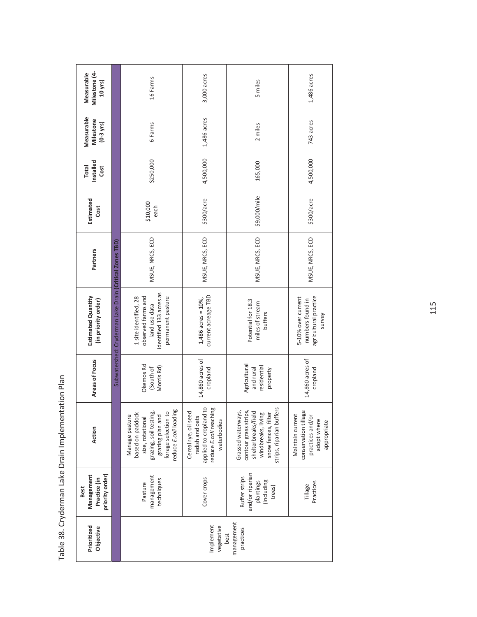| Milestone (4-<br>Measurable<br>10 yrs)                |                                                        | 16 Farms                                                                                                                                             | 3,000 acres                                                                                                               | 5 miles                                                                                                                                    | 1,486 acres                                                                                |
|-------------------------------------------------------|--------------------------------------------------------|------------------------------------------------------------------------------------------------------------------------------------------------------|---------------------------------------------------------------------------------------------------------------------------|--------------------------------------------------------------------------------------------------------------------------------------------|--------------------------------------------------------------------------------------------|
| Measurable<br>Milestone<br>$(0-3$ yrs)                |                                                        | 6 Farms                                                                                                                                              | 1,486 acres                                                                                                               | 2 miles                                                                                                                                    | 743 acres                                                                                  |
| Installed<br><b>Total</b><br>Cost                     |                                                        | \$250,000                                                                                                                                            | 4,500,000                                                                                                                 | 165,000                                                                                                                                    | 4,500,000                                                                                  |
| Estimated<br>Cost                                     |                                                        | \$10,000<br>each                                                                                                                                     | \$300/acre                                                                                                                | \$9,000/mile                                                                                                                               | \$300/acre                                                                                 |
| Partners                                              |                                                        | MSUE, NRCS, ECD                                                                                                                                      | MSUE, NRCS, ECD                                                                                                           | MSUE, NRCS, ECD                                                                                                                            | MSUE, NRCS, ECD                                                                            |
| Estimated Quantity<br>(in priority order)             | Subwatershed: Cryderman Lake Drain (Critical Zones TBD | identified 133 acres as<br>observed farms and<br>1 site identified, 28<br>permanent pasture<br>land use data                                         | current acreage TBD<br>$1,486$ acres = $10\%$ ,                                                                           | Potential for 18.3<br>miles of stream<br>buffers                                                                                           | agricultural practice<br>5-10% over current<br>numbers found in<br>survey                  |
| Areas of Focus                                        |                                                        | Okemos Rd<br>Morris Rd)<br>(South of                                                                                                                 | 14,860 acres of<br>cropland                                                                                               | Agricultural<br>residential<br>and rural<br>property                                                                                       | 14,860 acres of<br>cropland                                                                |
| Action                                                |                                                        | reduce E.coli loading<br>grazing, soil testing,<br>forage selection to<br>based on paddock<br>Manage pasture<br>grazing plan and<br>size, rotational | $\overline{c}$<br>reduce E.coli reaching<br>Cereal rye, oil seed<br>radish and oats<br>applied to cropland<br>waterbodies | strips, riparian buffers<br>Grassed waterways,<br>contour grass strips,<br>shelterbreaks/field<br>windbreaks, living<br>snow fences, filte | conservation tillage<br>Maintain current<br>practices and/or<br>adopt where<br>appropriate |
| priority order)<br>Management<br>Practice (in<br>Best |                                                        | management<br>techniques<br>Pasture                                                                                                                  | Cover crops                                                                                                               | and/or riparian<br>Buffer strips<br>plantings<br>(including<br>trees)                                                                      | Practices<br>Tillage                                                                       |
| Prioritized<br>Objective                              |                                                        |                                                                                                                                                      | Implement<br>vegetative                                                                                                   | management<br>practices<br>best                                                                                                            |                                                                                            |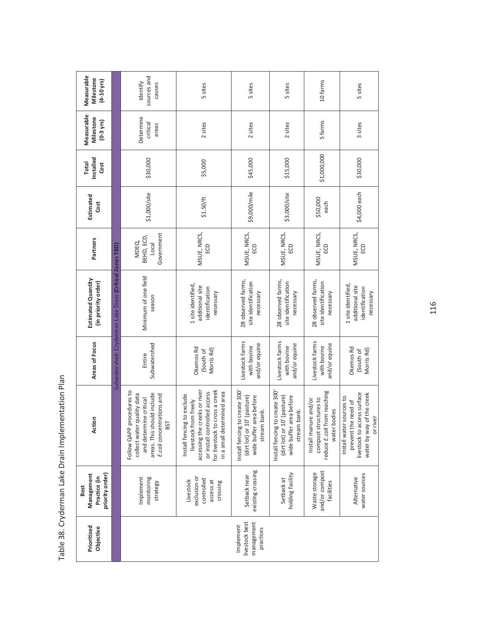| Prioritized<br>Objective                               | priority order)<br>Management<br>Practice (in<br><b>Best</b>     | Action                                                                                                                                                                                  | Areas of Focus                                  | <b>Estimated Quantity</b><br>(in priority order)                     | Partners                                   | Estimated<br>Cost | Installed<br><b>Total</b><br>Cost | Measurable<br>Milestone<br>$(0-3$ yrs) | Measurable<br>Milestone<br>$(4 - 10 \text{ yrs})$ |
|--------------------------------------------------------|------------------------------------------------------------------|-----------------------------------------------------------------------------------------------------------------------------------------------------------------------------------------|-------------------------------------------------|----------------------------------------------------------------------|--------------------------------------------|-------------------|-----------------------------------|----------------------------------------|---------------------------------------------------|
|                                                        |                                                                  |                                                                                                                                                                                         |                                                 | Subwatershed: Cryderman Lake Drain (Critical Zones TBD)              |                                            |                   |                                   |                                        |                                                   |
|                                                        | monitoring<br>Implement<br>strategy                              | Follow QAPP procedures to<br>areas. This should include<br>collect water quality data<br>E.coli concentrations and<br>and determine critical<br>BST                                     | Subwatershed<br>Entire                          | Minimum of one field<br>season                                       | Government<br>BEHD, ECD,<br>MDEQ,<br>Local | \$1,000/site      | \$30,000                          | Determine<br>critical<br>areas         | sources and<br>Identify<br>causes                 |
|                                                        | exclusion or<br>controlled<br>Livestock<br>access at<br>crossing | for livestock to cross a creek<br>accessing the creeks or river<br>or install controlled access<br>in a small determined area<br>to exclude<br>livestock from freely<br>Install fencing | Okemos Rd<br>Morris Rd)<br>(South of            | 1 site identified,<br>additional site<br>identification<br>necessary | MSUE, NRCS,<br>ECD                         | \$1.50/ft         | \$5,000                           | 2 sites                                | 5 sites                                           |
| livestock best<br>management<br>Implement<br>practices | existing crossing<br>Setback near                                | Install fencing to create 300'<br>(dirt lot) or 10' (pasture)<br>wide buffer area before<br>stream bank.                                                                                | Livestock farms<br>and/or equine<br>with bovine | 28 observed farms,<br>site identification<br>necessary               | MSUE, NRCS,<br>ECD                         | \$9,000/mile      | \$45,000                          | 2 sites                                | 5 sites                                           |
|                                                        | holding facility<br>Setback at                                   | Install fencing to create 300<br>(dirt lot) or 10' (pasture)<br>wide buffer area before<br>stream bank.                                                                                 | Livestock farms<br>and/or equine<br>with bovine | 28 observed farms,<br>site identification<br>necessary               | MSUE, NRCS,<br>e                           | \$3,000/site      | \$15,000                          | 2 sites                                | 5 sites                                           |
|                                                        | and/or compost<br>Waste storage<br>facilities                    | reduce E.coli from reaching<br>compost structures to<br>Install manure and/or<br>water bodies                                                                                           | Livestock farms<br>and/or equine<br>with bovine | 28 observed farms,<br>site identification<br>necessary               | MSUE, NRCS,<br>ec                          | \$50,000<br>each  | \$1,000,000                       | 5 farms                                | 10 farms                                          |
|                                                        | water sources<br>Alternative                                     | livestock to access surface<br>water by way of the creek<br>sources to<br>prevent the need of<br>or river<br>Install water                                                              | Okemos Rd<br>Morris Rd)<br>(South of            | 1 site identified,<br>additional site<br>identification<br>necessary | MSUE, NRCS,<br>ECD                         | \$4,000 each      | \$30,000                          | 3 sites                                | 5 sites                                           |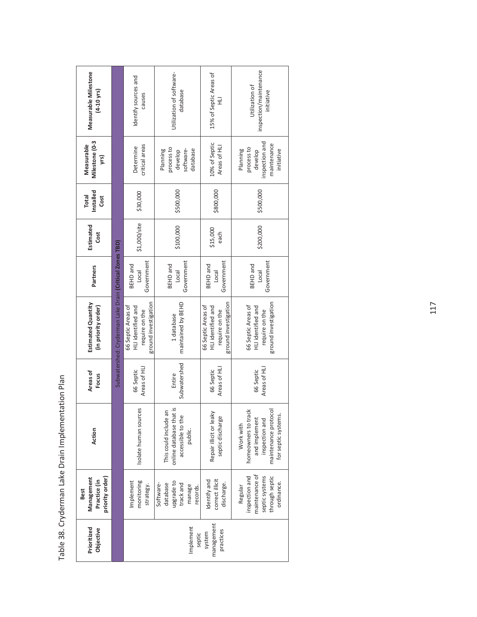| Measurable Milestone<br>$(4 - 10$ yrs)    |                 |                                                         | Identify sources and<br>causes                                                     | Utilization of software-<br>database                                             | 15% of Septic Areas of<br>긒                                                        | inspection/maintenance<br>Utilization of<br>initiative                                                             |
|-------------------------------------------|-----------------|---------------------------------------------------------|------------------------------------------------------------------------------------|----------------------------------------------------------------------------------|------------------------------------------------------------------------------------|--------------------------------------------------------------------------------------------------------------------|
| Milestone (0-3<br>Measurable              | yrs)            |                                                         | critical areas<br>Determine                                                        | process to<br>database<br>Planning<br>software-<br>develop                       | 10% of Septic<br>Areas of HLI                                                      | inspection and<br>maintenance<br>process to<br>Planning<br>initiative<br>develop                                   |
| Installed<br><b>Total</b>                 | Cost            |                                                         | \$30,000                                                                           | \$500,000                                                                        | \$800,000                                                                          | \$500,000                                                                                                          |
| Estimated<br>Cost                         |                 |                                                         | \$1,000/site                                                                       | \$100,000                                                                        | \$15,000<br>each                                                                   | \$200,000                                                                                                          |
| Partners                                  |                 |                                                         | Government<br><b>BEHD</b> and<br><b>Local</b>                                      | Government<br>BEHD and<br>Local                                                  | Government<br>BEHD and<br>Local                                                    | Government<br>BEHD and<br>Loca                                                                                     |
| Estimated Quantity<br>(in priority order) |                 | Subwatershed: Cryderman Lake Drain (Critical Zones TBD) | ground investigation<br>66 Septic Areas of<br>HLI identified and<br>require on the | maintained by BEHD<br>1 database                                                 | ground investigation<br>66 Septic Areas of<br>HLI identified and<br>require on the | ground investigation<br>66 Septic Areas of<br>HLI identified and<br>require on the                                 |
| Areas of<br>Focus                         |                 |                                                         | Areas of HLI<br>66 Septic                                                          | Subwatershed<br>Entire                                                           | Areas of HLI<br>66 Septic                                                          | Areas of HLI<br>66 Septic                                                                                          |
| Action                                    |                 |                                                         | Isolate human sources                                                              | online database that is<br>This could include an<br>accessible to the<br>public. | Repair illicit or leaky<br>septic discharge                                        | maintenance protocol<br>homeowners to track<br>for septic systems.<br>and implement<br>inspection and<br>Work with |
| Management<br>Practice (in<br><b>Best</b> | priority order) |                                                         | monitoring<br>Implement<br>strategy.                                               | upgrade to<br>track and<br>Software-<br>database<br>manage<br>records.           | correct illicit<br>Identify and<br>discharge.                                      | maintenance of<br>inspection and<br>septic systems<br>through septic<br>ordinance.<br>Regular                      |
| Prioritized<br>Objective                  |                 |                                                         |                                                                                    | Implement<br>septic                                                              | management<br>practices<br>system                                                  |                                                                                                                    |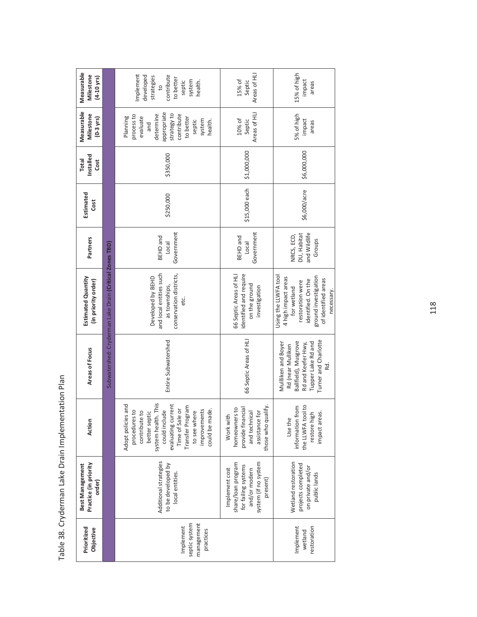| Measurable<br>Milestone<br>$(4-10 \text{ yrs})$    |                                                         | Implement<br>contribute<br>developed<br>strategies<br>to better<br>system<br>health.<br>septic<br>$\overline{c}$                                                                                                             | Areas of HLI<br>15% of<br>Septic                                                                                 | 15% of high<br>impact<br>areas                                                                                                                                    |
|----------------------------------------------------|---------------------------------------------------------|------------------------------------------------------------------------------------------------------------------------------------------------------------------------------------------------------------------------------|------------------------------------------------------------------------------------------------------------------|-------------------------------------------------------------------------------------------------------------------------------------------------------------------|
| Measurable<br>Milestone<br>$(0-3$ yrs)             |                                                         | appropriate<br>strategy to<br>determine<br>contribute<br>process to<br>Planning<br>evaluate<br>to better<br>system<br>septic<br>health.<br>and                                                                               | Areas of HLI<br>10% of<br>Septic                                                                                 | 5% of high<br>impact<br>areas                                                                                                                                     |
| Installed<br><b>Total</b><br>Cost                  |                                                         | \$350,000                                                                                                                                                                                                                    | \$1,000,000                                                                                                      | \$6,000,000                                                                                                                                                       |
| Estimated<br>Cost                                  |                                                         | \$250,000                                                                                                                                                                                                                    | \$15,000 each                                                                                                    | \$6,000/acre                                                                                                                                                      |
| Partners                                           |                                                         | Government<br><b>BEHD</b> and<br>Local                                                                                                                                                                                       | Government<br><b>BEHD</b> and<br>Local                                                                           | and Wildlife<br>NRCS, ECD,<br>DU, Habitat<br>Groups                                                                                                               |
| Estimated Quantity<br>(in priority order)          | Subwatershed: Cryderman Lake Drain (Critical Zones TBD) | and local entities such<br>conservation districts,<br>Developed by BEHD<br>as townships,<br>etc.                                                                                                                             | 66 Septic Areas of HLI<br>identified and require<br>on the ground<br>investigation                               | Using the LLWFA tool<br>ground investigation<br>4 high impact areas<br>of identified areas<br>identified. On the<br>restoration were<br>for wetland<br>necessary. |
| Areas of Focus                                     |                                                         | Entire Subwatershed                                                                                                                                                                                                          | 66 Septic Areas of HLI                                                                                           | Turner and Charlotte<br>Ballfield), Musgrove<br>Mullliken and Boyer<br>Rd and Keefer Hwy,<br>Tupper Lake Rd and<br>Rd (near Mulliken<br>Rd.                       |
| Action                                             |                                                         | system health. This<br>Adopt policies and<br>evaluating current<br>Transfer Program<br>Time of Sale or<br>could include<br>procedures to<br>improvements<br>could be made.<br>to see where<br>contribute to<br>better septic | those who qualify.<br>homeowners to<br>provide financial<br>and technical<br>assistance for<br>Work with         | the LLWFA tool to<br>information from<br>impact areas.<br>restore high<br>Use the                                                                                 |
| Practice (in priority<br>Best Management<br>order) |                                                         | Additional strategies<br>to be developed by<br>local entities.                                                                                                                                                               | system (if no system<br>share/loan program<br>for failing systems<br>Implement cost<br>and/or modern<br>present) | Wetland restoration<br>projects completed<br>on private and/or<br>public lands                                                                                    |
| Prioritized<br>Objective                           |                                                         | septic system<br>management<br>Implement<br>practices                                                                                                                                                                        |                                                                                                                  | Implement<br>restoration<br>wetland                                                                                                                               |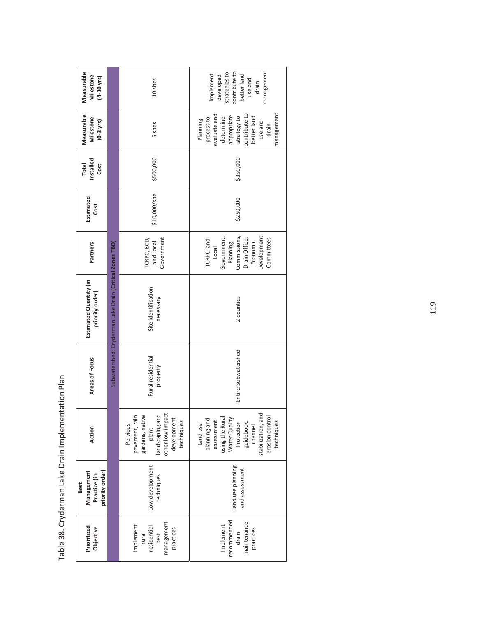| Measurable<br>Milestone<br>$(4 - 10$ yrs)                    |                                                         | 10 sites                                                                                                                   | management<br>contribute to<br>strategies to<br>Implement<br>better land<br>developed<br>use and<br>drain                                                                |
|--------------------------------------------------------------|---------------------------------------------------------|----------------------------------------------------------------------------------------------------------------------------|--------------------------------------------------------------------------------------------------------------------------------------------------------------------------|
| Measurable<br>Milestone<br>$(0-3$ yrs)                       |                                                         | 5 sites                                                                                                                    | management<br>evaluate and<br>contribute to<br>appropriate<br>strategy to<br>better land<br>process to<br>determine<br>Planning<br>use and<br>drain                      |
| Installed<br><b>Total</b><br>Cost                            |                                                         | \$500,000                                                                                                                  | \$350,000                                                                                                                                                                |
| Estimated<br>Cost                                            |                                                         | \$10,000/site                                                                                                              | \$250,000                                                                                                                                                                |
| Partners                                                     |                                                         | Government<br>TCRPC, ECD,<br>and Local                                                                                     | Development<br>Government:<br>Commissions,<br>Committees<br>Drain Office,<br>TCRPC and<br>Economic<br>Planning<br>Local                                                  |
| Estimated Quantity (in<br>priority order)                    | Subwatershed: Cryderman Lake Drain (Critical Zones TBD) | Site identification<br>necessary                                                                                           | 2 counties                                                                                                                                                               |
| Areas of Focus                                               |                                                         | Rural residential<br>property                                                                                              | Entire Subwatershed                                                                                                                                                      |
| Action                                                       |                                                         | other low impact<br>landscaping and<br>pavement, rain<br>gardens, native<br>development<br>techniques<br>Pervious<br>plant | stabilization, and<br>erosion control<br>assessment<br>using the Rural<br>Water Quality<br>planning and<br>Protection<br>guidebook,<br>techniques<br>Land use<br>channel |
| priority order)<br>Management<br>Practice (in<br><b>Best</b> |                                                         | Low development<br>techniques                                                                                              | Land use planning<br>and assessment                                                                                                                                      |
| Prioritized<br>Objective                                     |                                                         | management<br>Implement<br>residential<br>practices<br>rural<br>best                                                       | recommended<br>maintenance<br>Implement<br>practices<br>drain                                                                                                            |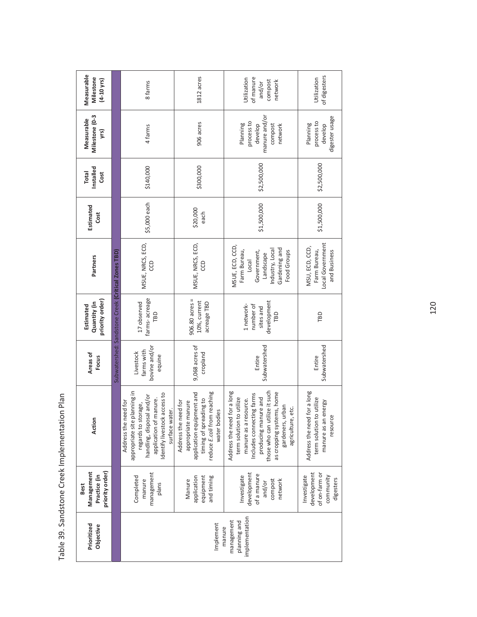| Measurable<br>Milestone<br>(4-10 yrs)                        |                                                    | 8 farms                                                                                                                                                                              | 1812 acres                                                                                                                                       | Utilization<br>of manure<br>compost<br>network<br>and/or                                                                                                                                                                                     | of digesters<br>Utilization                                                                |
|--------------------------------------------------------------|----------------------------------------------------|--------------------------------------------------------------------------------------------------------------------------------------------------------------------------------------|--------------------------------------------------------------------------------------------------------------------------------------------------|----------------------------------------------------------------------------------------------------------------------------------------------------------------------------------------------------------------------------------------------|--------------------------------------------------------------------------------------------|
| Milestone (0-3<br>Measurable<br>yrs)                         |                                                    | 4 farms                                                                                                                                                                              | 906 acres                                                                                                                                        | manure and/or<br>process to<br>Planning<br>develop<br>compost<br>network                                                                                                                                                                     | digester usage<br>process to<br>Planning<br>develop                                        |
| Installed<br><b>Total</b><br>Cost                            |                                                    | \$140,000                                                                                                                                                                            | \$300,000                                                                                                                                        | \$2,500,000                                                                                                                                                                                                                                  | \$2,500,000                                                                                |
| Estimated<br>Cost                                            |                                                    | \$5,000 each                                                                                                                                                                         | \$20,000<br>each                                                                                                                                 | \$1,500,000                                                                                                                                                                                                                                  | \$1,500,000                                                                                |
| Partners                                                     |                                                    | MSUE, NRCS, ECD,<br>g                                                                                                                                                                | MSUE, NRCS, ECD,<br>e                                                                                                                            | MSUE, ECD, CCD,<br>Gardening and<br>ndustry, Local<br>Farm Bureau,<br>Government,<br>Food Groups<br>Landscape<br>Local                                                                                                                       | Local Government<br>MSU, ECD, CCD,<br>Farm Bureau,<br>and Business                         |
| priority order)<br>Quantity (in<br>Estimated                 | Subwatershed: Sandstone Creek (Critical Zones TBD) | farms-acreage<br>17 observed<br>TBD                                                                                                                                                  | $906.80$ acres =<br>10%, current<br>acreage TBD                                                                                                  | development<br>1 network-<br>number of<br>sites and<br>TBD                                                                                                                                                                                   | TBD                                                                                        |
| Areas of<br>Focus                                            |                                                    | bovine and/or<br>farms with<br>Livestock<br>equine                                                                                                                                   | 9,068 acres of<br>cropland                                                                                                                       | Subwatershed<br>Entire                                                                                                                                                                                                                       | Subwatershed<br>Entire                                                                     |
| Action                                                       |                                                    | appropriate site planning in<br>Identify livestock access to<br>handling, disposal and/or<br>application of manure.<br>Address the need for<br>regards to storage,<br>surface water. | reduce E.coli from reaching<br>application equipment and<br>timing of spreading to<br>Address the need for<br>appropriate manure<br>water bodies | Address the need for a long<br>those who can utilize it such<br>as cropping systems, home<br>Includes connecting farms<br>term solution to utilize<br>producing manure and<br>manure as a resource.<br>gardeners, urban<br>agriculture, etc. | Address the need for a long<br>term solution to utilize<br>manure as an energy<br>resource |
| priority order)<br>Management<br>Practice (in<br><b>Best</b> |                                                    | management<br>Completed<br>manure<br>plans                                                                                                                                           | application<br>and timing<br>equipment<br>Manure                                                                                                 | development<br>of a manure<br>Investigate<br>compost<br>network<br>and/or                                                                                                                                                                    | development<br>of on-farm or<br>Investigate<br>community<br>digesters                      |
| Prioritized<br>Objective                                     |                                                    |                                                                                                                                                                                      | Implement                                                                                                                                        | implementation<br>management<br>planning and<br>manure                                                                                                                                                                                       |                                                                                            |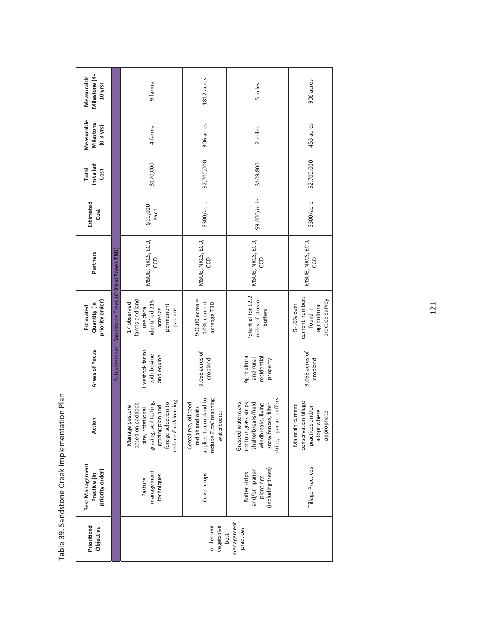| Milestone (4-<br>Measurable<br>10 yrs)             |                                                    | 9 farms                                                                                                                                              | 1812 acres                                                                                                 | 5 miles                                                                                                                                             | 906 acres                                                                                       |
|----------------------------------------------------|----------------------------------------------------|------------------------------------------------------------------------------------------------------------------------------------------------------|------------------------------------------------------------------------------------------------------------|-----------------------------------------------------------------------------------------------------------------------------------------------------|-------------------------------------------------------------------------------------------------|
| Measurable<br>Milestone<br>$(0-3$ yrs)             |                                                    | 4 farms                                                                                                                                              | 906 acres                                                                                                  | 2 miles                                                                                                                                             | 453 acres                                                                                       |
| Installed<br><b>Total</b><br>Cost                  |                                                    | \$170,000                                                                                                                                            | \$2,700,000                                                                                                | \$109,800                                                                                                                                           | \$2,700,000                                                                                     |
| Estimated<br>Cost                                  |                                                    | \$10,000<br>each                                                                                                                                     | \$300/acre                                                                                                 | \$9,000/mile                                                                                                                                        | \$300/acre                                                                                      |
| Partners                                           |                                                    | MSUE, NRCS, ECD,<br>g                                                                                                                                | MSUE, NRCS, ECD,<br>co                                                                                     | MSUE, NRCS, ECD,<br>co                                                                                                                              | MSUE, NRCS, ECD,<br>g                                                                           |
| priority order)<br>Quantity (in<br>Estimated       | Subwatershed: Sandstone Creek (Critical Zones TBD) | farms and land<br>identified 215<br>17 observed<br>permanent<br>use data<br>acres as<br>pasture                                                      | $906.80$ acres =<br>10%, current<br>acreage TBD                                                            | Potential for 12.2<br>miles of stream<br>buffers                                                                                                    | current numbers<br>practice survey<br>5-10% over<br>agricultural<br>found in                    |
| Areas of Focus                                     |                                                    | Livestock farms<br>with bovine<br>and equine                                                                                                         | 9,068 acres of<br>cropland                                                                                 | Agricultural<br>residential<br>and rural<br>property                                                                                                | 9,068 acres of<br>cropland                                                                      |
| Action                                             |                                                    | reduce E.coli loading<br>grazing, soil testing,<br>forage selection to<br>based on paddock<br>grazing plan and<br>Manage pasture<br>size, rotational | applied to cropland to<br>reduce E.coli reaching<br>Cereal rye, oil seed<br>radish and oats<br>waterbodies | buffers<br>s strips,<br>Grassed waterways,<br>shelterbreaks/field<br>snow fences, filter<br>windbreaks, living<br>contour grass<br>strips, riparian | I tillage<br>Maintain current<br>practices and/or<br>adopt where<br>appropriate<br>conservation |
| Best Management<br>priority order)<br>Practice (in |                                                    | management<br>techniques<br>Pasture                                                                                                                  | Cover crops                                                                                                | (including trees)<br>and/or riparian<br>Buffer strips<br>plantings                                                                                  | Tillage Practices                                                                               |
| Prioritized<br>Objective                           |                                                    |                                                                                                                                                      | Implement<br>vegetative                                                                                    | management<br>practices<br>best                                                                                                                     |                                                                                                 |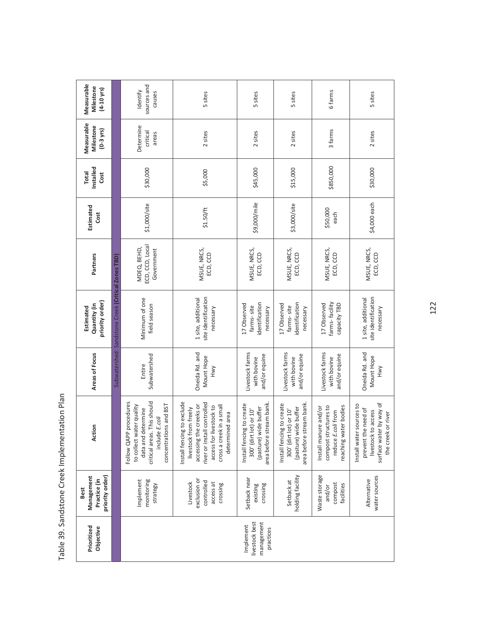| Prioritized<br>Objective                               | priority order)<br>Management<br>Practice (in<br>Best            | Action                                                                                                                                                                                        | Areas of Focus                                  | priority order)<br>Quantity (in<br>Estimated             | Partners                                     | Estimated<br>Cost | Installed<br><b>Total</b><br>Cost | Measurable<br>Milestone<br>$(0-3$ yrs) | Measurable<br>Milestone<br>$(4-10 \text{ yrs})$ |
|--------------------------------------------------------|------------------------------------------------------------------|-----------------------------------------------------------------------------------------------------------------------------------------------------------------------------------------------|-------------------------------------------------|----------------------------------------------------------|----------------------------------------------|-------------------|-----------------------------------|----------------------------------------|-------------------------------------------------|
|                                                        |                                                                  |                                                                                                                                                                                               |                                                 | Subwatershed: Sandstone Creek (Critical Zones TBD)       |                                              |                   |                                   |                                        |                                                 |
|                                                        | monitoring<br>Implement<br>strategy                              | This should<br>Follow QAPP procedures<br>concentrations and BST<br>to collect water quality<br>data and determine<br>include E.coli<br>critical areas.                                        | Subwatershed<br>Entire                          | Minimum of one<br>field season                           | ECD, CCD, Local<br>MDEQ, BEHD,<br>Government | \$1,000/site      | \$30,000                          | Determine<br>critical<br>areas         | sources and<br>Identify<br>causes               |
|                                                        | exclusion or<br>controlled<br>Livestock<br>access at<br>crossing | to exclude<br>controlled<br>accessing the creeks or<br>cross a creek in a small<br>access for livestock to<br>livestock from freely<br>determined area<br>Install fencing<br>river or install | Oneida Rd. and<br>Mount Hope<br>Hwy             | site identification<br>1 site, additional<br>necessary   | MSUE, NRCS,<br>ECD, CCD                      | \$1.50/ft         | \$5,000                           | 2 sites                                | 5 sites                                         |
| livestock best<br>management<br>Implement<br>practices | Setback near<br>crossing<br>existing                             | area before stream bank.<br>Install fencing to create<br>(pasture) wide buffer<br>300' (dirt lot) or 10'                                                                                      | Livestock farms<br>and/or equine<br>with bovine | identification<br>17 Observed<br>farms-site<br>necessary | MSUE, NRCS,<br>ECD, CCD                      | \$9,000/mile      | \$45,000                          | 2 sites                                | 5 sites                                         |
|                                                        | holding facility<br>Setback at                                   | area before stream bank.<br>Install fencing to create<br>(pasture) wide buffer<br>300' (dirt lot) or 10'                                                                                      | Livestock farms<br>and/or equine<br>with bovine | identification<br>17 Observed<br>farms-site<br>necessary | MSUE, NRCS,<br>ECD, CCD                      | \$3,000/site      | \$15,000                          | 2 sites                                | 5 sites                                         |
|                                                        | Waste storage<br>compost<br>facilities<br>and/or                 | compost structures to<br>reaching water bodies<br>Install manure and/or<br>reduce E.coli from                                                                                                 | Livestock farms<br>and/or equine<br>with bovine | farms-facility<br>17 Observed<br>capacity TBD            | MSUE, NRCS,<br>ECD, CCD                      | \$50,000<br>each  | \$850,000                         | 3 farms                                | 6 farms                                         |
|                                                        | water sources<br>Alternative                                     | to hem hq.<br>sources to<br>prevent the need of<br>livestock to access<br>the creek or river<br>surface water<br>Install water                                                                | Oneida Rd. and<br>Mount Hope<br>Hwy             | site identification<br>1 site, additional<br>necessary   | MSUE, NRCS,<br>ECD, CCD                      | \$4,000 each      | \$30,000                          | 2 sites                                | 5 sites                                         |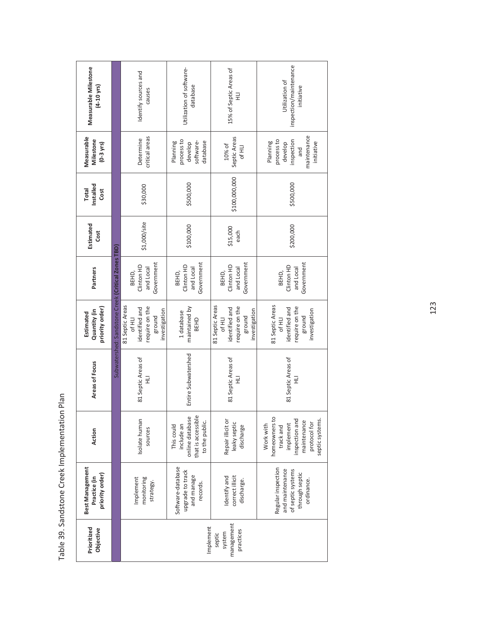| Measurable Milestone<br>$(4 - 10$ yrs)                    |                                                    | Identify sources and<br>causes                                                           | Utilization of software-<br>database                                                | 15% of Septic Areas of<br>긒                                                              | inspection/maintenance<br>Utilization of<br>initiative                                                                   |
|-----------------------------------------------------------|----------------------------------------------------|------------------------------------------------------------------------------------------|-------------------------------------------------------------------------------------|------------------------------------------------------------------------------------------|--------------------------------------------------------------------------------------------------------------------------|
| Measurable<br>Milestone<br>$(0-3 \text{ yrs})$            |                                                    | critical areas<br>Determine                                                              | process to<br>software-<br>database<br>Planning<br>develop                          | Septic Areas<br>10% of<br>Of HLI                                                         | maintenance<br>process to<br>inspection<br>Planning<br>initiative<br>develop<br>and                                      |
| Installed<br><b>Total</b><br>Cost                         |                                                    | \$30,000                                                                                 | \$500,000                                                                           | \$100,000,000                                                                            | \$500,000                                                                                                                |
| Estimated<br>Cost                                         |                                                    | \$1,000/site                                                                             | \$100,000                                                                           | \$15,000<br>each                                                                         | \$200,000                                                                                                                |
| Partners                                                  |                                                    | Government<br>Clinton HD<br>and Local<br>BEHD,                                           | Government<br>Clinton HD<br>and Local<br>BEHD,                                      | Government<br>Clinton HD<br>and Local<br>BEHD,                                           | Government<br>Clinton HD<br>and Local<br>BEHD,                                                                           |
| priority order)<br>Quantity (in<br>Estimated              | Subwatershed: Sandstone Creek (Critical Zones TBD) | 81 Septic Areas<br>require on the<br>identified and<br>investigation<br>ground<br>Of HLI | maintained by<br>1 database<br>BEHD                                                 | 81 Septic Areas<br>require on the<br>identified and<br>investigation<br>ground<br>Of HLI | 81 Septic Areas<br>require on the<br>identified and<br>investigation<br>ground<br>Of HLI                                 |
| Areas of Focus                                            |                                                    | 81 Septic Areas of<br>긒                                                                  | Entire Subwatershed                                                                 | 81 Septic Areas of<br>긒                                                                  | 81 Septic Areas of<br>긒                                                                                                  |
| Action                                                    |                                                    | Isolate human<br>sources                                                                 | that is accessible<br>online database<br>to the public.<br>This could<br>include an | Repair illicit or<br>leaky septic<br>discharge                                           | homeowners to<br>inspection and<br>septic systems.<br>maintenance<br>protocol for<br>implement<br>Work with<br>track and |
| <b>Best Management</b><br>priority order)<br>Practice (in |                                                    | monitoring<br>Implement<br>strategy.                                                     | Software-database<br>upgrade to track<br>and manage<br>records.                     | correct illicit<br>Identify and<br>discharge.                                            | Regular inspection<br>and maintenance<br>of septic systems<br>through septic<br>ordinance.                               |
| Prioritized<br>Objective                                  |                                                    |                                                                                          | Implement                                                                           | management<br>practices<br>system<br>septic                                              |                                                                                                                          |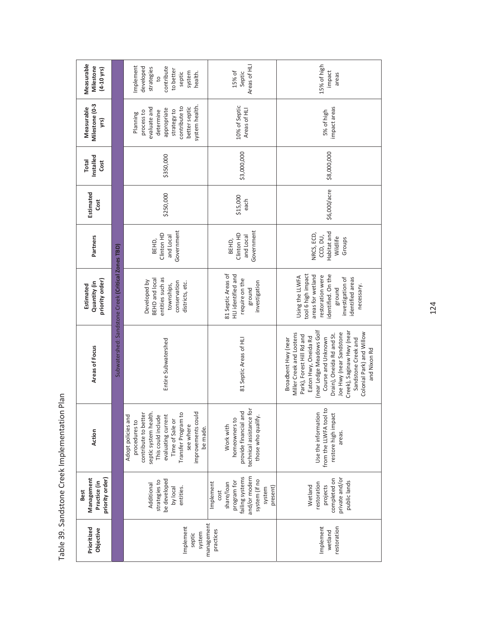| Measurable<br>Milestone<br>$(4 - 10 \text{ yrs})$            |                                                    | Implement<br>developed<br>contribute<br>strategies<br>to better<br>system<br>septic<br>health.<br>$\overline{5}$                                                                                                          | Areas of HLI<br>15% of<br>Septic                                                                                          | 15% of high<br>impact<br>areas                                                                                                                                                                                                                                                                                  |
|--------------------------------------------------------------|----------------------------------------------------|---------------------------------------------------------------------------------------------------------------------------------------------------------------------------------------------------------------------------|---------------------------------------------------------------------------------------------------------------------------|-----------------------------------------------------------------------------------------------------------------------------------------------------------------------------------------------------------------------------------------------------------------------------------------------------------------|
| Milestone (0-3<br>Measurable<br>yrs)                         |                                                    | system health.<br>contribute to<br>better septic<br>evaluate and<br>appropriate<br>strategy to<br>determine<br>process to<br>Planning                                                                                     | 10% of Septic<br>Areas of HLI                                                                                             | impact areas<br>5% of high                                                                                                                                                                                                                                                                                      |
| Installed<br><b>Total</b><br>Cost                            |                                                    | \$350,000                                                                                                                                                                                                                 | \$3,000,000                                                                                                               | \$8,000,000                                                                                                                                                                                                                                                                                                     |
| Estimated<br>Cost                                            |                                                    | \$250,000                                                                                                                                                                                                                 | \$15,000<br>each                                                                                                          | \$6,000/acre                                                                                                                                                                                                                                                                                                    |
| Partners                                                     |                                                    | Government<br>Clinton HD<br>and Local<br>BEHD,                                                                                                                                                                            | Government<br>Clinton HD<br>and Local<br>BEHD,                                                                            | Habitat and<br>NRCS, ECD,<br>CCD, DU,<br>Wildlife<br>Groups                                                                                                                                                                                                                                                     |
| priority order)<br>Quantity (in<br>Estimated                 | Subwatershed: Sandstone Creek (Critical Zones TBD) | entities such as<br><b>BEHD</b> and local<br>Developed by<br>conservation<br>districts, etc.<br>townships,                                                                                                                | 81 Septic Areas of<br>HLI identified and<br>require on the<br>investigation<br>ground                                     | tool 6 high impact<br>areas for wetland<br>identified. On the<br>Using the LLWFA<br>restoration were<br>investigation of<br>identified areas<br>necessary.<br>ground                                                                                                                                            |
| Areas of Focus                                               |                                                    | Entire Subwatershed                                                                                                                                                                                                       | 81 Septic Areas of HU                                                                                                     | (near Ledge Meadows Golf<br>Creek), Saginaw Hwy (near<br>Miller Creek and Lootens<br>Joe Hwy (near Sandstone<br>Colonial Park) and Willow<br>Drain), Oneida Rd and St.<br>Park), Forest Hill Rd and<br>Eaton Hwy, Oneida Rd<br>Course and Unknown<br>Broadbent Hwy (near<br>Sandstone Creek and<br>and Nixon Rd |
| Action                                                       |                                                    | Transfer Program to<br>improvements could<br>septic system health.<br>contribute to better<br>evaluating current<br>Adopt policies and<br>This could include<br>Time of Sale or<br>procedures to<br>see where<br>be made. | technical assistance for<br>provide financial and<br>those who qualify.<br>homeowners to<br>Work with                     | from the LLWFA tool to<br>Use the information<br>restore high impact<br>areas                                                                                                                                                                                                                                   |
| priority order)<br>Management<br>Practice (in<br><b>Best</b> |                                                    | be developed<br>strategies to<br>Additional<br>by local<br>entities.                                                                                                                                                      | and/or modern<br>failing systems<br>system (if no<br>program for<br>Implement<br>share/loan<br>present)<br>system<br>cost | private and/or<br>completed on<br>public lands<br>restoration<br>Wetland<br>projects                                                                                                                                                                                                                            |
| Prioritized<br>Objective                                     |                                                    | management<br>Implement<br>system<br>septic                                                                                                                                                                               | practices                                                                                                                 | Implement<br>restoration<br>wetland                                                                                                                                                                                                                                                                             |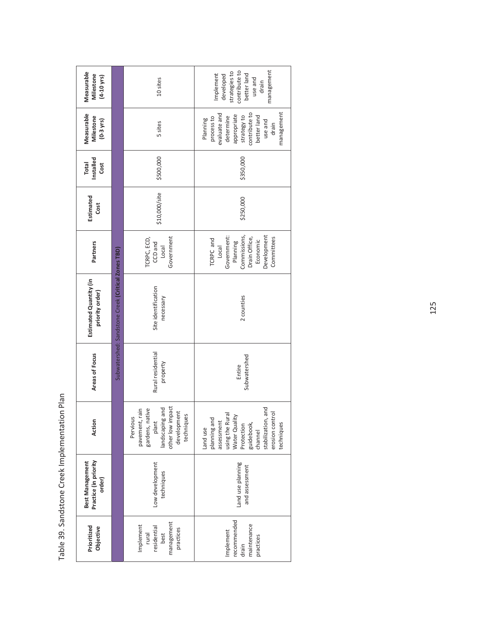| Measurable<br>Milestone<br>$(4 - 10 \text{ yrs})$  |                                                    | 10 sites                                                                                                                        | management<br>contribute to<br>strategies to<br>Implement<br>better land<br>developed<br>use and<br>drain                                                                     |
|----------------------------------------------------|----------------------------------------------------|---------------------------------------------------------------------------------------------------------------------------------|-------------------------------------------------------------------------------------------------------------------------------------------------------------------------------|
| Measurable<br>Milestone<br>$(0-3 \text{ yrs})$     |                                                    | 5 sites                                                                                                                         | management<br>evaluate and<br>contribute to<br>appropriate<br>better land<br>strategy to<br>determine<br>process to<br>Planning<br>use and<br>drain                           |
| Installed<br><b>Total</b><br>Cost                  |                                                    | \$500,000                                                                                                                       | \$350,000                                                                                                                                                                     |
| Estimated<br>Cost                                  |                                                    | \$10,000/site                                                                                                                   | \$250,000                                                                                                                                                                     |
| Partners                                           |                                                    | Government<br>TCRPC, ECD,<br>CCD and<br>Local                                                                                   | Government:<br>Commissions,<br>Development<br>Drain Office,<br>Committees<br>TCRPC and<br>Economic<br>Planning<br>Local                                                       |
| Estimated Quantity (in<br>priority order)          | Subwatershed: Sandstone Creek (Critical Zones TBD) | Site identification<br>necessary                                                                                                | 2 counties                                                                                                                                                                    |
| Areas of Focus                                     |                                                    | Rural residential<br>property                                                                                                   | Subwatershed<br>Entire                                                                                                                                                        |
| Action                                             |                                                    | other low impact<br>development<br>bue s<br>pavement, rain<br>gardens, native<br>plant<br>techniques<br>Pervious<br>landscaping | , and<br>erosion control<br>using the Rural<br>Water Quality<br>planning and<br>assessment<br>stabilization,<br>guidebook,<br>techniques<br>Protection<br>Land use<br>channel |
| Practice (in priority<br>Best Management<br>order) |                                                    | Low development<br>techniques                                                                                                   | Land use planning<br>and assessment                                                                                                                                           |
| Prioritized<br>Objective                           |                                                    | management<br>Implement<br>residential<br>practices<br>rural<br>best                                                            | recommended<br>maintenance<br>Implement<br>practices<br>drain                                                                                                                 |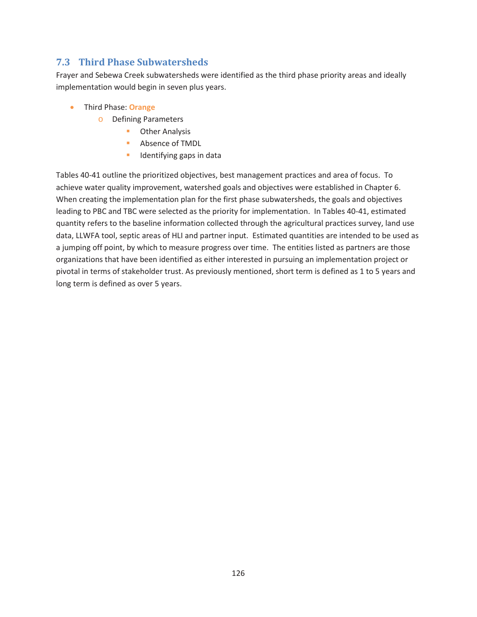## **7.3 Third Phase Subwatersheds**

Frayer and Sebewa Creek subwatersheds were identified as the third phase priority areas and ideally implementation would begin in seven plus years.

- **•** Third Phase: **Orange** 
	- o Defining Parameters
		- **D** Other Analysis
		- **Absence of TMDL**
		- **IDED** Identifying gaps in data

Tables 40-41 outline the prioritized objectives, best management practices and area of focus. To achieve water quality improvement, watershed goals and objectives were established in Chapter 6. When creating the implementation plan for the first phase subwatersheds, the goals and objectives leading to PBC and TBC were selected as the priority for implementation. In Tables 40-41, estimated quantity refers to the baseline information collected through the agricultural practices survey, land use data, LLWFA tool, septic areas of HLI and partner input. Estimated quantities are intended to be used as a jumping off point, by which to measure progress over time. The entities listed as partners are those organizations that have been identified as either interested in pursuing an implementation project or pivotal in terms of stakeholder trust. As previously mentioned, short term is defined as 1 to 5 years and long term is defined as over 5 years.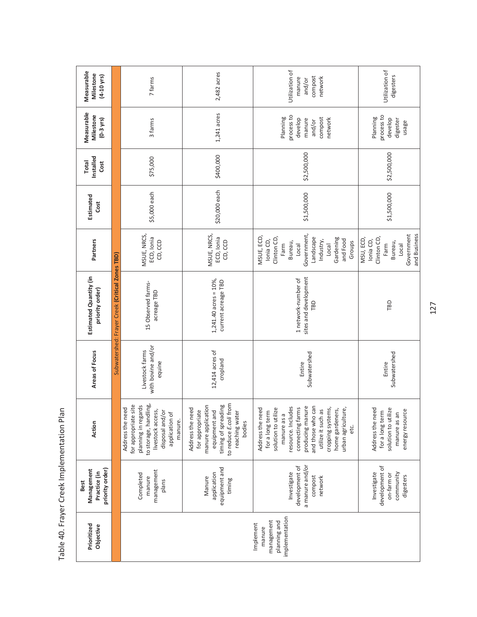| Measurable<br>Milestone<br>$(4-10 \text{ yrs})$       |                                                 | 7 farms                                                                                                                                                       | 2,482 acres                                                                                                                                            | Utilization of<br>compost<br>manure<br>network<br>and/or                                                                                                                                                                                                            | Utilization of<br>digesters                                                                     |
|-------------------------------------------------------|-------------------------------------------------|---------------------------------------------------------------------------------------------------------------------------------------------------------------|--------------------------------------------------------------------------------------------------------------------------------------------------------|---------------------------------------------------------------------------------------------------------------------------------------------------------------------------------------------------------------------------------------------------------------------|-------------------------------------------------------------------------------------------------|
| Measurable<br><b>Milestone</b><br>$(0-3 \gamma r s)$  |                                                 | 3 farms                                                                                                                                                       | 1,241 acres                                                                                                                                            | process to<br>Planning<br>compost<br>develop<br>network<br>manure<br>and/or                                                                                                                                                                                         | process to<br>Planning<br>develop<br>digester<br>usage                                          |
| Installed<br><b>Total</b><br>Cost                     |                                                 | \$75,000                                                                                                                                                      | \$400,000                                                                                                                                              | \$2,500,000                                                                                                                                                                                                                                                         | \$2,500,000                                                                                     |
| Estimated<br>Cost                                     |                                                 | \$5,000 each                                                                                                                                                  | \$20,000 each                                                                                                                                          | \$1,500,000                                                                                                                                                                                                                                                         | \$1,500,000                                                                                     |
| Partners                                              |                                                 | MSUE, NRCS,<br>ECD, Ionia<br>CD, CCD                                                                                                                          | MSUE, NRCS,<br>ECD, Ionia<br>CD, CCD                                                                                                                   | Government,<br>MSUE, ECD,<br>Clinton CD,<br>Landscape<br>Gardening<br>Ionia CD,<br>and Food<br>Industry,<br>Groups<br>Bureau,<br>Farm<br>Local<br>Local                                                                                                             | Government<br>and Business<br>Clinton CD,<br>MSU, ECD,<br>lonia CD,<br>Bureau,<br>Farm<br>Local |
| Estimated Quantity (in<br>priority order)             | Subwatershed: Frayer Creek (Critical Zones TBD) | 15 Observed farms-<br>acreage TBD                                                                                                                             | $1,241.40$ acres = $10\%$ ,<br>current acreage TBD                                                                                                     | sites and development<br>1 network-number of<br>TBD                                                                                                                                                                                                                 | TBD                                                                                             |
| Areas of Focus                                        |                                                 | with bovine and/or<br>Livestock farms<br>equine                                                                                                               | 12,414 acres of<br>cropland                                                                                                                            | Subwatershed<br>Entire                                                                                                                                                                                                                                              | Subwatershed<br>Entire                                                                          |
| Action                                                |                                                 | to storage, handling,<br>for appropriate site<br>planning in regards<br>Address the need<br>livestock access,<br>disposal and/or<br>application of<br>manure. | to reduce E.coli from<br>manure application<br>timing of spreading<br>Address the need<br>for appropriate<br>equipment and<br>reaching water<br>bodies | and those who can<br>producing manure<br>resource. Includes<br>connecting farms<br>cropping systems,<br>Address the need<br>solution to utilize<br>urban agriculture,<br>utilize it such as<br>home gardeners,<br>for a long term<br>$\sigma$<br>manure as<br>et c. | solution to utilize<br>Address the need<br>energy resource<br>for a long term<br>manure as an   |
| priority order)<br>Management<br>Practice (in<br>Best |                                                 | management<br>Completed<br>manure<br>plans                                                                                                                    | equipment and<br>application<br>Manure<br>timing                                                                                                       | a manure and/or<br>development of<br>Investigate<br>compost<br>network                                                                                                                                                                                              | development of<br>Investigate<br>community<br>on-farm or<br>digesters                           |
| Prioritized<br>Objective                              |                                                 |                                                                                                                                                               |                                                                                                                                                        | implementation<br>management<br>planning and<br>Implement<br>manure                                                                                                                                                                                                 |                                                                                                 |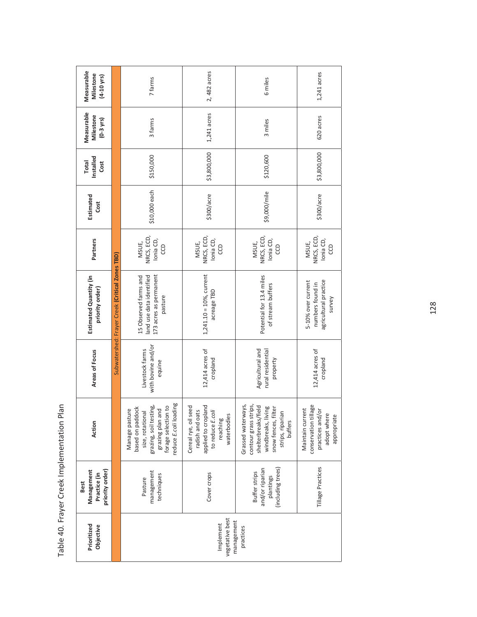| Prioritized<br>Objective                   | priority order)<br>Management<br>Practice (in<br>Best                     | Action                                                                                                                                               | Areas of Focus                                    | Estimated Quantity (in<br>priority order)                                              | Partners                               | Estimated<br>Cost | Installed<br><b>Total</b><br>Cost | Measurable<br>Milestone<br>$(0-3 \text{ yrs})$ | Measurable<br>Milestone<br>$(4 - 10$ yrs) |
|--------------------------------------------|---------------------------------------------------------------------------|------------------------------------------------------------------------------------------------------------------------------------------------------|---------------------------------------------------|----------------------------------------------------------------------------------------|----------------------------------------|-------------------|-----------------------------------|------------------------------------------------|-------------------------------------------|
|                                            |                                                                           |                                                                                                                                                      |                                                   | Subwatershed: Frayer Creek (Critical Zones TBD)                                        |                                        |                   |                                   |                                                |                                           |
|                                            | management<br>techniques<br>Pasture                                       | reduce E.coli loading<br>forage selection to<br>grazing, soil testing,<br>based on paddock<br>grazing plan and<br>Manage pasture<br>size, rotational | with bovine and/or<br>Livestock farms<br>equine   | 173 acres as permanent<br>land use data identified<br>15 Observed farms and<br>pasture | NRCS, ECD,<br>Ionia CD,<br>MSUE,<br>6  | \$10,000 each     | \$150,000                         | 3 farms                                        | 7 farms                                   |
| vegetative best<br>management<br>Implement | Cover crops                                                               | applied to cropland<br>Cereal rye, oil seed<br>radish and oats<br>to reduce E.coli<br>waterbodies<br>reaching                                        | 12,414 acres of<br>cropland                       | $1,241.10 = 10%$ , current<br>acreage TBD                                              | NRCS, ECD,<br>Ionia CD,<br>MSUE,<br>e  | \$300/arc         | \$3,800,000                       | 1,241 acres                                    | 2, 482 acres                              |
| practices                                  | (including trees)<br>and/or riparian<br><b>Buffer strips</b><br>plantings | Grassed waterways,<br>contour grass strips,<br>shelterbreaks/field<br>windbreaks, living<br>snow fences, filter<br>strips, riparian<br>buffers       | Agricultural and<br>rural residential<br>property | Potential for 13.4 miles<br>of stream buffers                                          | NRCS, ECD,<br>Ionia CD,<br>MSUE,<br>co | \$9,000/mile      | \$120,600                         | 3 miles                                        | 6 miles                                   |
|                                            | Tillage Practices                                                         | conservation tillage<br>Maintain current<br>practices and/or<br>adopt where<br>appropriate                                                           | 12,414 acres of<br>cropland                       | agricultural practice<br>5-10% over current<br>numbers found in<br>survey              | NRCS, ECD,<br>Ionia CD,<br>MSUE,<br>co | \$300/acre        | \$3,800,000                       | 620 acres                                      | $1,241$ acres                             |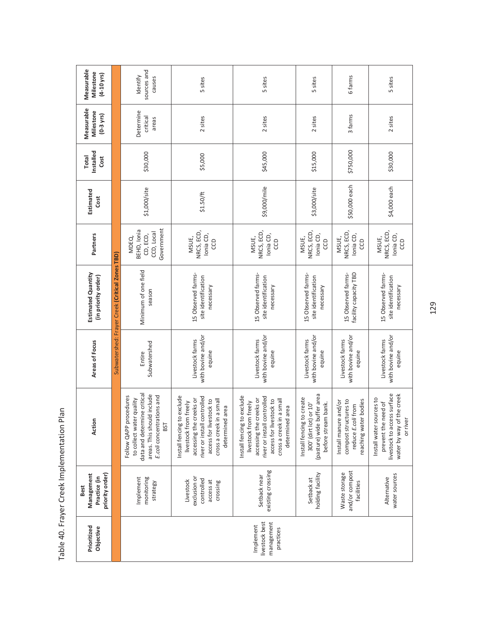|  | Measurable<br>Milestone<br>$(4-10 \text{ yrs})$                                     |                                                 | sources and<br>Identify<br>causes                                                                                                                   | 5 sites                                                                                                                                                                                       | 5 sites                                                                                                                                                                                       | 5 sites                                                                                                       | 6 farms                                                                                             | 5 sites                                                                                                                 |
|--|-------------------------------------------------------------------------------------|-------------------------------------------------|-----------------------------------------------------------------------------------------------------------------------------------------------------|-----------------------------------------------------------------------------------------------------------------------------------------------------------------------------------------------|-----------------------------------------------------------------------------------------------------------------------------------------------------------------------------------------------|---------------------------------------------------------------------------------------------------------------|-----------------------------------------------------------------------------------------------------|-------------------------------------------------------------------------------------------------------------------------|
|  | Measurable<br>Milestone<br>$(0-3$ yrs)                                              | Determine<br>critical<br>areas                  |                                                                                                                                                     | 2 sites                                                                                                                                                                                       | 2 sites                                                                                                                                                                                       | 2 sites                                                                                                       | 3 farms                                                                                             | 2 sites                                                                                                                 |
|  | Installed<br>Total<br>Cost<br>Estimated<br>Cost<br>BEHD, Ionia<br>Partners<br>MDEQ, |                                                 | \$30,000                                                                                                                                            | \$5,000                                                                                                                                                                                       | \$45,000                                                                                                                                                                                      | \$15,000                                                                                                      | \$750,000                                                                                           | \$30,000                                                                                                                |
|  |                                                                                     |                                                 | \$1,000/site                                                                                                                                        | \$1.50/ft                                                                                                                                                                                     | \$9,000/mile                                                                                                                                                                                  | \$3,000/site                                                                                                  | \$50,000 each                                                                                       | \$4,000 each                                                                                                            |
|  |                                                                                     |                                                 | Government<br>CCD, Local<br>CD, ECD,                                                                                                                | NRCS, ECD,<br>Ionia CD,<br>MSUE,<br>ccp                                                                                                                                                       | NRCS, ECD,<br>Ionia CD,<br>MSUE,<br>CCD                                                                                                                                                       | NRCS, ECD,<br>Ionia CD,<br>MSUE,<br>CCD                                                                       | NRCS, ECD,<br>lonia CD,<br>MSUE,<br>CCD                                                             | NRCS, ECD,<br>Ionia CD,<br>MSUE,<br>CCD                                                                                 |
|  | Estimated Quantity<br>(in priority order)                                           | Subwatershed: Frayer Creek (Critical Zones TBD) |                                                                                                                                                     | 15 Observed farms-<br>site identification<br>necessary                                                                                                                                        | 15 Observed farms-<br>site identification<br>necessary                                                                                                                                        | 15 Observed farms-<br>site identification<br>necessary                                                        | facility capacity TBD<br>15 Observed farms-                                                         | 15 Observed farms-<br>site identification<br>necessary                                                                  |
|  | Areas of Focus                                                                      |                                                 | Subwatershed<br>Entire                                                                                                                              | with bovine and/or<br>Livestock farms<br>equine                                                                                                                                               | with bovine and/or<br>Livestock farms<br>equine                                                                                                                                               | with bovine and/or<br>Livestock farms<br>equine                                                               | with bovine and/or<br>Livestock farms<br>equine                                                     | with bovine and/or<br>Livestock farms<br>equine                                                                         |
|  | Action                                                                              |                                                 | data and determine critical<br>areas. This should include<br>E.coli concentrations and<br>Follow QAPP procedures<br>to collect water quality<br>BST | exclude<br>river or install controlled<br>accessing the creeks or<br>cross a creek in a small<br>access for livestock to<br>livestock from freely<br>area<br>Install fencing to<br>determined | exclude<br>river or install controlled<br>accessing the creeks or<br>cross a creek in a small<br>access for livestock to<br>livestock from freely<br>area<br>Install fencing to<br>determined | (pasture) wide buffer area<br>Install fencing to create<br>before stream bank.<br>or $10'$<br>300' (dirt lot) | compost structures to<br>reaching water bodies<br>and/or<br>from<br>Install manure<br>reduce E.coli | livestock to access surface<br>water by way of the creek<br>Install water sources to<br>prevent the need of<br>or river |
|  | priority order)<br>Management<br>Practice (in<br>Best                               |                                                 | monitoring<br>Implement<br>strategy                                                                                                                 | exclusion or<br>controlled<br>Livestock<br>access at<br>crossing                                                                                                                              | existing crossing<br>Setback near                                                                                                                                                             | holding facility<br>Setback at                                                                                | and/or compost<br>Waste storage<br>facilities                                                       | water sources<br>Alternative                                                                                            |
|  | Prioritized<br>Objective                                                            |                                                 |                                                                                                                                                     |                                                                                                                                                                                               | livestock best<br>management<br>Implement<br>practices                                                                                                                                        |                                                                                                               |                                                                                                     |                                                                                                                         |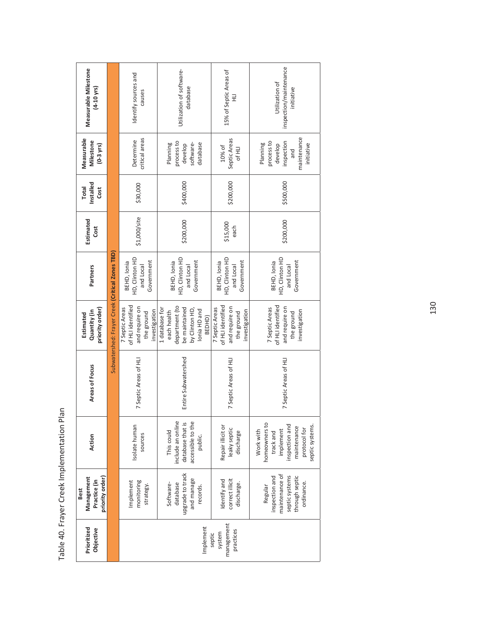| Measurable Milestone<br>$(4-10 \text{ yrs})$                 |                                                 | Identify sources and<br>causes                                                       | Utilization of software-<br>database                                                                         | 15% of Septic Areas of<br>긒                                                          | inspection/maintenance<br>Utilization of<br>initiative                                                                   |
|--------------------------------------------------------------|-------------------------------------------------|--------------------------------------------------------------------------------------|--------------------------------------------------------------------------------------------------------------|--------------------------------------------------------------------------------------|--------------------------------------------------------------------------------------------------------------------------|
| Measurable<br>Milestone<br>$(0-3$ yrs)                       |                                                 | critical areas<br>Determine                                                          | process to<br>database<br>software-<br>Planning<br>develop                                                   | Septic Areas<br>10% of<br>Of HLI                                                     | maintenance<br>process to<br>inspection<br>Planning<br>initiative<br>develop<br>and                                      |
| Installed<br><b>Total</b><br>Cost                            |                                                 | \$30,000                                                                             | \$400,000                                                                                                    | \$200,000                                                                            | \$500,000                                                                                                                |
| Estimated<br>Cost                                            |                                                 | \$1,000/site                                                                         | \$200,000                                                                                                    | \$15,000<br>each                                                                     | \$200,000                                                                                                                |
| Partners                                                     |                                                 | HD, Clinton HD<br>Government<br>BEHD, Ionia<br>and Local                             | HD, Clinton HD<br>Government<br>BEHD, Ionia<br>and Local                                                     | HD, Clinton HD<br>Government<br>BEHD, Ionia<br>and Local                             | HD, Clinton HD<br>Government<br>BEHD, Ionia<br>and Local                                                                 |
| priority order)<br>Quantity (in<br>Estimated                 | Subwatershed: Frayer Creek (Critical Zones TBD) | of HLI identified<br>and require on<br>7 Septic Areas<br>investigation<br>the ground | department (to<br>be maintained<br>1 database for<br>by Clinton HD,<br>lonia HD and<br>each health<br>BEDHD) | of HLI identified<br>and require on<br>7 Septic Areas<br>investigation<br>the ground | of HLI identified<br>and require on<br>7 Septic Areas<br>investigation<br>the ground                                     |
| Areas of Focus                                               |                                                 | 7 Septic Areas of HLI                                                                | Entire Subwatershed                                                                                          | 7 Septic Areas of HLI                                                                | 7 Septic Areas of HLI                                                                                                    |
| Action                                                       |                                                 | Isolate human<br>sources                                                             | include an online<br>accessible to the<br>database that is<br>This could<br>public.                          | Repair illicit or<br>leaky septic<br>discharge                                       | homeowners to<br>inspection and<br>septic systems.<br>maintenance<br>protocol for<br>implement<br>Work with<br>track and |
| priority order)<br>Management<br>Practice (in<br><b>Best</b> |                                                 | monitoring<br>Implement<br>strategy.                                                 | upgrade to track<br>and manage<br>database<br>Software-<br>records.                                          | correct illicit<br>Identify and<br>discharge.                                        | maintenance of<br>inspection and<br>through septic<br>septic systems<br>ordinance.<br>Regular                            |
| Prioritized<br>Objective                                     |                                                 |                                                                                      | Implement                                                                                                    | management<br>practices<br>system<br>septic                                          |                                                                                                                          |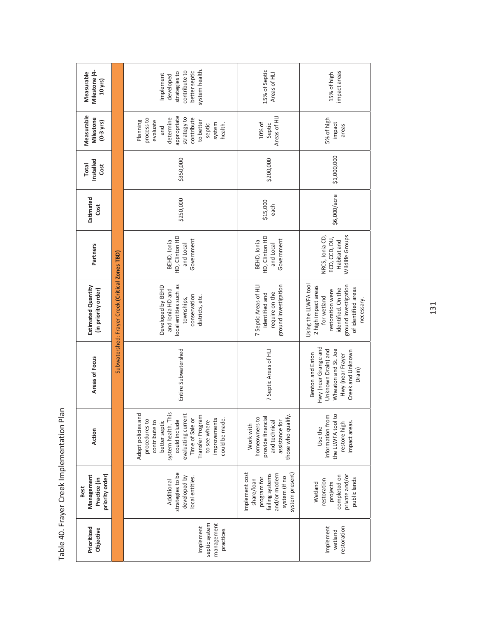| Milestone (4-<br>Measurable<br>10 yrs)<br>Measurable<br>Milestone<br>$(0-3$ yrs) |                                                 | system health.<br>contribute to<br>better septic<br>strategies to<br>Implement<br>developed<br>appropriate<br>strategy to<br>process to<br>contribute<br>determine<br>evaluate<br>Planning<br>to better<br>system<br>septic<br>health.<br>and | 15% of Septic<br>Areas of HLI<br>Areas of HLI<br>10% of<br>Septic                                                   |                                                            |
|----------------------------------------------------------------------------------|-------------------------------------------------|-----------------------------------------------------------------------------------------------------------------------------------------------------------------------------------------------------------------------------------------------|---------------------------------------------------------------------------------------------------------------------|------------------------------------------------------------|
| Installed<br><b>Total</b><br>Cost                                                |                                                 | \$350,000                                                                                                                                                                                                                                     | \$200,000                                                                                                           |                                                            |
| Estimated<br>Cost<br>Partners                                                    |                                                 | \$250,000<br>HD, Clinton HD<br>BEHD, Ionia<br>Government<br>and Local                                                                                                                                                                         | \$15,000<br>each<br>HD, Clinton HD<br>Government<br>BEHD, Ionia<br>and Local                                        | NRCS, Ionia CD,                                            |
| Estimated Quantity<br>(in priority order)                                        | Subwatershed: Frayer Creek (Critical Zones TBD) | local entities such as<br>Developed by BEHD<br>and Ionia HD and<br>conservation<br>districts, etc.<br>townships,                                                                                                                              | ground investigation<br>7 Septic Areas of HLI<br>require on the<br>identified and                                   | Using the LLWFA tool<br>2 high impact areas<br>for wetland |
| Areas of Focus                                                                   |                                                 | Entire Subwatershed                                                                                                                                                                                                                           | 7 Septic Areas of HU                                                                                                | Hwy (near Grange and<br>Benton and Eaton                   |
| Action                                                                           |                                                 | Adopt policies and<br>system health. This<br>evaluating current<br>Transfer Program<br>Time of Sale or<br>improvements<br>could be made.<br>could include<br>procedures to<br>to see where<br>contribute to<br>better septic                  | those who qualify.<br>homeowners to<br>provide financial<br>assistance for<br>and technical<br>Work with            | Use the                                                    |
| priority order)<br>Management<br>Practice (in<br><b>Best</b>                     |                                                 | strategies to be<br>developed by<br>local entities.<br>Additional                                                                                                                                                                             | Implement cost<br>system present)<br>failing systems<br>and/or modern<br>system (if no<br>program for<br>share/loan | restoration<br>Wetland                                     |
| Prioritized<br>Objective                                                         |                                                 | septic system<br>management<br>Implement<br>practices                                                                                                                                                                                         |                                                                                                                     | Implement                                                  |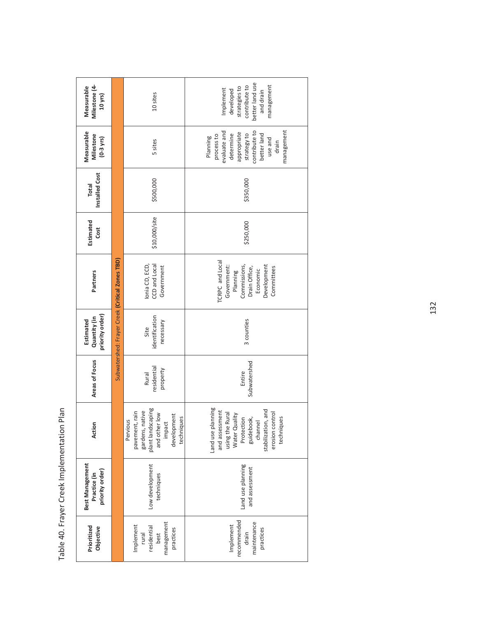| Milestone (4-<br>Measurable<br>$10$ yrs)                  |                                                                                                                                                                                                                                                        | 10 sites                                                                                                                   | better land use<br>contribute to<br>management<br>strategies to<br>Implement<br>developed<br>and drain                                                                |  |  |
|-----------------------------------------------------------|--------------------------------------------------------------------------------------------------------------------------------------------------------------------------------------------------------------------------------------------------------|----------------------------------------------------------------------------------------------------------------------------|-----------------------------------------------------------------------------------------------------------------------------------------------------------------------|--|--|
| Measurable<br>Milestone<br>$(0-3 \text{ yrs})$<br>5 sites |                                                                                                                                                                                                                                                        |                                                                                                                            | management<br>contribute to<br>evaluate and<br>appropriate<br>strategy to<br>better land<br>determine<br>process to<br>Planning<br>use and<br>drain                   |  |  |
| Installed Cost<br><b>Total</b>                            | \$500,000<br>\$10,000/site<br>Estimated<br>Cost<br>Subwatershed: Frayer Creek (Critical Zones TBD)<br>CCD and Local<br>lonia CD, ECD,<br>Government<br>Partners<br>priority order)<br>identification<br>Quantity (in<br>Estimated<br>necessary<br>Site |                                                                                                                            | \$350,000                                                                                                                                                             |  |  |
|                                                           |                                                                                                                                                                                                                                                        |                                                                                                                            | \$250,000                                                                                                                                                             |  |  |
|                                                           |                                                                                                                                                                                                                                                        |                                                                                                                            | TCRPC and Local<br>Development<br>Government:<br>Commissions,<br>Drain Office,<br>Committees<br>Economic<br>Planning                                                  |  |  |
|                                                           |                                                                                                                                                                                                                                                        |                                                                                                                            | 3 counties                                                                                                                                                            |  |  |
| Areas of Focus                                            |                                                                                                                                                                                                                                                        | residential<br>property<br><b>Rural</b>                                                                                    | Subwatershed<br>Entire                                                                                                                                                |  |  |
| Action                                                    |                                                                                                                                                                                                                                                        | plant landscaping<br>gardens, native<br>pavement, rain<br>and other low<br>development<br>techniques<br>Pervious<br>impact | Land use planning<br>stabilization, and<br>and assessment<br>erosion control<br>using the Rural<br>Water Quality<br>Protection<br>guidebook,<br>techniques<br>channel |  |  |
| <b>Best Management</b><br>priority order)<br>Practice (in | Low development<br>techniques                                                                                                                                                                                                                          |                                                                                                                            | Land use planning<br>and assessment                                                                                                                                   |  |  |
| Prioritized<br>Objective                                  | management<br>Implement<br>residential<br>practices<br>rural<br>best                                                                                                                                                                                   |                                                                                                                            | recommended<br>maintenance<br>Implement<br>practices<br>drain                                                                                                         |  |  |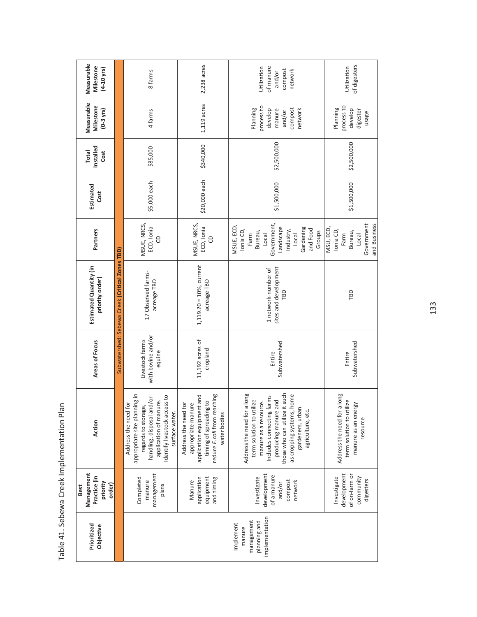| Prioritized<br>Objective                                            | Management<br>Practice (in<br>priority<br>order)<br><b>Best</b>           | Action                                                                                                                                                                                                                                          | Areas of Focus                                  | Estimated Quantity (in<br>priority order)           | Partners                                                                                                                                 | Estimated<br>Cost | Installed<br><b>Total</b><br>Cost | Measurable<br>Milestone<br>$(0-3 \text{ yrs})$                              | Measurable<br>Milestone<br>$(4 - 10$ yrs)                |
|---------------------------------------------------------------------|---------------------------------------------------------------------------|-------------------------------------------------------------------------------------------------------------------------------------------------------------------------------------------------------------------------------------------------|-------------------------------------------------|-----------------------------------------------------|------------------------------------------------------------------------------------------------------------------------------------------|-------------------|-----------------------------------|-----------------------------------------------------------------------------|----------------------------------------------------------|
|                                                                     |                                                                           |                                                                                                                                                                                                                                                 |                                                 | Subwatershed: Sebewa Creek (Critical Zones TBD)     |                                                                                                                                          |                   |                                   |                                                                             |                                                          |
|                                                                     | management<br>Completed<br>manure<br>plans                                | appropriate site planning in<br>Identify livestock access to<br>handling, disposal and/or<br>application of manure.<br>Address the need for<br>regards to storage,<br>surface water.                                                            | with bovine and/or<br>Livestock farms<br>equine | 17 Observed farms-<br>acreage TBD                   | MSUE, NRCS,<br>ECD, Ionia<br>G                                                                                                           | \$5,000 each      | \$85,000                          | 4 farms                                                                     | 8 farms                                                  |
|                                                                     | application<br>equipment<br>and timing<br>Manure                          | reduce E.coli from reaching<br>application equipment and<br>timing of spreading to<br>appropriate manure<br>Address the need for<br>water bodies                                                                                                | 11,192 acres of<br>cropland                     | $1,119.20 = 10%$ , current<br>acreage TBD           | MSUE, NRCS,<br>ECD, Ionia<br>G                                                                                                           | \$20,000 each     | \$340,000                         | 1,119 acres                                                                 | 2,238 acres                                              |
| implementation<br>management<br>planning and<br>Implement<br>manure | development<br>of a manure<br>Investigate<br>compost<br>network<br>and/or | those who can utilize it such<br>Address the need for a long<br>as cropping systems, home<br>farms<br>term solution to utilize<br>producing manure and<br>manure as a resource.<br>gardeners, urban<br>agriculture, etc.<br>Includes connecting | Subwatershed<br>Entire                          | sites and development<br>1 network-number of<br>ГBD | Government,<br>MSUE, ECD,<br>Landscape<br>Gardening<br>and Food<br>Ionia CD,<br>Industry,<br>Groups<br>Bureau,<br>Farm<br>Local<br>Local | \$1,500,000       | \$2,500,000                       | process to<br>Planning<br>compost<br>develop<br>network<br>manure<br>and/or | Utilization<br>of manure<br>compost<br>network<br>and/or |
|                                                                     | development<br>of on-farm or<br>community<br>Investigate<br>digesters     | Address the need for a long<br>term solution to utilize<br>manure as an energy<br>resource                                                                                                                                                      | Subwatershed<br>Entire                          | TBD                                                 | and Business<br>Government<br>MSU, ECD,<br>Ionia CD,<br>Bureau,<br>Farm<br><b>Local</b>                                                  | \$1,500,000       | \$2,500,000                       | process to<br>Planning<br>develop<br>digester<br>usage                      | of digesters<br>Utilization                              |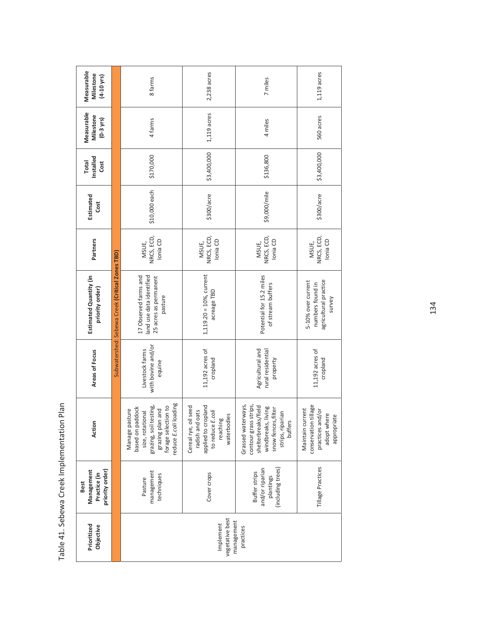| Measurable<br>Milestone<br>$(4 - 10$ yrs)                       |                                                 | 8 farms                                                                                                                                              | 2,238 acres                                                                                                   | 7 miles                                                                                                                                        | $1,119$ acres                                                                              |  |  |
|-----------------------------------------------------------------|-------------------------------------------------|------------------------------------------------------------------------------------------------------------------------------------------------------|---------------------------------------------------------------------------------------------------------------|------------------------------------------------------------------------------------------------------------------------------------------------|--------------------------------------------------------------------------------------------|--|--|
| Measurable<br>Milestone<br>$(0-3 \text{ yrs})$                  |                                                 | 4 farms                                                                                                                                              | $1,119$ acres                                                                                                 | 4 miles                                                                                                                                        | 560 acres                                                                                  |  |  |
| Installed<br><b>Total</b><br>Cost                               |                                                 | \$170,000                                                                                                                                            | \$3,400,000                                                                                                   | \$136,800                                                                                                                                      | \$3,400,000                                                                                |  |  |
| Estimated<br>Cost                                               |                                                 | \$10,000 each                                                                                                                                        | \$300/arc                                                                                                     | \$9,000/mile                                                                                                                                   | \$300/acre                                                                                 |  |  |
| Partners                                                        |                                                 | NRCS, ECD,<br>Ionia CD<br>MSUE,                                                                                                                      | NRCS, ECD,<br>Ionia CD<br>MSUE,                                                                               | NRCS, ECD,<br>Ionia CD<br>MSUE,                                                                                                                | NRCS, ECD,<br>Ionia CD<br>MSUE,                                                            |  |  |
| Estimated Quantity (in<br>priority order)                       | Subwatershed: Sebewa Creek (Critical Zones TBD) | 17 Observed farms and<br>land use data identified<br>25 acres as permanent<br>pasture                                                                | $1,119.20 = 10\%$ , current<br>acreage TBD                                                                    | Potential for 15.2 miles<br>of stream buffers                                                                                                  | agricultural practice<br>5-10% over current<br>numbers found in<br>survey                  |  |  |
| Areas of Focus                                                  |                                                 | with bovine and/or<br>Livestock farms<br>equine                                                                                                      | 11,192 acres of<br>cropland                                                                                   | Agricultural and<br>rural residential<br>property                                                                                              | 11,192 acres of<br>cropland                                                                |  |  |
| Action<br>priority order)<br>Management<br>Practice (in<br>Best |                                                 | reduce E.coli loading<br>forage selection to<br>grazing, soil testing,<br>based on paddock<br>grazing plan and<br>Manage pasture<br>size, rotational | applied to cropland<br>Cereal rye, oil seed<br>radish and oats<br>to reduce E.coli<br>waterbodies<br>reaching | Grassed waterways,<br>contour grass strips,<br>shelterbreaks/field<br>windbreaks, living<br>snow fences, filter<br>strips, riparian<br>buffers | conservation tillage<br>Maintain current<br>practices and/or<br>adopt where<br>appropriate |  |  |
|                                                                 |                                                 | management<br>techniques<br>Pasture                                                                                                                  | Cover crops                                                                                                   | (including trees)<br>and/or riparian<br><b>Buffer strips</b><br>plantings                                                                      | Tillage Practices                                                                          |  |  |
| Prioritized<br>Objective                                        |                                                 | vegetative best<br>management<br>Implement<br>practices                                                                                              |                                                                                                               |                                                                                                                                                |                                                                                            |  |  |

| י<br>ייטוס<br>ī                                                                            |
|--------------------------------------------------------------------------------------------|
| 10 0000000000000                                                                           |
|                                                                                            |
| ていこ                                                                                        |
| $\sum$<br>֧֧ׅ֧ׅ֧֧֧ׅ֧֧֧֧֛֧֧ׅ֧֧ׅ֧֛֛֛֛֛֚֚֚֚֚֚֚֚֚֚֚֚֚֚֚֚֚֚֚֚֚֚֚֚֚֚֚֚֝֝֜֝֬֜֝֓֝֓֜֜֝֬֜֜֜֝֬֜֝֬֜֜֝֜ |
| i<br>I<br>$\frac{a}{c}$                                                                    |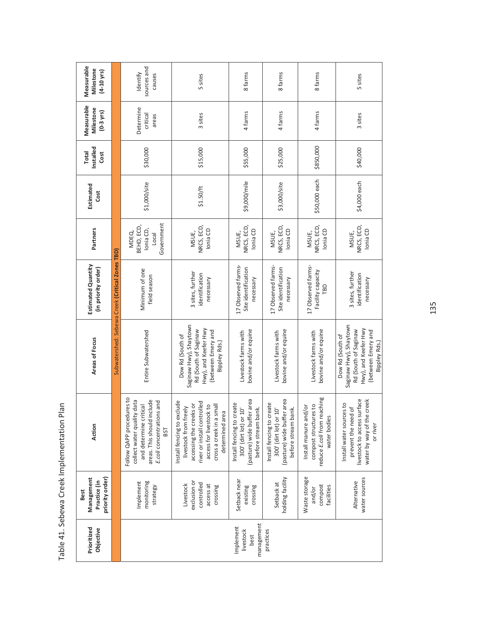| Measurable<br>Milestone<br>$(4 - 10$ yrs)             |                                                           | sources and<br>Identify<br>causes                                                                                                                   | 5 sites                                                                                                                                                                                 | 8 farms                                                                                                       | 8 farms                                                                                                       | 8 farms                                                                                       | 5 sites                                                                                                                           |
|-------------------------------------------------------|-----------------------------------------------------------|-----------------------------------------------------------------------------------------------------------------------------------------------------|-----------------------------------------------------------------------------------------------------------------------------------------------------------------------------------------|---------------------------------------------------------------------------------------------------------------|---------------------------------------------------------------------------------------------------------------|-----------------------------------------------------------------------------------------------|-----------------------------------------------------------------------------------------------------------------------------------|
| Measurable<br>Milestone<br>$(0-3$ yrs)                |                                                           | Determine<br>critical<br>areas                                                                                                                      | 3 sites                                                                                                                                                                                 | 4 farms                                                                                                       | 4 farms                                                                                                       | 4 farms                                                                                       | 3 sites                                                                                                                           |
| Installed<br><b>Total</b><br>Cost                     |                                                           | \$30,000                                                                                                                                            | \$15,000                                                                                                                                                                                | \$55,000                                                                                                      | \$25,000                                                                                                      | \$850,000                                                                                     | \$40,000                                                                                                                          |
| Estimated<br>Cost                                     |                                                           | \$1,000/site                                                                                                                                        | \$1.50/ft                                                                                                                                                                               | \$9,000/mile                                                                                                  | \$3,000/site                                                                                                  | \$50,000 each                                                                                 | \$4,000 each                                                                                                                      |
| Partners                                              |                                                           | Government<br>BEHD, ECD,<br>Ionia CD,<br>MDEQ,<br>$L_{\text{Ccal}}$                                                                                 | NRCS, ECD,<br>Ionia CD<br>MSUE,                                                                                                                                                         | NRCS, ECD,<br>Ionia CD<br>MSUE,                                                                               | NRCS, ECD,<br>Ionia CD<br>MSUE,                                                                               | NRCS, ECD,<br>Ionia CD<br>MSUE,                                                               | NRCS, ECD,<br>lonia CD<br>MSUE,                                                                                                   |
| Estimated Quantity<br>(in priority order)             | Subwatershed: Sebewa Creek (Critical Zones TBD)           | Minimum of one<br>field season                                                                                                                      | 3 sites, further<br>identification<br>necessary                                                                                                                                         | 17 Observed farms-<br>Site identification<br>necessary                                                        | 17 Observed farms-<br>Site identification<br>necessary                                                        | 17 Observed farms-<br>Facility capacity<br><b>CBD</b>                                         | 3 sites, further<br>identification<br>necessary                                                                                   |
| Areas of Focus                                        |                                                           | Entire Subwatershed                                                                                                                                 | Saginaw Hwy), Shaytown<br>Hwy), and Keefer Hwy<br>Rd (South of Saginaw<br>(between Emery and<br>Dow Rd (South of<br>Bippley Rds.)                                                       | bovine and/or equine<br>Livestock farms with                                                                  | bovine and/or equine<br>Livestock farms with                                                                  | bovine and/or equine<br>Livestock farms with                                                  | Saginaw Hwy), Shaytown<br>Hwy), and Keefer Hwy<br>Rd (South of Saginaw<br>(between Emery and<br>Dow Rd (South of<br>Bippley Rds.) |
| Action                                                |                                                           | Follow QAPP procedures to<br>areas. This should include<br>collect water quality data<br>E.coli concentrations and<br>and determine critical<br>BST | Install fencing to exclude<br>river or install controlled<br>accessing the creeks or<br>cross a creek in a small<br>access for livestock to<br>livestock from freely<br>determined area | r area<br>Install fencing to create<br>before stream bank.<br>300' (dirt lot) or 10'<br>(pasture) wide buffer | r area<br>Install fencing to create<br>before stream bank.<br>300' (dirt lot) or 10'<br>(pasture) wide buffer | reduce E.coli from reaching<br>compost structures to<br>Install manure and/or<br>water bodies | livestock to access surface<br>creek<br>Install water sources to<br>prevent the need of<br>water by way of the<br>or river        |
| priority order)<br>Management<br>Practice (in<br>Best |                                                           | Implement<br>monitoring<br>strategy                                                                                                                 | exclusion or<br>controlled<br>Livestock<br>access at<br>crossing                                                                                                                        | Setback near<br>crossing<br>existing                                                                          | holding facility<br>Setback at                                                                                | Waste storage<br>compost<br>facilities<br>and/or                                              | water sources<br>Alternative                                                                                                      |
| Prioritized<br>Objective                              | management<br>Implement<br>practices<br>livestock<br>best |                                                                                                                                                     |                                                                                                                                                                                         |                                                                                                               |                                                                                                               |                                                                                               |                                                                                                                                   |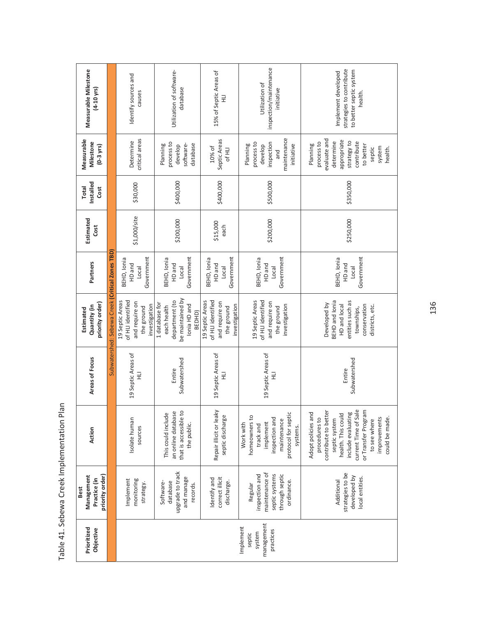| Measurable Milestone<br>$(4 - 10$ yrs)                |                                                 | Identify sources and<br>causes                                                        | Utilization of software-<br>database                                                          | 15% of Septic Areas of<br>$\equiv$                                                    | inspection/maintenance<br>Utilization of<br>initiative                                                                   | strategies to contribute<br>to better septic system<br>Implement developed<br>health.                                                                                                                                     |
|-------------------------------------------------------|-------------------------------------------------|---------------------------------------------------------------------------------------|-----------------------------------------------------------------------------------------------|---------------------------------------------------------------------------------------|--------------------------------------------------------------------------------------------------------------------------|---------------------------------------------------------------------------------------------------------------------------------------------------------------------------------------------------------------------------|
| Measurable<br>Milestone<br>$(0-3$ yrs $)$             |                                                 | critical areas<br>Determine                                                           | process to<br>database<br>Planning<br>software-<br>develop                                    | Septic Areas<br>10% of<br>Of HLI                                                      | maintenance<br>process to<br>inspection<br>Planning<br>initiative<br>develop<br>and                                      | evaluate and<br>appropriate<br>strategy to<br>process to<br>determine<br>contribute<br>Planning<br>to better<br>system<br>septic<br>health.                                                                               |
| Installed<br><b>Total</b><br>Cost                     |                                                 | \$30,000                                                                              | \$400,000                                                                                     | \$400,000                                                                             | \$500,000                                                                                                                | \$350,000                                                                                                                                                                                                                 |
| Estimated<br>Cost                                     |                                                 | \$1,000/site                                                                          | \$200,000                                                                                     | \$15,000<br>each                                                                      | \$200,000                                                                                                                | \$250,000                                                                                                                                                                                                                 |
| Partners                                              |                                                 | Government<br>BEHD, Ionia<br>HD and<br>Local                                          | Government<br>BEHD, Ionia<br>HD and<br>Local                                                  | Government<br>BEHD, lonia<br>HD and<br>Local                                          | Government<br>BEHD, Ionia<br>HD and<br><b>Local</b>                                                                      | Government<br>BEHD, Ionia<br>HD and<br>Local                                                                                                                                                                              |
| priority order)<br>Quantity (in<br>Estimated          | Subwatershed: Sebewa Creek (Critical Zones TBD) | of HLI identified<br>19 Septic Areas<br>and require on<br>investigation<br>the ground | be maintained by<br>department (to<br>1 database for<br>lonia HD and<br>each health<br>BEDHD) | of HLI identified<br>19 Septic Areas<br>and require on<br>investigation<br>the ground | of HLI identified<br>19 Septic Areas<br>and require on<br>investigation<br>the ground                                    | entities such as<br>BEHD and lonia<br>Developed by<br>HD and local<br>conservation<br>districts, etc.<br>townships,                                                                                                       |
| Areas of Focus                                        |                                                 | 19 Septic Areas of<br>긒                                                               | Subwatershed<br>Entire                                                                        | 19 Septic Areas of<br>긒                                                               | 19 Septic Areas of<br>긒                                                                                                  | Subwatershed<br>Entire                                                                                                                                                                                                    |
| Action                                                |                                                 | Isolate human<br>sources                                                              | that is accessible to<br>an online database<br>This could include<br>the public.              | Repair illicit or leaky<br>septic discharge                                           | protocol for septic<br>homeowners to<br>inspection and<br>maintenance<br>implement<br>Work with<br>track and<br>systems. | or Transfer Program<br>contribute to better<br>current Time of Sale<br>include evaluating<br>Adopt policies and<br>health. This could<br>procedures to<br>could be made.<br>septic system<br>improvements<br>to see where |
| priority order)<br>Management<br>Practice (in<br>Best |                                                 | Implement<br>monitoring<br>strategy.                                                  | upgrade to track<br>and manage<br>database<br>Software-<br>records.                           | correct illicit<br>Identify and<br>discharge.                                         | maintenance of<br>inspection and<br>septic systems<br>through septic<br>ordinance.<br>Regular                            | strategies to be<br>developed by<br>local entities.<br>Additional                                                                                                                                                         |
| Prioritized<br>Objective                              |                                                 |                                                                                       |                                                                                               |                                                                                       | management<br>Implement<br>practices<br>system<br>septic                                                                 |                                                                                                                                                                                                                           |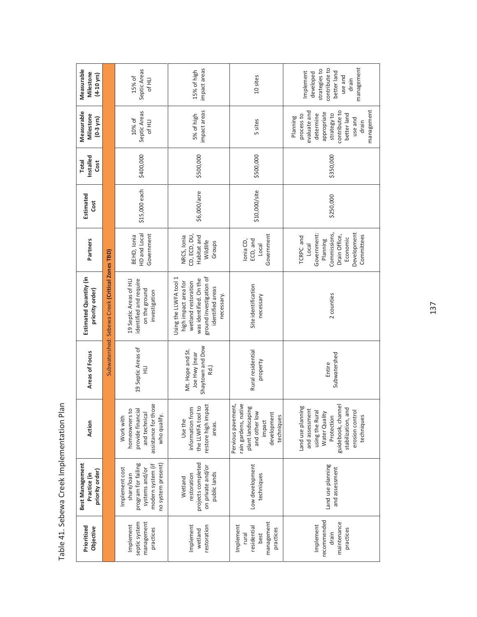| Measurable<br>Milestone<br>$(4-10$ yrs)            |                                                 | Septic Areas<br>15% of<br>Of HLI                                                                                 | impact areas<br>15% of high                                                                                                                                  | 10 sites                                                                                                                | management<br>contribute to<br>strategies to<br>Implement<br>better land<br>developed<br>use and<br>drain                                                          |
|----------------------------------------------------|-------------------------------------------------|------------------------------------------------------------------------------------------------------------------|--------------------------------------------------------------------------------------------------------------------------------------------------------------|-------------------------------------------------------------------------------------------------------------------------|--------------------------------------------------------------------------------------------------------------------------------------------------------------------|
| Measurable<br>Milestone<br>$(0-3$ yrs)             |                                                 | Septic Areas<br>10% of<br>Of HLI                                                                                 | impact areas<br>5% of high                                                                                                                                   | 5 sites                                                                                                                 | management<br>evaluate and<br>contribute to<br>appropriate<br>better land<br>strategy to<br>determine<br>process to<br>Planning<br>use and<br>drain                |
| Installed<br><b>Total</b><br>Cost                  |                                                 | \$400,000                                                                                                        | \$500,000                                                                                                                                                    | \$500,000                                                                                                               | \$350,000                                                                                                                                                          |
| Estimated<br>Cost                                  |                                                 | \$15,000 each                                                                                                    | \$6,000/acre                                                                                                                                                 | \$10,000/site                                                                                                           | \$250,000                                                                                                                                                          |
| Partners                                           |                                                 | HD and Local<br>Government<br>BEHD, Ionia                                                                        | CD, ECD, DU,<br>Habitat and<br>NRCS, Ionia<br>Wildlife<br>Groups                                                                                             | Government<br>lonia CD,<br>ECD, and<br>Local                                                                            | Development<br>Government:<br>Commissions,<br>Committees<br>Drain Office,<br>TCRPC and<br>Economic<br>Planning<br>Local                                            |
| Estimated Quantity (in<br>priority order)          | Subwatershed: Sebewa Creek (Critical Zones TBD) | identified and require<br>19 Septic Areas of HLI<br>on the ground<br>investigation                               | ground investigation of<br>Using the LLWFA tool 1<br>was identified. On the<br>high impact area for<br>wetland restoration<br>identified areas<br>necessary. | Site identification<br>necessary                                                                                        | 2 counties                                                                                                                                                         |
| Areas of Focus                                     |                                                 | 19 Septic Areas of<br>긒                                                                                          | Shaytown and Dow<br>Mt. Hope and St.<br>Joe Hwy (near<br>Rd.)                                                                                                | Rural residential<br>property                                                                                           | Subwatershed<br>Entire                                                                                                                                             |
| Action                                             |                                                 | assistance for those<br>provide financial<br>homeowners to<br>and technica<br>who qualify.<br>Work with          | restore high impact<br>the LLWFA tool to<br>information from<br>Use the<br>areas.                                                                            | Pervious pavement,<br>rain gardens, native<br>plant landscaping<br>and other low<br>development<br>techniques<br>impact | guidebook, channel<br>Land use planning<br>stabilization, and<br>and assessment<br>erosion control<br>using the Rural<br>Water Quality<br>Protection<br>techniques |
| Best Management<br>priority order)<br>Practice (in |                                                 | program for failing<br>no system present)<br>modern system (if<br>Implement cost<br>systems and/or<br>share/loan | projects completed<br>on private and/or<br>public lands<br>restoration<br>Wetland                                                                            | Low development<br>techniques                                                                                           | Land use planning<br>and assessment                                                                                                                                |
| Prioritized<br>Objective                           |                                                 | septic system<br>management<br>Implement<br>practices                                                            | Implement<br>restoration<br>wetland                                                                                                                          | management<br>Implement<br>residential<br>practices<br>rural<br>best                                                    | recommended<br>maintenance<br>Implement<br>practices<br>drain                                                                                                      |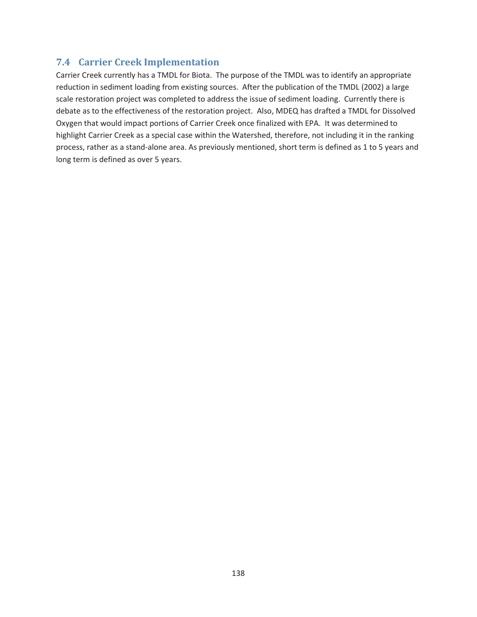## **7.4 Carrier Creek Implementation**

Carrier Creek currently has a TMDL for Biota. The purpose of the TMDL was to identify an appropriate reduction in sediment loading from existing sources. After the publication of the TMDL (2002) a large scale restoration project was completed to address the issue of sediment loading. Currently there is debate as to the effectiveness of the restoration project. Also, MDEQ has drafted a TMDL for Dissolved Oxygen that would impact portions of Carrier Creek once finalized with EPA. It was determined to highlight Carrier Creek as a special case within the Watershed, therefore, not including it in the ranking process, rather as a stand-alone area. As previously mentioned, short term is defined as 1 to 5 years and long term is defined as over 5 years.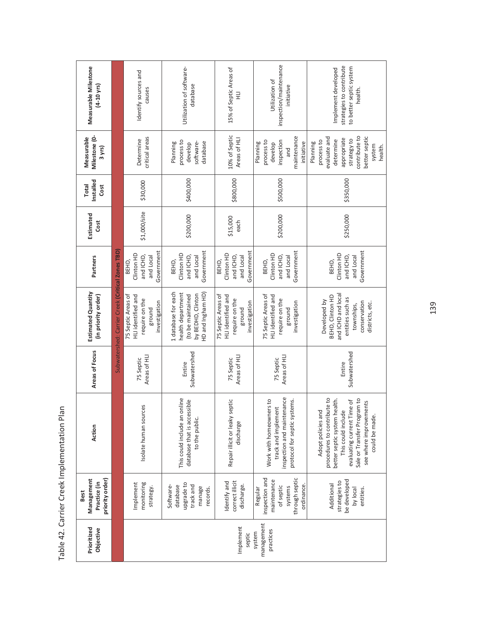| Measurable Milestone<br>$(4-10 \text{ yrs})$          |                                                  | Identify sources and<br>causes                                                        | Utilization of software-<br>database                                                                    | 15% of Septic Areas of                                                                | inspection/maintenance<br>Utilization of<br>initiative                                                       | strategies to contribute<br>to better septic system<br>Implement developed<br>health.                                                                                                                            |
|-------------------------------------------------------|--------------------------------------------------|---------------------------------------------------------------------------------------|---------------------------------------------------------------------------------------------------------|---------------------------------------------------------------------------------------|--------------------------------------------------------------------------------------------------------------|------------------------------------------------------------------------------------------------------------------------------------------------------------------------------------------------------------------|
| Milestone (0-<br>Measurable<br>3 yrs)                 |                                                  | critical areas<br>Determine                                                           | process to<br>software-<br>database<br>Planning<br>develop                                              | 10% of Septic<br>Areas of HLI                                                         | maintenance<br>process to<br>inspection<br>Planning<br>initiative<br>develop<br>and                          | contribute to<br>better septic<br>evaluate and<br>appropriate<br>strategy to<br>determine<br>process to<br>Planning<br>system<br>health.                                                                         |
| Installed<br><b>Total</b><br>Cost                     |                                                  | \$30,000                                                                              | \$400,000                                                                                               | \$800,000                                                                             | \$500,000                                                                                                    | \$350,000                                                                                                                                                                                                        |
| Estimated<br>Cost                                     |                                                  | \$1,000/site                                                                          | \$200,000                                                                                               | \$15,000<br>each                                                                      | \$200,000                                                                                                    | \$250,000                                                                                                                                                                                                        |
| Partners                                              |                                                  | Government<br>Clinton HD<br>and Local<br>and ICHD,<br>BEHD,                           | Government<br>Clinton HD<br>and ICHD,<br>and Local<br>BEHD,                                             | Government<br>Clinton HD<br>and Local<br>and ICHD,<br>BEHD,                           | Government<br>Clinton HD<br>and ICHD,<br>and Local<br>BEHD,                                                  | Government<br>Clinton HD<br>and ICHD,<br>and Local<br>BEHD,                                                                                                                                                      |
| <b>Estimated Quantity</b><br>(in priority order)      | Subwatershed: Carrier Creek (Critical Zones TBD) | 75 Septic Areas of<br>HLI identified and<br>require on the<br>investigation<br>ground | 1 database for each<br>health department<br>HD and Ingham HD)<br>by BEDHD, Clinton<br>(to be maintained | 75 Septic Areas of<br>HLI identified and<br>require on the<br>investigation<br>ground | 75 Septic Areas of<br>HLI identified and<br>require on the<br>investigation<br>ground                        | and ICHD and local<br>BEHD, Clinton HD<br>entities such as<br>Developed by<br>conservation<br>districts, etc.<br>townships,                                                                                      |
| Areas of Focus                                        |                                                  | Areas of HLI<br>75 Septic                                                             | Subwatershed<br>Entire                                                                                  | Areas of HLI<br>75 Septic                                                             | Areas of HLI<br>75 Septic                                                                                    | Subwatershed<br>Entire                                                                                                                                                                                           |
| Action                                                |                                                  | Isolate human sources                                                                 | This could include an online<br>database that is accessible<br>to the public.                           | Repair illicit or leaky septic<br>discharge                                           | inspection and maintenance<br>protocol for septic systems.<br>Work with homeowners to<br>track and implement | procedures to contribute to<br>Sale or Transfer Program to<br>better septic system health.<br>evaluating current Time of<br>see where improvements<br>Adopt policies and<br>This could include<br>could be made. |
| priority order)<br>Management<br>Practice (in<br>Best |                                                  | Implement<br>monitoring<br>strategy.                                                  | upgrade to<br>Software-<br>database<br>track and<br>manage<br>records.                                  | correct illicit<br>Identify and<br>discharge.                                         | through septic<br>inspection and<br>maintenance<br>ordinance.<br>of septic<br>systems<br>Regular             | be developed<br>strategies to<br>Additional<br>by local<br>entities.                                                                                                                                             |
| Prioritized<br>Objective                              |                                                  |                                                                                       |                                                                                                         | Implement<br>septic                                                                   | management<br>practices<br>system                                                                            |                                                                                                                                                                                                                  |

Table 42. Carrier Creek Implementation Plan Table 42. Carrier Creek Implementation Plan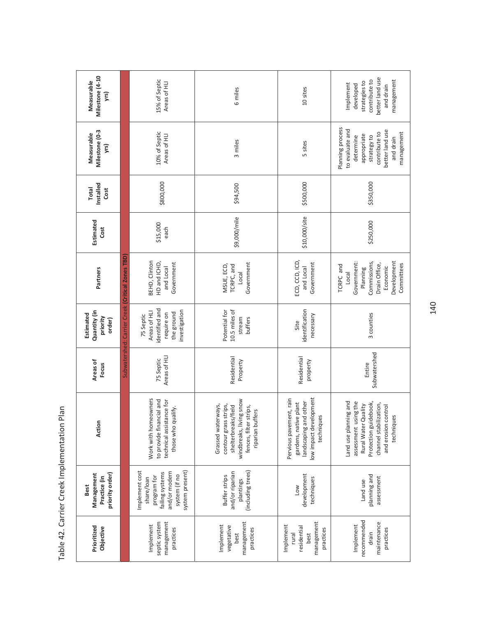| Milestone (4-10<br>Measurable<br>yrs)                        | 15% of Septic<br>Areas of HLI                    |                                                                                                                     | 6 miles                                                                                                                                     | 10 sites                                                                                                          | better land use<br>contribute to<br>management<br>strategies to<br>Implement<br>developed<br>and drain                                                       |
|--------------------------------------------------------------|--------------------------------------------------|---------------------------------------------------------------------------------------------------------------------|---------------------------------------------------------------------------------------------------------------------------------------------|-------------------------------------------------------------------------------------------------------------------|--------------------------------------------------------------------------------------------------------------------------------------------------------------|
| Milestone (0-3<br>Measurable<br>yrs)                         |                                                  | 10% of Septic<br>Areas of HLI                                                                                       | 3 miles                                                                                                                                     | 5 sites                                                                                                           | Planning process<br>to evaluate and<br>better land use<br>contribute to<br>management<br>appropriate<br>strategy to<br>determine<br>and drain                |
| Installed<br><b>Total</b><br>Cost                            |                                                  | \$800,000                                                                                                           | \$94,500                                                                                                                                    | \$500,000                                                                                                         | \$350,000                                                                                                                                                    |
| Estimated<br>Cost                                            |                                                  | \$15,000<br>each                                                                                                    | \$9,000/mile                                                                                                                                | \$10,000/site                                                                                                     | \$250,000                                                                                                                                                    |
| Partners                                                     | Subwatershed: Carrier Creek (Critical Zones TBD) | BEHD, Clinton<br>HD and ICHD,<br>Government<br>and Local                                                            | Government<br>TCRPC, and<br>MSUE, ECD,<br>Local                                                                                             | ECD, CCD, ICD,<br>Government<br>and Local                                                                         | Commissions,<br>Development<br>Government:<br>Drain Office,<br>Committees<br>TCRPC and<br>Economic<br>Planning<br>Loca                                       |
| Quantity (in<br>Estimated<br>priority<br>order)              |                                                  | identified and<br>nvestigation<br>Areas of HLI<br>the ground<br>require on<br>75 Septic                             | 10.5 miles of<br>Potential for<br>stream<br>buffers                                                                                         | identification<br>necessary<br>Site                                                                               | 3 counties                                                                                                                                                   |
| Areas of<br>Focus                                            |                                                  | Areas of HLI<br>75 Septic                                                                                           | Residential<br>Property                                                                                                                     | Residential<br>property                                                                                           | Subwatershed<br>Entire                                                                                                                                       |
| Action                                                       |                                                  | Work with homeowners<br>to provide financial and<br>technical assistance for<br>those who qualify.                  | windbreaks, living snow<br>contour grass strips,<br>Grassed waterways,<br>shelterbreaks/field<br>fences, filter strips,<br>riparian buffers | low impact development<br>Pervious pavement, rain<br>landscaping and other<br>gardens, native plant<br>techniques | Land use planning and<br>assessment using the<br>Protection guidebook,<br>channel stabilization,<br>Rural Water Quality<br>and erosion control<br>techniques |
| priority order)<br>Management<br>Practice (in<br><b>Best</b> |                                                  | Implement cost<br>system present)<br>and/or modern<br>failing systems<br>system (if no<br>program for<br>share/loan | (including trees)<br>and/or riparian<br>Buffer strips<br>plantings                                                                          | development<br>techniques<br>Low                                                                                  | planning and<br>assessment<br>Land use                                                                                                                       |
| Prioritized<br>Objective                                     |                                                  | management<br>septic system<br>Implement<br>practices                                                               | management<br>Implement<br>vegetative<br>practices<br>best                                                                                  | management<br>Implement<br>residential<br>practices<br>rural<br>best                                              | recommended<br>maintenance<br>Implement<br>practices<br>drain                                                                                                |

Table 42. Carrier Creek Implementation Plan Table 42. Carrier Creek Implementation Plan